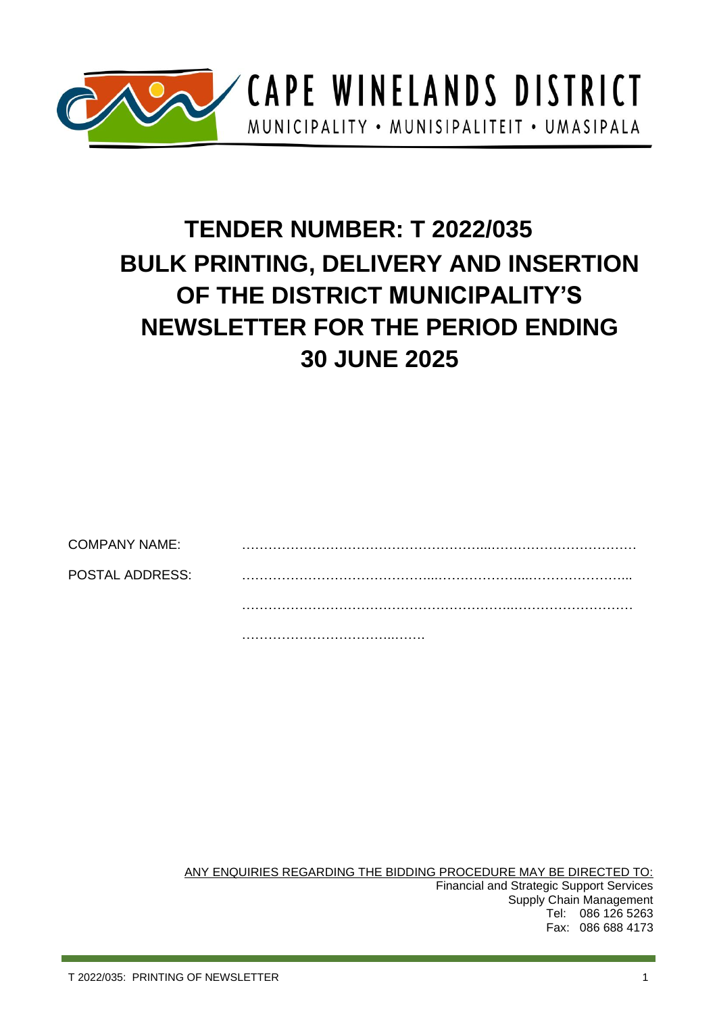

CAPE WINELANDS DISTRICT MUNICIPALITY • MUNISIPALITEIT • UMASIPALA

# **TENDER NUMBER: T 2022/035 BULK PRINTING, DELIVERY AND INSERTION OF THE DISTRICT MUNICIPALITY'S NEWSLETTER FOR THE PERIOD ENDING 30 JUNE 2025**

COMPANY NAME: POSTAL ADDRESS: ……………………………………...………………...…………………... ……………………………………………………..………………………

……………………………..…….

ANY ENQUIRIES REGARDING THE BIDDING PROCEDURE MAY BE DIRECTED TO: Financial and Strategic Support Services Supply Chain Management Tel: 086 126 5263 Fax: 086 688 4173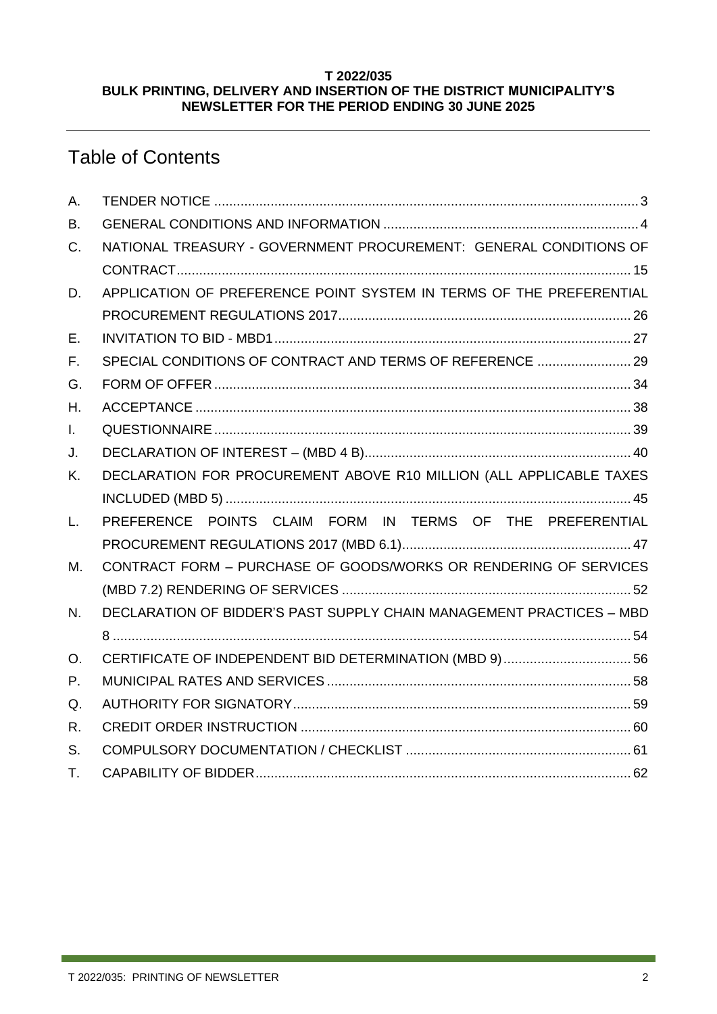#### **T 2022/035 BULK PRINTING, DELIVERY AND INSERTION OF THE DISTRICT MUNICIPALITY'S NEWSLETTER FOR THE PERIOD ENDING 30 JUNE 2025**

## Table of Contents

| A. |                                                                      |
|----|----------------------------------------------------------------------|
| В. |                                                                      |
| C. | NATIONAL TREASURY - GOVERNMENT PROCUREMENT: GENERAL CONDITIONS OF    |
|    |                                                                      |
| D. | APPLICATION OF PREFERENCE POINT SYSTEM IN TERMS OF THE PREFERENTIAL  |
|    |                                                                      |
| Е. |                                                                      |
| F. | SPECIAL CONDITIONS OF CONTRACT AND TERMS OF REFERENCE  29            |
| G. |                                                                      |
| Η. |                                                                      |
| L. |                                                                      |
| J. |                                                                      |
| Κ. | DECLARATION FOR PROCUREMENT ABOVE R10 MILLION (ALL APPLICABLE TAXES  |
|    |                                                                      |
| L. | PREFERENCE POINTS CLAIM FORM IN TERMS OF THE PREFERENTIAL            |
|    |                                                                      |
| М. | CONTRACT FORM - PURCHASE OF GOODS/WORKS OR RENDERING OF SERVICES     |
|    |                                                                      |
| N. | DECLARATION OF BIDDER'S PAST SUPPLY CHAIN MANAGEMENT PRACTICES - MBD |
|    |                                                                      |
| О. | CERTIFICATE OF INDEPENDENT BID DETERMINATION (MBD 9)56               |
| Р. |                                                                      |
| Q. |                                                                      |
| R. |                                                                      |
| S. |                                                                      |
| Τ. |                                                                      |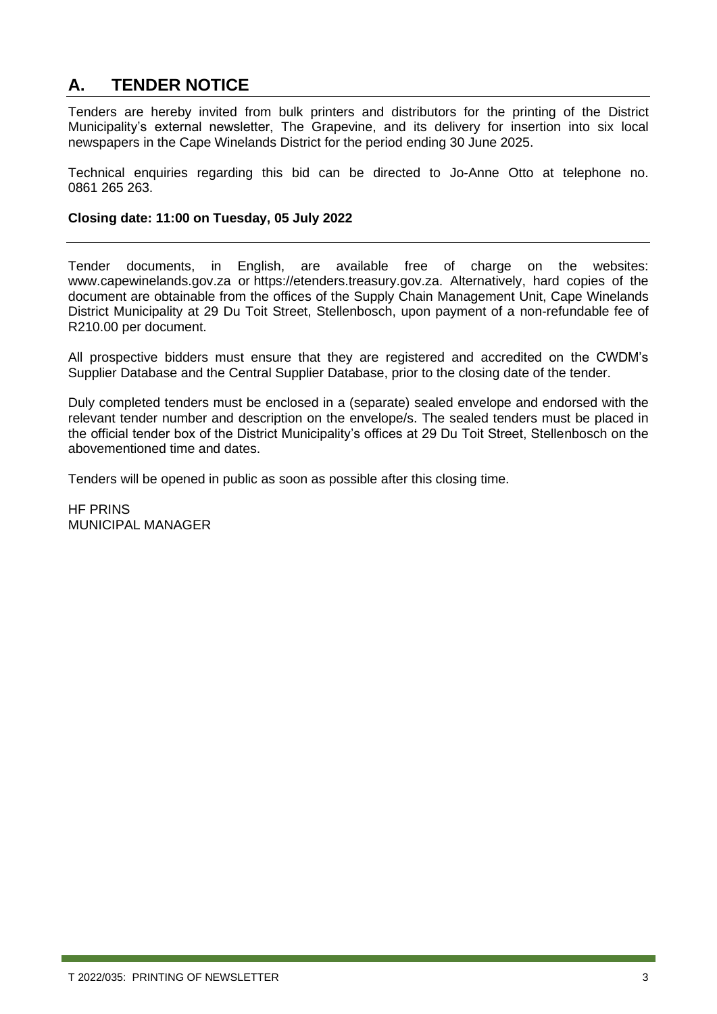### <span id="page-2-0"></span>**A. TENDER NOTICE**

Tenders are hereby invited from bulk printers and distributors for the printing of the District Municipality's external newsletter, The Grapevine, and its delivery for insertion into six local newspapers in the Cape Winelands District for the period ending 30 June 2025.

Technical enquiries regarding this bid can be directed to Jo-Anne Otto at telephone no. 0861 265 263.

#### **Closing date: 11:00 on Tuesday, 05 July 2022**

Tender documents, in English, are available free of charge on the websites: [www.capewinelands.gov.za](http://www.capewinelands.gov.za/) or [https://etenders.treasury.gov.za.](https://etenders.treasury.gov.za/) Alternatively, hard copies of the document are obtainable from the offices of the Supply Chain Management Unit, Cape Winelands District Municipality at 29 Du Toit Street, Stellenbosch, upon payment of a non-refundable fee of R210.00 per document.

All prospective bidders must ensure that they are registered and accredited on the CWDM's Supplier Database and the Central Supplier Database, prior to the closing date of the tender.

Duly completed tenders must be enclosed in a (separate) sealed envelope and endorsed with the relevant tender number and description on the envelope/s. The sealed tenders must be placed in the official tender box of the District Municipality's offices at 29 Du Toit Street, Stellenbosch on the abovementioned time and dates.

Tenders will be opened in public as soon as possible after this closing time.

HF PRINS MUNICIPAL MANAGER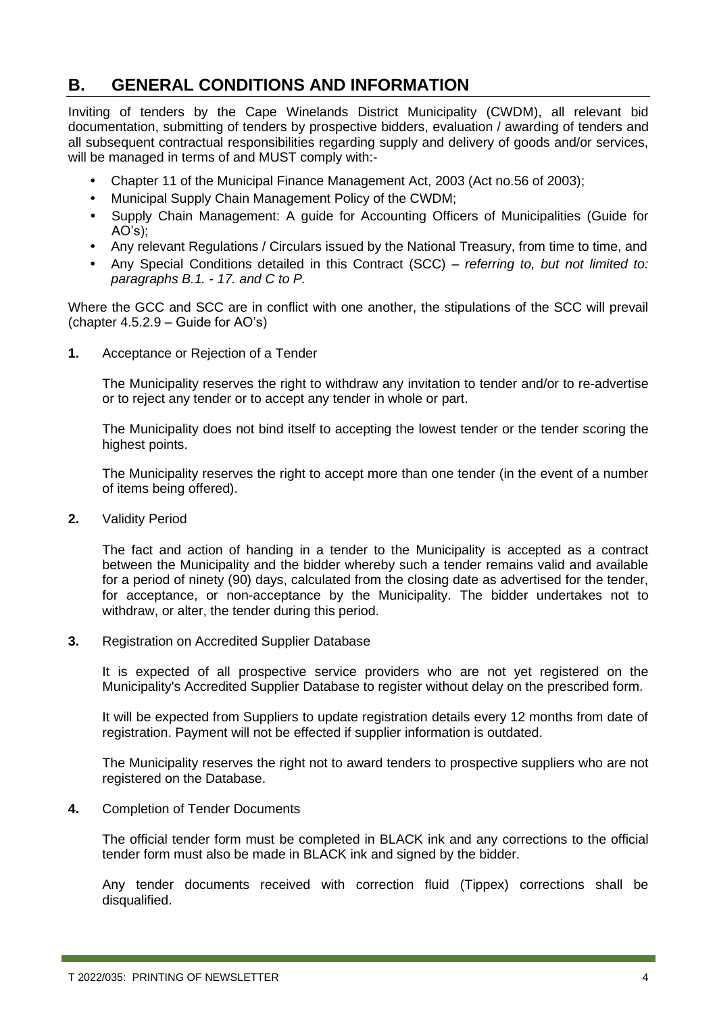### <span id="page-3-0"></span>**B. GENERAL CONDITIONS AND INFORMATION**

Inviting of tenders by the Cape Winelands District Municipality (CWDM), all relevant bid documentation, submitting of tenders by prospective bidders, evaluation / awarding of tenders and all subsequent contractual responsibilities regarding supply and delivery of goods and/or services, will be managed in terms of and MUST comply with:-

- Chapter 11 of the Municipal Finance Management Act, 2003 (Act no.56 of 2003);
- Municipal Supply Chain Management Policy of the CWDM;
- Supply Chain Management: A guide for Accounting Officers of Municipalities (Guide for AO's);
- Any relevant Regulations / Circulars issued by the National Treasury, from time to time, and
- Any Special Conditions detailed in this Contract (SCC) *referring to, but not limited to: paragraphs B.1. - 17. and C to P.*

Where the GCC and SCC are in conflict with one another, the stipulations of the SCC will prevail (chapter 4.5.2.9 – Guide for AO's)

**1.** Acceptance or Rejection of a Tender

The Municipality reserves the right to withdraw any invitation to tender and/or to re-advertise or to reject any tender or to accept any tender in whole or part.

The Municipality does not bind itself to accepting the lowest tender or the tender scoring the highest points.

The Municipality reserves the right to accept more than one tender (in the event of a number of items being offered).

**2.** Validity Period

The fact and action of handing in a tender to the Municipality is accepted as a contract between the Municipality and the bidder whereby such a tender remains valid and available for a period of ninety (90) days, calculated from the closing date as advertised for the tender, for acceptance, or non-acceptance by the Municipality. The bidder undertakes not to withdraw, or alter, the tender during this period.

**3.** Registration on Accredited Supplier Database

It is expected of all prospective service providers who are not yet registered on the Municipality's Accredited Supplier Database to register without delay on the prescribed form.

It will be expected from Suppliers to update registration details every 12 months from date of registration. Payment will not be effected if supplier information is outdated.

The Municipality reserves the right not to award tenders to prospective suppliers who are not registered on the Database.

**4.** Completion of Tender Documents

The official tender form must be completed in BLACK ink and any corrections to the official tender form must also be made in BLACK ink and signed by the bidder.

Any tender documents received with correction fluid (Tippex) corrections shall be disqualified.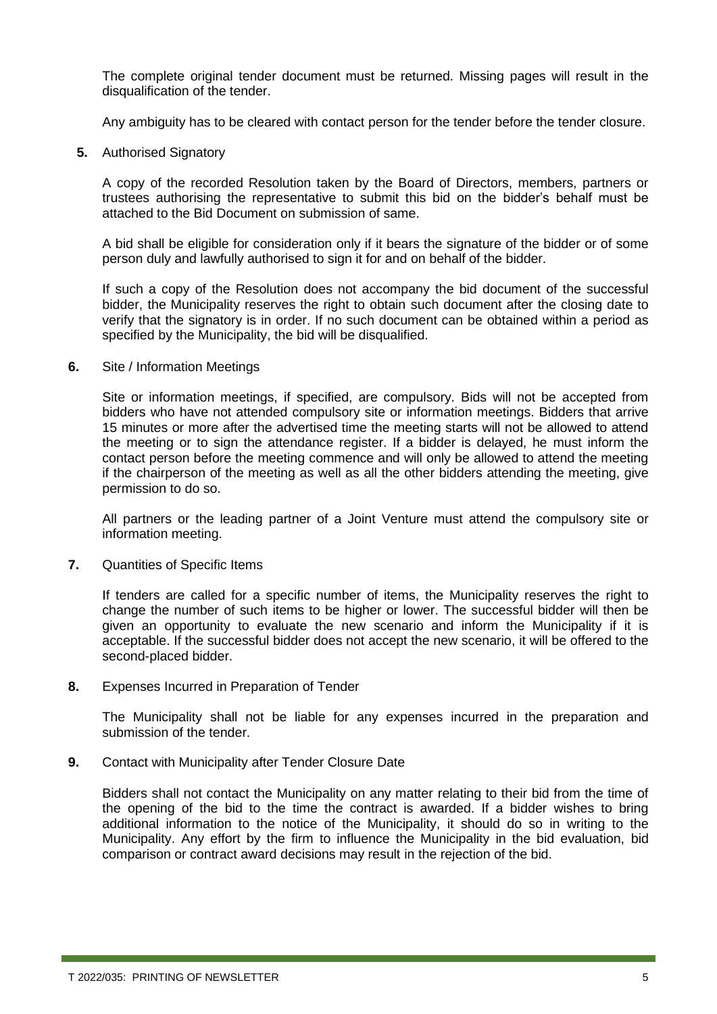The complete original tender document must be returned. Missing pages will result in the disqualification of the tender.

Any ambiguity has to be cleared with contact person for the tender before the tender closure.

**5.** Authorised Signatory

A copy of the recorded Resolution taken by the Board of Directors, members, partners or trustees authorising the representative to submit this bid on the bidder's behalf must be attached to the Bid Document on submission of same.

A bid shall be eligible for consideration only if it bears the signature of the bidder or of some person duly and lawfully authorised to sign it for and on behalf of the bidder.

If such a copy of the Resolution does not accompany the bid document of the successful bidder, the Municipality reserves the right to obtain such document after the closing date to verify that the signatory is in order. If no such document can be obtained within a period as specified by the Municipality, the bid will be disqualified.

**6.** Site / Information Meetings

Site or information meetings, if specified, are compulsory. Bids will not be accepted from bidders who have not attended compulsory site or information meetings. Bidders that arrive 15 minutes or more after the advertised time the meeting starts will not be allowed to attend the meeting or to sign the attendance register. If a bidder is delayed, he must inform the contact person before the meeting commence and will only be allowed to attend the meeting if the chairperson of the meeting as well as all the other bidders attending the meeting, give permission to do so.

All partners or the leading partner of a Joint Venture must attend the compulsory site or information meeting.

**7.** Quantities of Specific Items

If tenders are called for a specific number of items, the Municipality reserves the right to change the number of such items to be higher or lower. The successful bidder will then be given an opportunity to evaluate the new scenario and inform the Municipality if it is acceptable. If the successful bidder does not accept the new scenario, it will be offered to the second-placed bidder.

**8.** Expenses Incurred in Preparation of Tender

The Municipality shall not be liable for any expenses incurred in the preparation and submission of the tender.

**9.** Contact with Municipality after Tender Closure Date

Bidders shall not contact the Municipality on any matter relating to their bid from the time of the opening of the bid to the time the contract is awarded. If a bidder wishes to bring additional information to the notice of the Municipality, it should do so in writing to the Municipality. Any effort by the firm to influence the Municipality in the bid evaluation, bid comparison or contract award decisions may result in the rejection of the bid.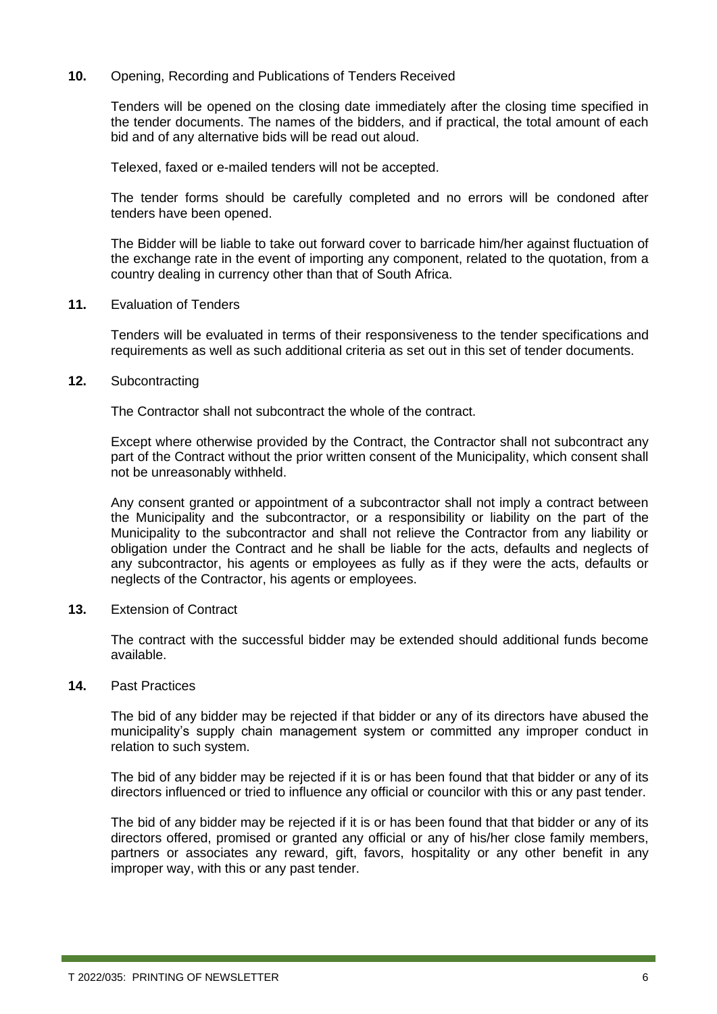#### **10.** Opening, Recording and Publications of Tenders Received

Tenders will be opened on the closing date immediately after the closing time specified in the tender documents. The names of the bidders, and if practical, the total amount of each bid and of any alternative bids will be read out aloud.

Telexed, faxed or e-mailed tenders will not be accepted.

The tender forms should be carefully completed and no errors will be condoned after tenders have been opened.

The Bidder will be liable to take out forward cover to barricade him/her against fluctuation of the exchange rate in the event of importing any component, related to the quotation, from a country dealing in currency other than that of South Africa.

**11.** Evaluation of Tenders

Tenders will be evaluated in terms of their responsiveness to the tender specifications and requirements as well as such additional criteria as set out in this set of tender documents.

**12.** Subcontracting

The Contractor shall not subcontract the whole of the contract.

Except where otherwise provided by the Contract, the Contractor shall not subcontract any part of the Contract without the prior written consent of the Municipality, which consent shall not be unreasonably withheld.

Any consent granted or appointment of a subcontractor shall not imply a contract between the Municipality and the subcontractor, or a responsibility or liability on the part of the Municipality to the subcontractor and shall not relieve the Contractor from any liability or obligation under the Contract and he shall be liable for the acts, defaults and neglects of any subcontractor, his agents or employees as fully as if they were the acts, defaults or neglects of the Contractor, his agents or employees.

**13.** Extension of Contract

The contract with the successful bidder may be extended should additional funds become available.

#### **14.** Past Practices

The bid of any bidder may be rejected if that bidder or any of its directors have abused the municipality's supply chain management system or committed any improper conduct in relation to such system.

The bid of any bidder may be rejected if it is or has been found that that bidder or any of its directors influenced or tried to influence any official or councilor with this or any past tender.

The bid of any bidder may be rejected if it is or has been found that that bidder or any of its directors offered, promised or granted any official or any of his/her close family members, partners or associates any reward, gift, favors, hospitality or any other benefit in any improper way, with this or any past tender.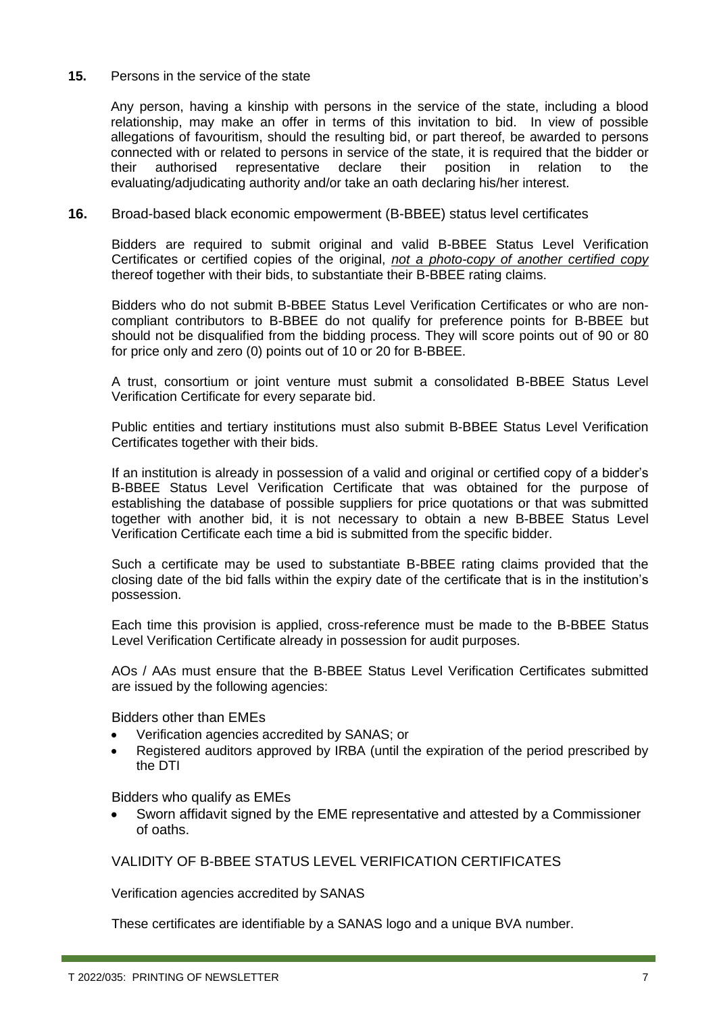#### **15.** Persons in the service of the state

Any person, having a kinship with persons in the service of the state, including a blood relationship, may make an offer in terms of this invitation to bid. In view of possible allegations of favouritism, should the resulting bid, or part thereof, be awarded to persons connected with or related to persons in service of the state, it is required that the bidder or their authorised representative declare their position in relation to the evaluating/adjudicating authority and/or take an oath declaring his/her interest.

#### **16.** Broad-based black economic empowerment (B-BBEE) status level certificates

Bidders are required to submit original and valid B-BBEE Status Level Verification Certificates or certified copies of the original, *not a photo-copy of another certified copy* thereof together with their bids, to substantiate their B-BBEE rating claims.

Bidders who do not submit B-BBEE Status Level Verification Certificates or who are noncompliant contributors to B-BBEE do not qualify for preference points for B-BBEE but should not be disqualified from the bidding process. They will score points out of 90 or 80 for price only and zero (0) points out of 10 or 20 for B-BBEE.

A trust, consortium or joint venture must submit a consolidated B-BBEE Status Level Verification Certificate for every separate bid.

Public entities and tertiary institutions must also submit B-BBEE Status Level Verification Certificates together with their bids.

If an institution is already in possession of a valid and original or certified copy of a bidder's B-BBEE Status Level Verification Certificate that was obtained for the purpose of establishing the database of possible suppliers for price quotations or that was submitted together with another bid, it is not necessary to obtain a new B-BBEE Status Level Verification Certificate each time a bid is submitted from the specific bidder.

Such a certificate may be used to substantiate B-BBEE rating claims provided that the closing date of the bid falls within the expiry date of the certificate that is in the institution's possession.

Each time this provision is applied, cross-reference must be made to the B-BBEE Status Level Verification Certificate already in possession for audit purposes.

AOs / AAs must ensure that the B-BBEE Status Level Verification Certificates submitted are issued by the following agencies:

Bidders other than EMEs

- Verification agencies accredited by SANAS; or
- Registered auditors approved by IRBA (until the expiration of the period prescribed by the DTI

Bidders who qualify as EMEs

• Sworn affidavit signed by the EME representative and attested by a Commissioner of oaths.

VALIDITY OF B-BBEE STATUS LEVEL VERIFICATION CERTIFICATES

Verification agencies accredited by SANAS

These certificates are identifiable by a SANAS logo and a unique BVA number.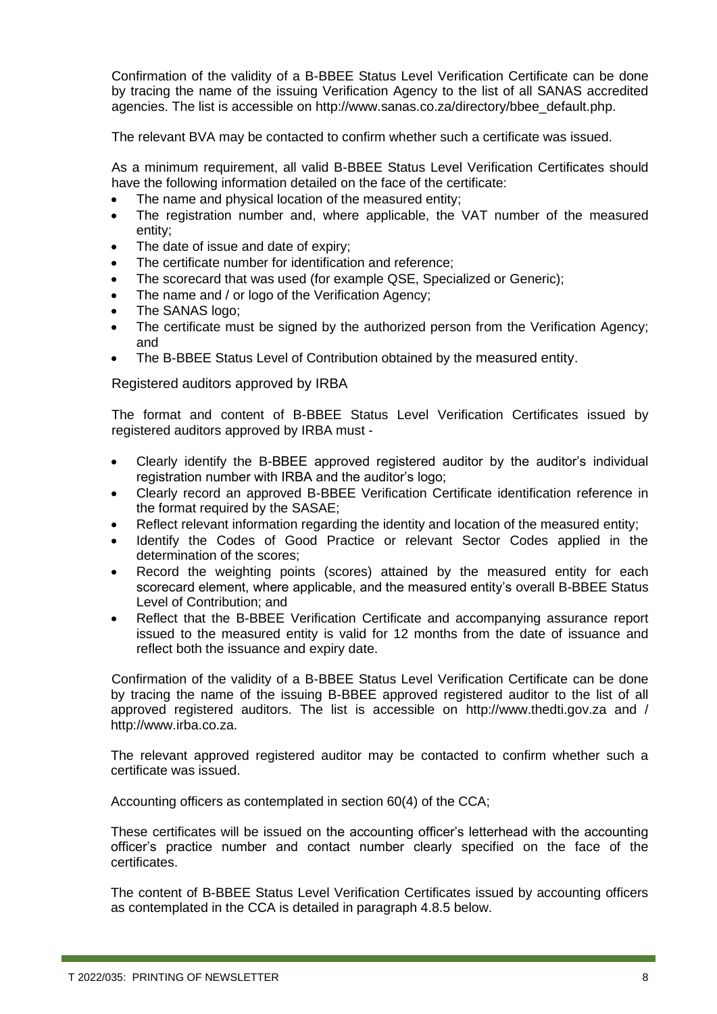Confirmation of the validity of a B-BBEE Status Level Verification Certificate can be done by tracing the name of the issuing Verification Agency to the list of all SANAS accredited agencies. The list is accessible on http://www.sanas.co.za/directory/bbee\_default.php.

The relevant BVA may be contacted to confirm whether such a certificate was issued.

As a minimum requirement, all valid B-BBEE Status Level Verification Certificates should have the following information detailed on the face of the certificate:

- The name and physical location of the measured entity:
- The registration number and, where applicable, the VAT number of the measured entity;
- The date of issue and date of expiry;
- The certificate number for identification and reference;
- The scorecard that was used (for example QSE, Specialized or Generic);
- The name and / or logo of the Verification Agency;
- The SANAS logo:
- The certificate must be signed by the authorized person from the Verification Agency; and
- The B-BBEE Status Level of Contribution obtained by the measured entity.

Registered auditors approved by IRBA

The format and content of B-BBEE Status Level Verification Certificates issued by registered auditors approved by IRBA must -

- Clearly identify the B-BBEE approved registered auditor by the auditor's individual registration number with IRBA and the auditor's logo;
- Clearly record an approved B-BBEE Verification Certificate identification reference in the format required by the SASAE;
- Reflect relevant information regarding the identity and location of the measured entity;
- Identify the Codes of Good Practice or relevant Sector Codes applied in the determination of the scores;
- Record the weighting points (scores) attained by the measured entity for each scorecard element, where applicable, and the measured entity's overall B-BBEE Status Level of Contribution; and
- Reflect that the B-BBEE Verification Certificate and accompanying assurance report issued to the measured entity is valid for 12 months from the date of issuance and reflect both the issuance and expiry date.

Confirmation of the validity of a B-BBEE Status Level Verification Certificate can be done by tracing the name of the issuing B-BBEE approved registered auditor to the list of all approved registered auditors. The list is accessible on http://www.thedti.gov.za and / http://www.irba.co.za.

The relevant approved registered auditor may be contacted to confirm whether such a certificate was issued.

Accounting officers as contemplated in section 60(4) of the CCA;

These certificates will be issued on the accounting officer's letterhead with the accounting officer's practice number and contact number clearly specified on the face of the certificates.

The content of B-BBEE Status Level Verification Certificates issued by accounting officers as contemplated in the CCA is detailed in paragraph 4.8.5 below.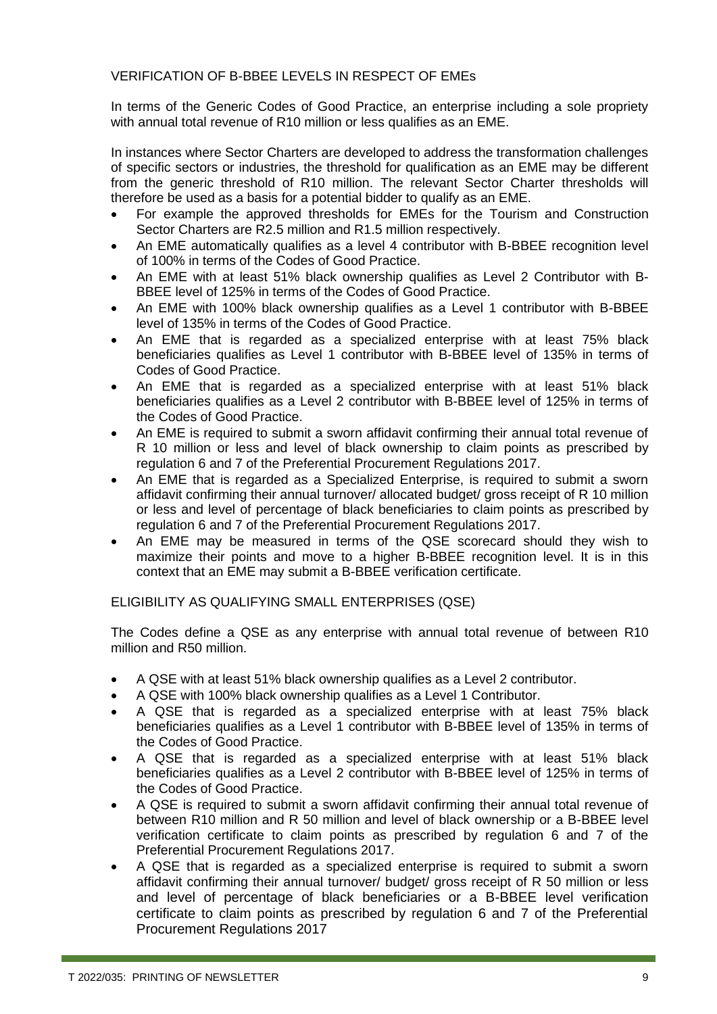#### VERIFICATION OF B-BBEE LEVELS IN RESPECT OF EMEs

In terms of the Generic Codes of Good Practice, an enterprise including a sole propriety with annual total revenue of R10 million or less qualifies as an EME.

In instances where Sector Charters are developed to address the transformation challenges of specific sectors or industries, the threshold for qualification as an EME may be different from the generic threshold of R10 million. The relevant Sector Charter thresholds will therefore be used as a basis for a potential bidder to qualify as an EME.

- For example the approved thresholds for EMEs for the Tourism and Construction Sector Charters are R2.5 million and R1.5 million respectively.
- An EME automatically qualifies as a level 4 contributor with B-BBEE recognition level of 100% in terms of the Codes of Good Practice.
- An EME with at least 51% black ownership qualifies as Level 2 Contributor with B-BBEE level of 125% in terms of the Codes of Good Practice.
- An EME with 100% black ownership qualifies as a Level 1 contributor with B-BBEE level of 135% in terms of the Codes of Good Practice.
- An EME that is regarded as a specialized enterprise with at least 75% black beneficiaries qualifies as Level 1 contributor with B-BBEE level of 135% in terms of Codes of Good Practice.
- An EME that is regarded as a specialized enterprise with at least 51% black beneficiaries qualifies as a Level 2 contributor with B-BBEE level of 125% in terms of the Codes of Good Practice.
- An EME is required to submit a sworn affidavit confirming their annual total revenue of R 10 million or less and level of black ownership to claim points as prescribed by regulation 6 and 7 of the Preferential Procurement Regulations 2017.
- An EME that is regarded as a Specialized Enterprise, is required to submit a sworn affidavit confirming their annual turnover/ allocated budget/ gross receipt of R 10 million or less and level of percentage of black beneficiaries to claim points as prescribed by regulation 6 and 7 of the Preferential Procurement Regulations 2017.
- An EME may be measured in terms of the QSE scorecard should they wish to maximize their points and move to a higher B-BBEE recognition level. It is in this context that an EME may submit a B-BBEE verification certificate.

ELIGIBILITY AS QUALIFYING SMALL ENTERPRISES (QSE)

The Codes define a QSE as any enterprise with annual total revenue of between R10 million and R50 million.

- A QSE with at least 51% black ownership qualifies as a Level 2 contributor.
- A QSE with 100% black ownership qualifies as a Level 1 Contributor.
- A QSE that is regarded as a specialized enterprise with at least 75% black beneficiaries qualifies as a Level 1 contributor with B-BBEE level of 135% in terms of the Codes of Good Practice.
- A QSE that is regarded as a specialized enterprise with at least 51% black beneficiaries qualifies as a Level 2 contributor with B-BBEE level of 125% in terms of the Codes of Good Practice.
- A QSE is required to submit a sworn affidavit confirming their annual total revenue of between R10 million and R 50 million and level of black ownership or a B-BBEE level verification certificate to claim points as prescribed by regulation 6 and 7 of the Preferential Procurement Regulations 2017.
- A QSE that is regarded as a specialized enterprise is required to submit a sworn affidavit confirming their annual turnover/ budget/ gross receipt of R 50 million or less and level of percentage of black beneficiaries or a B-BBEE level verification certificate to claim points as prescribed by regulation 6 and 7 of the Preferential Procurement Regulations 2017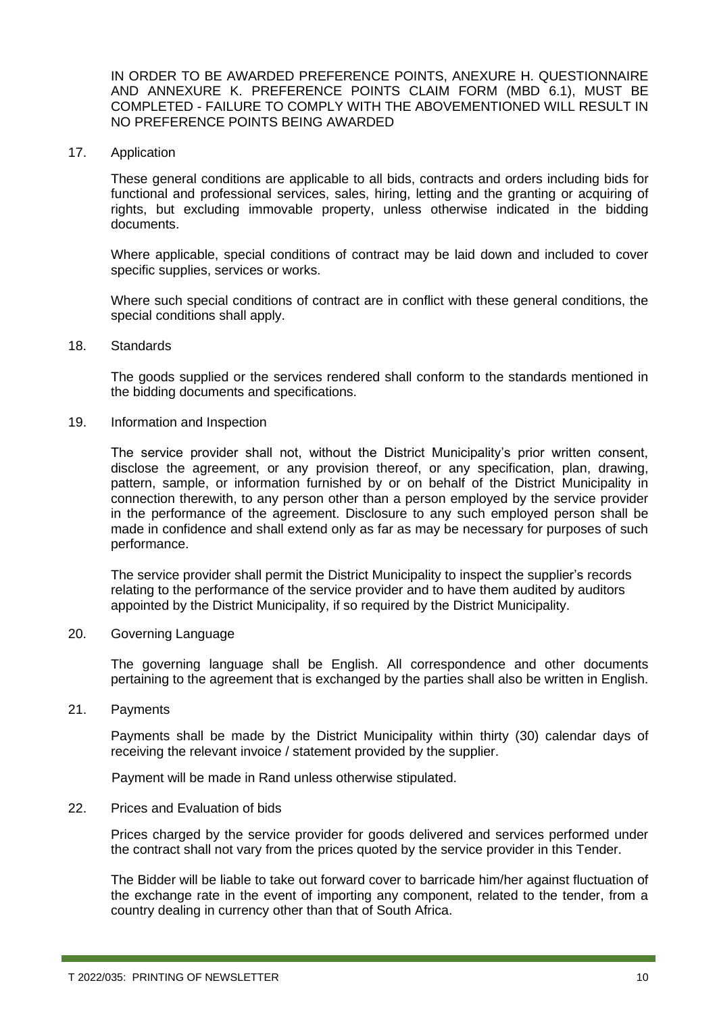IN ORDER TO BE AWARDED PREFERENCE POINTS, ANEXURE H. QUESTIONNAIRE AND ANNEXURE K. PREFERENCE POINTS CLAIM FORM (MBD 6.1), MUST BE COMPLETED - FAILURE TO COMPLY WITH THE ABOVEMENTIONED WILL RESULT IN NO PREFERENCE POINTS BEING AWARDED

17. Application

These general conditions are applicable to all bids, contracts and orders including bids for functional and professional services, sales, hiring, letting and the granting or acquiring of rights, but excluding immovable property, unless otherwise indicated in the bidding documents.

Where applicable, special conditions of contract may be laid down and included to cover specific supplies, services or works.

Where such special conditions of contract are in conflict with these general conditions, the special conditions shall apply.

18. Standards

The goods supplied or the services rendered shall conform to the standards mentioned in the bidding documents and specifications.

19. Information and Inspection

The service provider shall not, without the District Municipality's prior written consent, disclose the agreement, or any provision thereof, or any specification, plan, drawing, pattern, sample, or information furnished by or on behalf of the District Municipality in connection therewith, to any person other than a person employed by the service provider in the performance of the agreement. Disclosure to any such employed person shall be made in confidence and shall extend only as far as may be necessary for purposes of such performance.

The service provider shall permit the District Municipality to inspect the supplier's records relating to the performance of the service provider and to have them audited by auditors appointed by the District Municipality, if so required by the District Municipality.

20. Governing Language

The governing language shall be English. All correspondence and other documents pertaining to the agreement that is exchanged by the parties shall also be written in English.

21. Payments

Payments shall be made by the District Municipality within thirty (30) calendar days of receiving the relevant invoice / statement provided by the supplier.

Payment will be made in Rand unless otherwise stipulated.

22. Prices and Evaluation of bids

Prices charged by the service provider for goods delivered and services performed under the contract shall not vary from the prices quoted by the service provider in this Tender.

The Bidder will be liable to take out forward cover to barricade him/her against fluctuation of the exchange rate in the event of importing any component, related to the tender, from a country dealing in currency other than that of South Africa.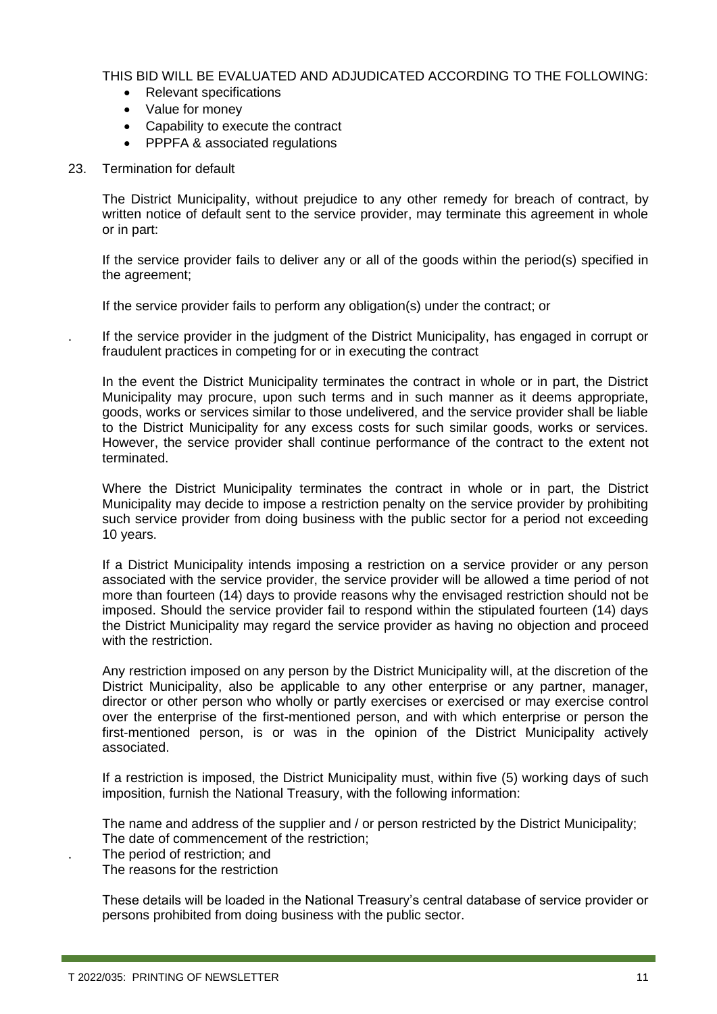THIS BID WILL BE EVALUATED AND ADJUDICATED ACCORDING TO THE FOLLOWING:

- Relevant specifications
- Value for money
- Capability to execute the contract
- PPPFA & associated regulations
- 23. Termination for default

The District Municipality, without prejudice to any other remedy for breach of contract, by written notice of default sent to the service provider, may terminate this agreement in whole or in part:

If the service provider fails to deliver any or all of the goods within the period(s) specified in the agreement;

If the service provider fails to perform any obligation(s) under the contract; or

. If the service provider in the judgment of the District Municipality, has engaged in corrupt or fraudulent practices in competing for or in executing the contract

In the event the District Municipality terminates the contract in whole or in part, the District Municipality may procure, upon such terms and in such manner as it deems appropriate, goods, works or services similar to those undelivered, and the service provider shall be liable to the District Municipality for any excess costs for such similar goods, works or services. However, the service provider shall continue performance of the contract to the extent not terminated.

Where the District Municipality terminates the contract in whole or in part, the District Municipality may decide to impose a restriction penalty on the service provider by prohibiting such service provider from doing business with the public sector for a period not exceeding 10 years.

If a District Municipality intends imposing a restriction on a service provider or any person associated with the service provider, the service provider will be allowed a time period of not more than fourteen (14) days to provide reasons why the envisaged restriction should not be imposed. Should the service provider fail to respond within the stipulated fourteen (14) days the District Municipality may regard the service provider as having no objection and proceed with the restriction.

Any restriction imposed on any person by the District Municipality will, at the discretion of the District Municipality, also be applicable to any other enterprise or any partner, manager, director or other person who wholly or partly exercises or exercised or may exercise control over the enterprise of the first-mentioned person, and with which enterprise or person the first-mentioned person, is or was in the opinion of the District Municipality actively associated.

If a restriction is imposed, the District Municipality must, within five (5) working days of such imposition, furnish the National Treasury, with the following information:

The name and address of the supplier and / or person restricted by the District Municipality; The date of commencement of the restriction;

. The period of restriction; and

The reasons for the restriction

These details will be loaded in the National Treasury's central database of service provider or persons prohibited from doing business with the public sector.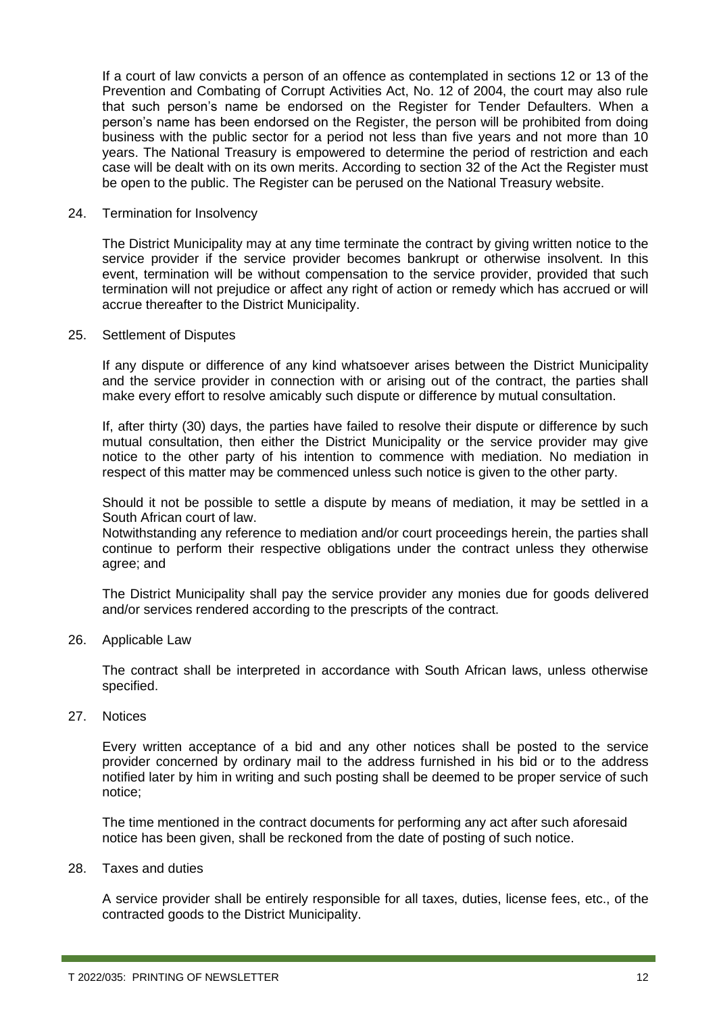If a court of law convicts a person of an offence as contemplated in sections 12 or 13 of the Prevention and Combating of Corrupt Activities Act, No. 12 of 2004, the court may also rule that such person's name be endorsed on the Register for Tender Defaulters. When a person's name has been endorsed on the Register, the person will be prohibited from doing business with the public sector for a period not less than five years and not more than 10 years. The National Treasury is empowered to determine the period of restriction and each case will be dealt with on its own merits. According to section 32 of the Act the Register must be open to the public. The Register can be perused on the National Treasury website.

#### 24. Termination for Insolvency

The District Municipality may at any time terminate the contract by giving written notice to the service provider if the service provider becomes bankrupt or otherwise insolvent. In this event, termination will be without compensation to the service provider, provided that such termination will not prejudice or affect any right of action or remedy which has accrued or will accrue thereafter to the District Municipality.

#### 25. Settlement of Disputes

If any dispute or difference of any kind whatsoever arises between the District Municipality and the service provider in connection with or arising out of the contract, the parties shall make every effort to resolve amicably such dispute or difference by mutual consultation.

If, after thirty (30) days, the parties have failed to resolve their dispute or difference by such mutual consultation, then either the District Municipality or the service provider may give notice to the other party of his intention to commence with mediation. No mediation in respect of this matter may be commenced unless such notice is given to the other party.

Should it not be possible to settle a dispute by means of mediation, it may be settled in a South African court of law.

Notwithstanding any reference to mediation and/or court proceedings herein, the parties shall continue to perform their respective obligations under the contract unless they otherwise agree; and

The District Municipality shall pay the service provider any monies due for goods delivered and/or services rendered according to the prescripts of the contract.

26. Applicable Law

The contract shall be interpreted in accordance with South African laws, unless otherwise specified.

27. Notices

Every written acceptance of a bid and any other notices shall be posted to the service provider concerned by ordinary mail to the address furnished in his bid or to the address notified later by him in writing and such posting shall be deemed to be proper service of such notice;

The time mentioned in the contract documents for performing any act after such aforesaid notice has been given, shall be reckoned from the date of posting of such notice.

28. Taxes and duties

A service provider shall be entirely responsible for all taxes, duties, license fees, etc., of the contracted goods to the District Municipality.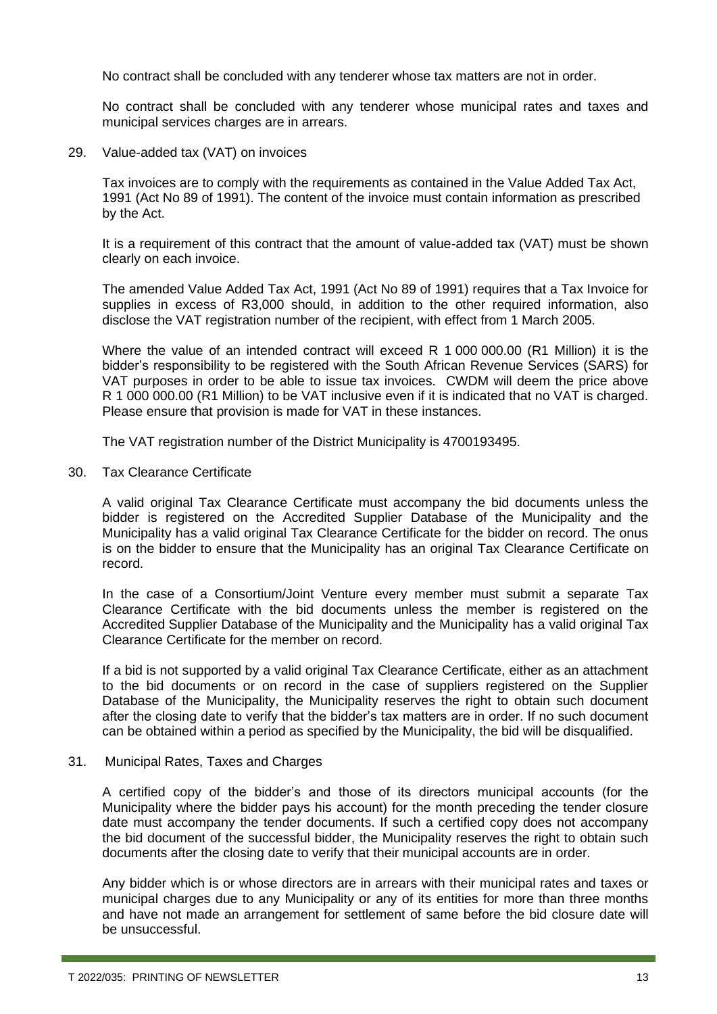No contract shall be concluded with any tenderer whose tax matters are not in order.

No contract shall be concluded with any tenderer whose municipal rates and taxes and municipal services charges are in arrears.

29. Value-added tax (VAT) on invoices

Tax invoices are to comply with the requirements as contained in the Value Added Tax Act, 1991 (Act No 89 of 1991). The content of the invoice must contain information as prescribed by the Act.

It is a requirement of this contract that the amount of value-added tax (VAT) must be shown clearly on each invoice.

The amended Value Added Tax Act, 1991 (Act No 89 of 1991) requires that a Tax Invoice for supplies in excess of R3,000 should, in addition to the other required information, also disclose the VAT registration number of the recipient, with effect from 1 March 2005.

Where the value of an intended contract will exceed R 1 000 000.00 (R1 Million) it is the bidder's responsibility to be registered with the South African Revenue Services (SARS) for VAT purposes in order to be able to issue tax invoices. CWDM will deem the price above R 1 000 000.00 (R1 Million) to be VAT inclusive even if it is indicated that no VAT is charged. Please ensure that provision is made for VAT in these instances.

The VAT registration number of the District Municipality is 4700193495.

30. Tax Clearance Certificate

A valid original Tax Clearance Certificate must accompany the bid documents unless the bidder is registered on the Accredited Supplier Database of the Municipality and the Municipality has a valid original Tax Clearance Certificate for the bidder on record. The onus is on the bidder to ensure that the Municipality has an original Tax Clearance Certificate on record.

In the case of a Consortium/Joint Venture every member must submit a separate Tax Clearance Certificate with the bid documents unless the member is registered on the Accredited Supplier Database of the Municipality and the Municipality has a valid original Tax Clearance Certificate for the member on record.

If a bid is not supported by a valid original Tax Clearance Certificate, either as an attachment to the bid documents or on record in the case of suppliers registered on the Supplier Database of the Municipality, the Municipality reserves the right to obtain such document after the closing date to verify that the bidder's tax matters are in order. If no such document can be obtained within a period as specified by the Municipality, the bid will be disqualified.

#### 31. Municipal Rates, Taxes and Charges

A certified copy of the bidder's and those of its directors municipal accounts (for the Municipality where the bidder pays his account) for the month preceding the tender closure date must accompany the tender documents. If such a certified copy does not accompany the bid document of the successful bidder, the Municipality reserves the right to obtain such documents after the closing date to verify that their municipal accounts are in order.

Any bidder which is or whose directors are in arrears with their municipal rates and taxes or municipal charges due to any Municipality or any of its entities for more than three months and have not made an arrangement for settlement of same before the bid closure date will be unsuccessful.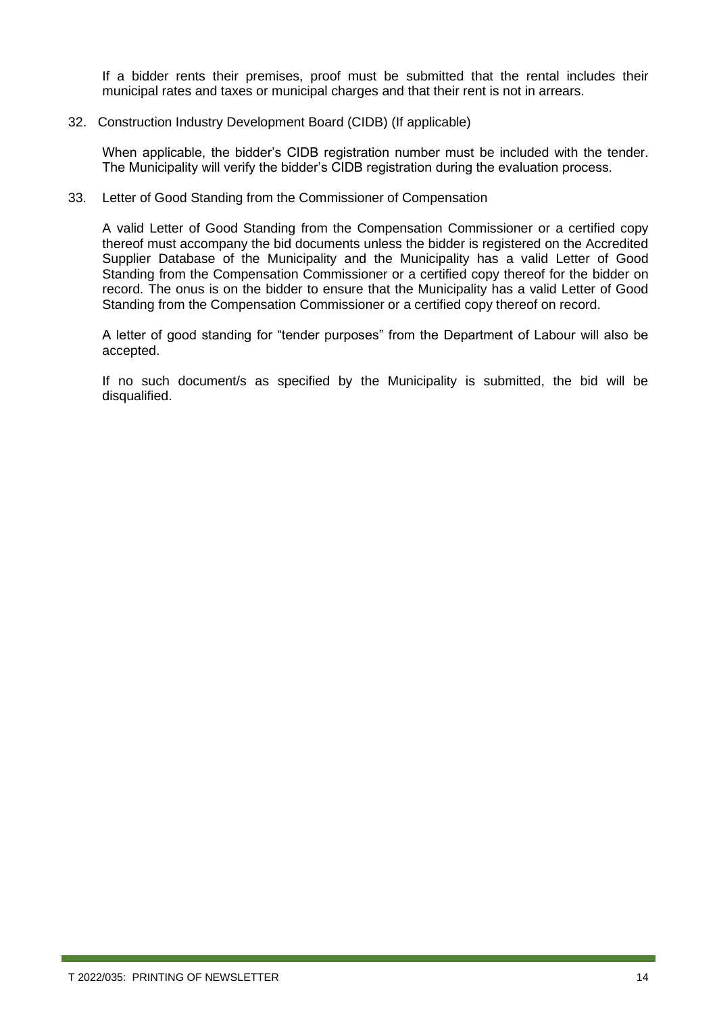If a bidder rents their premises, proof must be submitted that the rental includes their municipal rates and taxes or municipal charges and that their rent is not in arrears.

#### 32. Construction Industry Development Board (CIDB) (If applicable)

When applicable, the bidder's CIDB registration number must be included with the tender. The Municipality will verify the bidder's CIDB registration during the evaluation process.

#### 33. Letter of Good Standing from the Commissioner of Compensation

A valid Letter of Good Standing from the Compensation Commissioner or a certified copy thereof must accompany the bid documents unless the bidder is registered on the Accredited Supplier Database of the Municipality and the Municipality has a valid Letter of Good Standing from the Compensation Commissioner or a certified copy thereof for the bidder on record. The onus is on the bidder to ensure that the Municipality has a valid Letter of Good Standing from the Compensation Commissioner or a certified copy thereof on record.

A letter of good standing for "tender purposes" from the Department of Labour will also be accepted.

If no such document/s as specified by the Municipality is submitted, the bid will be disqualified.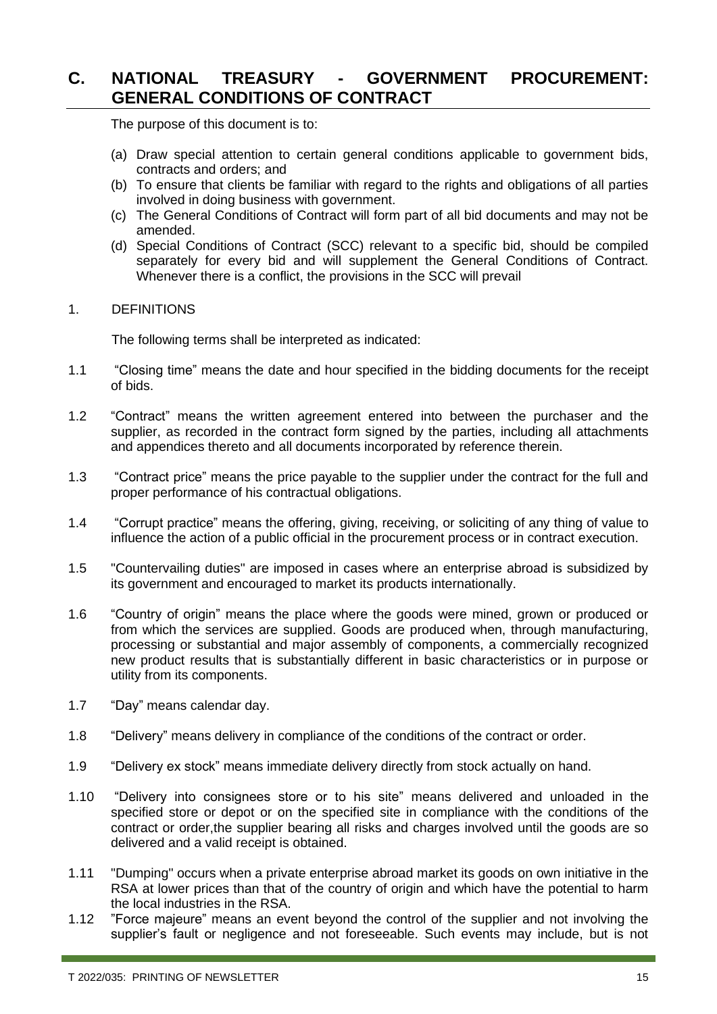### <span id="page-14-0"></span>**C. NATIONAL TREASURY - GOVERNMENT PROCUREMENT: GENERAL CONDITIONS OF CONTRACT**

The purpose of this document is to:

- (a) Draw special attention to certain general conditions applicable to government bids, contracts and orders; and
- (b) To ensure that clients be familiar with regard to the rights and obligations of all parties involved in doing business with government.
- (c) The General Conditions of Contract will form part of all bid documents and may not be amended.
- (d) Special Conditions of Contract (SCC) relevant to a specific bid, should be compiled separately for every bid and will supplement the General Conditions of Contract. Whenever there is a conflict, the provisions in the SCC will prevail

#### 1. DEFINITIONS

The following terms shall be interpreted as indicated:

- 1.1 "Closing time" means the date and hour specified in the bidding documents for the receipt of bids.
- 1.2 "Contract" means the written agreement entered into between the purchaser and the supplier, as recorded in the contract form signed by the parties, including all attachments and appendices thereto and all documents incorporated by reference therein.
- 1.3 "Contract price" means the price payable to the supplier under the contract for the full and proper performance of his contractual obligations.
- 1.4 "Corrupt practice" means the offering, giving, receiving, or soliciting of any thing of value to influence the action of a public official in the procurement process or in contract execution.
- 1.5 "Countervailing duties" are imposed in cases where an enterprise abroad is subsidized by its government and encouraged to market its products internationally.
- 1.6 "Country of origin" means the place where the goods were mined, grown or produced or from which the services are supplied. Goods are produced when, through manufacturing, processing or substantial and major assembly of components, a commercially recognized new product results that is substantially different in basic characteristics or in purpose or utility from its components.
- 1.7 "Day" means calendar day.
- 1.8 "Delivery" means delivery in compliance of the conditions of the contract or order.
- 1.9 "Delivery ex stock" means immediate delivery directly from stock actually on hand.
- 1.10 "Delivery into consignees store or to his site" means delivered and unloaded in the specified store or depot or on the specified site in compliance with the conditions of the contract or order,the supplier bearing all risks and charges involved until the goods are so delivered and a valid receipt is obtained.
- 1.11 "Dumping" occurs when a private enterprise abroad market its goods on own initiative in the RSA at lower prices than that of the country of origin and which have the potential to harm the local industries in the RSA.
- 1.12 "Force majeure" means an event beyond the control of the supplier and not involving the supplier's fault or negligence and not foreseeable. Such events may include, but is not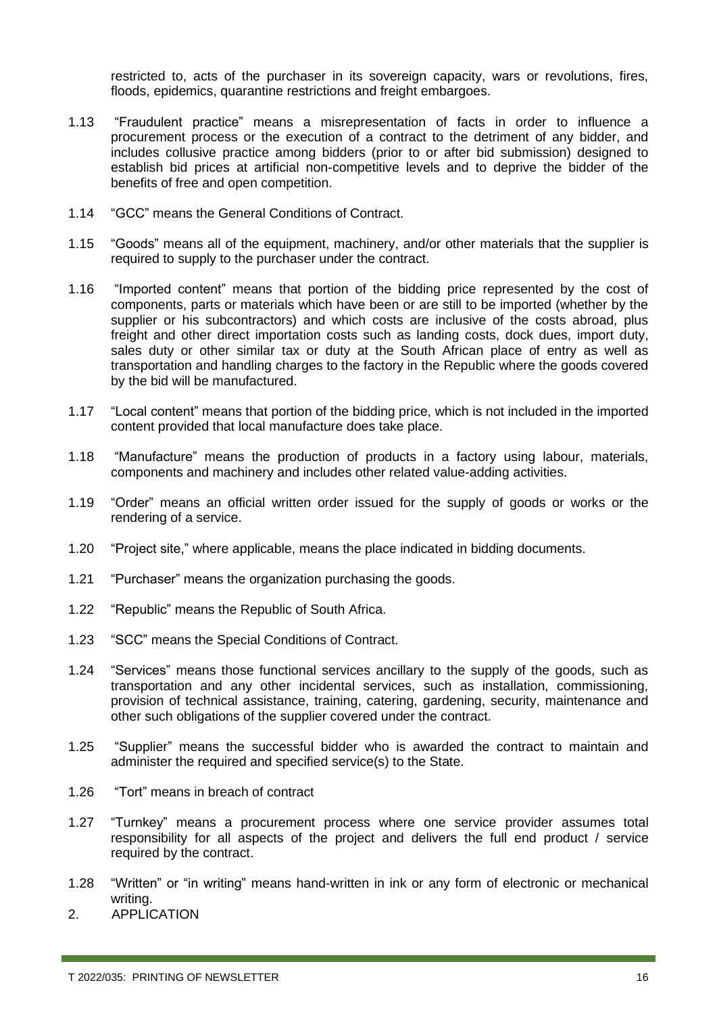restricted to, acts of the purchaser in its sovereign capacity, wars or revolutions, fires, floods, epidemics, quarantine restrictions and freight embargoes.

- 1.13 "Fraudulent practice" means a misrepresentation of facts in order to influence a procurement process or the execution of a contract to the detriment of any bidder, and includes collusive practice among bidders (prior to or after bid submission) designed to establish bid prices at artificial non-competitive levels and to deprive the bidder of the benefits of free and open competition.
- 1.14 "GCC" means the General Conditions of Contract.
- 1.15 "Goods" means all of the equipment, machinery, and/or other materials that the supplier is required to supply to the purchaser under the contract.
- 1.16 "Imported content" means that portion of the bidding price represented by the cost of components, parts or materials which have been or are still to be imported (whether by the supplier or his subcontractors) and which costs are inclusive of the costs abroad, plus freight and other direct importation costs such as landing costs, dock dues, import duty, sales duty or other similar tax or duty at the South African place of entry as well as transportation and handling charges to the factory in the Republic where the goods covered by the bid will be manufactured.
- 1.17 "Local content" means that portion of the bidding price, which is not included in the imported content provided that local manufacture does take place.
- 1.18 "Manufacture" means the production of products in a factory using labour, materials, components and machinery and includes other related value-adding activities.
- 1.19 "Order" means an official written order issued for the supply of goods or works or the rendering of a service.
- 1.20 "Project site," where applicable, means the place indicated in bidding documents.
- 1.21 "Purchaser" means the organization purchasing the goods.
- 1.22 "Republic" means the Republic of South Africa.
- 1.23 "SCC" means the Special Conditions of Contract.
- 1.24 "Services" means those functional services ancillary to the supply of the goods, such as transportation and any other incidental services, such as installation, commissioning, provision of technical assistance, training, catering, gardening, security, maintenance and other such obligations of the supplier covered under the contract.
- 1.25 "Supplier" means the successful bidder who is awarded the contract to maintain and administer the required and specified service(s) to the State.
- 1.26 "Tort" means in breach of contract
- 1.27 "Turnkey" means a procurement process where one service provider assumes total responsibility for all aspects of the project and delivers the full end product / service required by the contract.
- 1.28 "Written" or "in writing" means hand-written in ink or any form of electronic or mechanical writing.
- 2. APPLICATION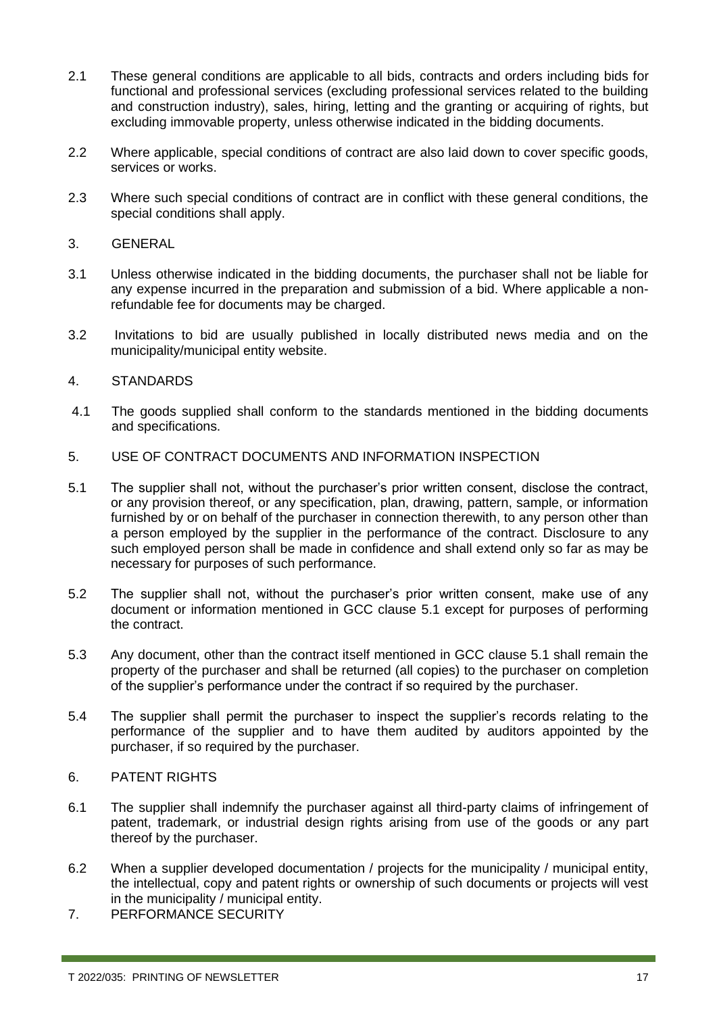- 2.1 These general conditions are applicable to all bids, contracts and orders including bids for functional and professional services (excluding professional services related to the building and construction industry), sales, hiring, letting and the granting or acquiring of rights, but excluding immovable property, unless otherwise indicated in the bidding documents.
- 2.2 Where applicable, special conditions of contract are also laid down to cover specific goods, services or works.
- 2.3 Where such special conditions of contract are in conflict with these general conditions, the special conditions shall apply.
- 3. GENERAL
- 3.1 Unless otherwise indicated in the bidding documents, the purchaser shall not be liable for any expense incurred in the preparation and submission of a bid. Where applicable a nonrefundable fee for documents may be charged.
- 3.2 Invitations to bid are usually published in locally distributed news media and on the municipality/municipal entity website.

#### 4. STANDARDS

- 4.1 The goods supplied shall conform to the standards mentioned in the bidding documents and specifications.
- 5. USE OF CONTRACT DOCUMENTS AND INFORMATION INSPECTION
- 5.1 The supplier shall not, without the purchaser's prior written consent, disclose the contract, or any provision thereof, or any specification, plan, drawing, pattern, sample, or information furnished by or on behalf of the purchaser in connection therewith, to any person other than a person employed by the supplier in the performance of the contract. Disclosure to any such employed person shall be made in confidence and shall extend only so far as may be necessary for purposes of such performance.
- 5.2 The supplier shall not, without the purchaser's prior written consent, make use of any document or information mentioned in GCC clause 5.1 except for purposes of performing the contract.
- 5.3 Any document, other than the contract itself mentioned in GCC clause 5.1 shall remain the property of the purchaser and shall be returned (all copies) to the purchaser on completion of the supplier's performance under the contract if so required by the purchaser.
- 5.4 The supplier shall permit the purchaser to inspect the supplier's records relating to the performance of the supplier and to have them audited by auditors appointed by the purchaser, if so required by the purchaser.

#### 6. PATENT RIGHTS

- 6.1 The supplier shall indemnify the purchaser against all third-party claims of infringement of patent, trademark, or industrial design rights arising from use of the goods or any part thereof by the purchaser.
- 6.2 When a supplier developed documentation / projects for the municipality / municipal entity, the intellectual, copy and patent rights or ownership of such documents or projects will vest in the municipality / municipal entity.
- 7. PERFORMANCE SECURITY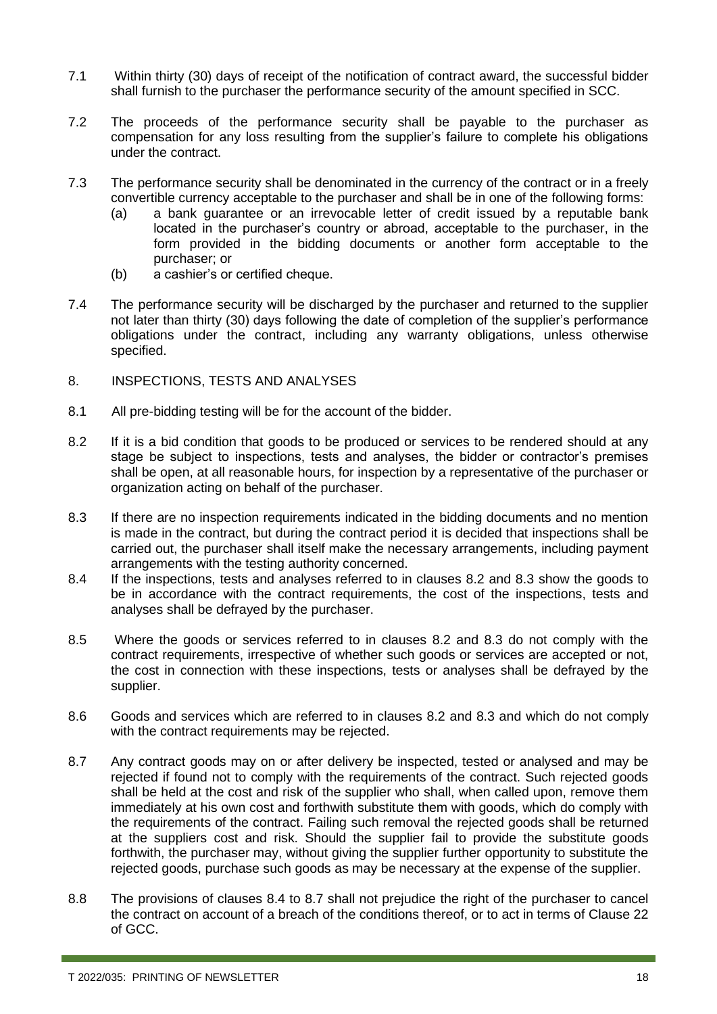- 7.1 Within thirty (30) days of receipt of the notification of contract award, the successful bidder shall furnish to the purchaser the performance security of the amount specified in SCC.
- 7.2 The proceeds of the performance security shall be payable to the purchaser as compensation for any loss resulting from the supplier's failure to complete his obligations under the contract.
- 7.3 The performance security shall be denominated in the currency of the contract or in a freely convertible currency acceptable to the purchaser and shall be in one of the following forms:
	- (a) a bank guarantee or an irrevocable letter of credit issued by a reputable bank located in the purchaser's country or abroad, acceptable to the purchaser, in the form provided in the bidding documents or another form acceptable to the purchaser; or
	- (b) a cashier's or certified cheque.
- 7.4 The performance security will be discharged by the purchaser and returned to the supplier not later than thirty (30) days following the date of completion of the supplier's performance obligations under the contract, including any warranty obligations, unless otherwise specified.
- 8. INSPECTIONS, TESTS AND ANALYSES
- 8.1 All pre-bidding testing will be for the account of the bidder.
- 8.2 If it is a bid condition that goods to be produced or services to be rendered should at any stage be subject to inspections, tests and analyses, the bidder or contractor's premises shall be open, at all reasonable hours, for inspection by a representative of the purchaser or organization acting on behalf of the purchaser.
- 8.3 If there are no inspection requirements indicated in the bidding documents and no mention is made in the contract, but during the contract period it is decided that inspections shall be carried out, the purchaser shall itself make the necessary arrangements, including payment arrangements with the testing authority concerned.
- 8.4 If the inspections, tests and analyses referred to in clauses 8.2 and 8.3 show the goods to be in accordance with the contract requirements, the cost of the inspections, tests and analyses shall be defrayed by the purchaser.
- 8.5 Where the goods or services referred to in clauses 8.2 and 8.3 do not comply with the contract requirements, irrespective of whether such goods or services are accepted or not, the cost in connection with these inspections, tests or analyses shall be defrayed by the supplier.
- 8.6 Goods and services which are referred to in clauses 8.2 and 8.3 and which do not comply with the contract requirements may be rejected.
- 8.7 Any contract goods may on or after delivery be inspected, tested or analysed and may be rejected if found not to comply with the requirements of the contract. Such rejected goods shall be held at the cost and risk of the supplier who shall, when called upon, remove them immediately at his own cost and forthwith substitute them with goods, which do comply with the requirements of the contract. Failing such removal the rejected goods shall be returned at the suppliers cost and risk. Should the supplier fail to provide the substitute goods forthwith, the purchaser may, without giving the supplier further opportunity to substitute the rejected goods, purchase such goods as may be necessary at the expense of the supplier.
- 8.8 The provisions of clauses 8.4 to 8.7 shall not prejudice the right of the purchaser to cancel the contract on account of a breach of the conditions thereof, or to act in terms of Clause 22 of GCC.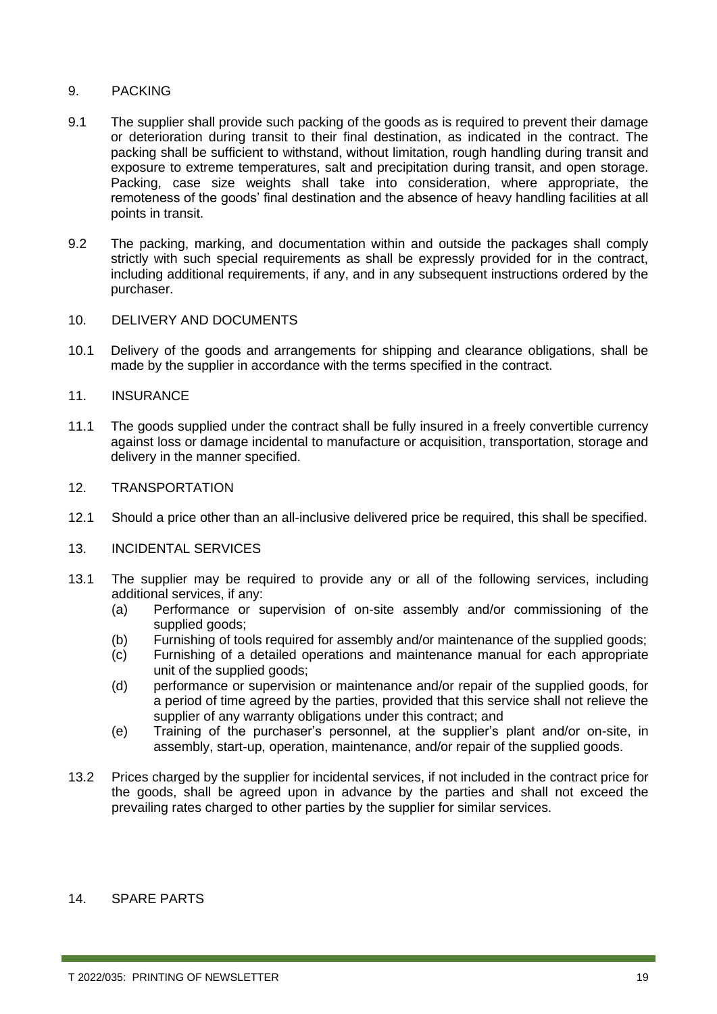#### 9. PACKING

- 9.1 The supplier shall provide such packing of the goods as is required to prevent their damage or deterioration during transit to their final destination, as indicated in the contract. The packing shall be sufficient to withstand, without limitation, rough handling during transit and exposure to extreme temperatures, salt and precipitation during transit, and open storage. Packing, case size weights shall take into consideration, where appropriate, the remoteness of the goods' final destination and the absence of heavy handling facilities at all points in transit.
- 9.2 The packing, marking, and documentation within and outside the packages shall comply strictly with such special requirements as shall be expressly provided for in the contract, including additional requirements, if any, and in any subsequent instructions ordered by the purchaser.
- 10. DELIVERY AND DOCUMENTS
- 10.1 Delivery of the goods and arrangements for shipping and clearance obligations, shall be made by the supplier in accordance with the terms specified in the contract.

#### 11. INSURANCE

11.1 The goods supplied under the contract shall be fully insured in a freely convertible currency against loss or damage incidental to manufacture or acquisition, transportation, storage and delivery in the manner specified.

#### 12. TRANSPORTATION

12.1 Should a price other than an all-inclusive delivered price be required, this shall be specified.

#### 13. INCIDENTAL SERVICES

- 13.1 The supplier may be required to provide any or all of the following services, including additional services, if any:
	- (a) Performance or supervision of on-site assembly and/or commissioning of the supplied goods;
	- (b) Furnishing of tools required for assembly and/or maintenance of the supplied goods;
	- (c) Furnishing of a detailed operations and maintenance manual for each appropriate unit of the supplied goods;
	- (d) performance or supervision or maintenance and/or repair of the supplied goods, for a period of time agreed by the parties, provided that this service shall not relieve the supplier of any warranty obligations under this contract; and
	- (e) Training of the purchaser's personnel, at the supplier's plant and/or on-site, in assembly, start-up, operation, maintenance, and/or repair of the supplied goods.
- 13.2 Prices charged by the supplier for incidental services, if not included in the contract price for the goods, shall be agreed upon in advance by the parties and shall not exceed the prevailing rates charged to other parties by the supplier for similar services.

#### 14. SPARE PARTS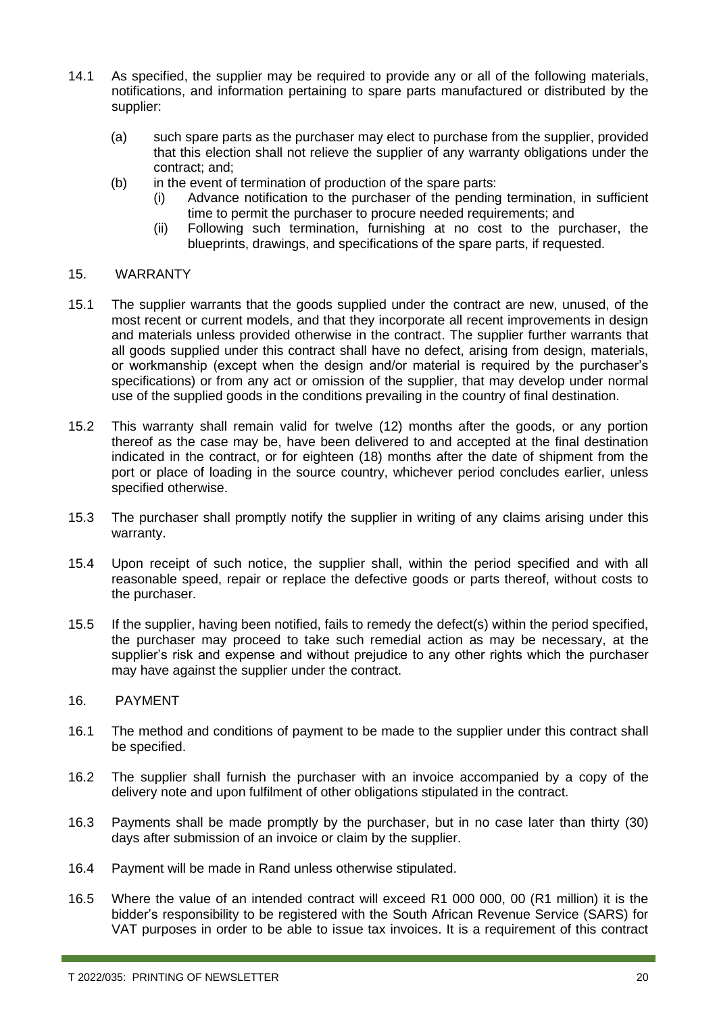- 14.1 As specified, the supplier may be required to provide any or all of the following materials, notifications, and information pertaining to spare parts manufactured or distributed by the supplier:
	- (a) such spare parts as the purchaser may elect to purchase from the supplier, provided that this election shall not relieve the supplier of any warranty obligations under the contract; and;
	- (b) in the event of termination of production of the spare parts:
		- (i) Advance notification to the purchaser of the pending termination, in sufficient time to permit the purchaser to procure needed requirements; and
		- (ii) Following such termination, furnishing at no cost to the purchaser, the blueprints, drawings, and specifications of the spare parts, if requested.

#### 15. WARRANTY

- 15.1 The supplier warrants that the goods supplied under the contract are new, unused, of the most recent or current models, and that they incorporate all recent improvements in design and materials unless provided otherwise in the contract. The supplier further warrants that all goods supplied under this contract shall have no defect, arising from design, materials, or workmanship (except when the design and/or material is required by the purchaser's specifications) or from any act or omission of the supplier, that may develop under normal use of the supplied goods in the conditions prevailing in the country of final destination.
- 15.2 This warranty shall remain valid for twelve (12) months after the goods, or any portion thereof as the case may be, have been delivered to and accepted at the final destination indicated in the contract, or for eighteen (18) months after the date of shipment from the port or place of loading in the source country, whichever period concludes earlier, unless specified otherwise.
- 15.3 The purchaser shall promptly notify the supplier in writing of any claims arising under this warranty.
- 15.4 Upon receipt of such notice, the supplier shall, within the period specified and with all reasonable speed, repair or replace the defective goods or parts thereof, without costs to the purchaser.
- 15.5 If the supplier, having been notified, fails to remedy the defect(s) within the period specified, the purchaser may proceed to take such remedial action as may be necessary, at the supplier's risk and expense and without prejudice to any other rights which the purchaser may have against the supplier under the contract.
- 16. PAYMENT
- 16.1 The method and conditions of payment to be made to the supplier under this contract shall be specified.
- 16.2 The supplier shall furnish the purchaser with an invoice accompanied by a copy of the delivery note and upon fulfilment of other obligations stipulated in the contract.
- 16.3 Payments shall be made promptly by the purchaser, but in no case later than thirty (30) days after submission of an invoice or claim by the supplier.
- 16.4 Payment will be made in Rand unless otherwise stipulated.
- 16.5 Where the value of an intended contract will exceed R1 000 000, 00 (R1 million) it is the bidder's responsibility to be registered with the South African Revenue Service (SARS) for VAT purposes in order to be able to issue tax invoices. It is a requirement of this contract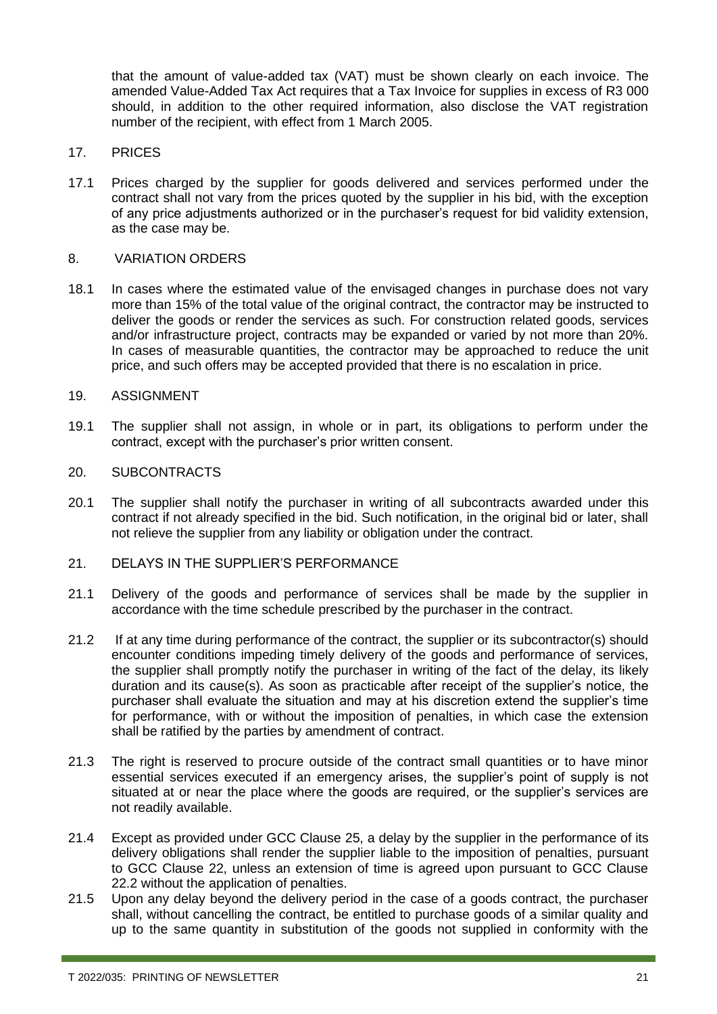that the amount of value-added tax (VAT) must be shown clearly on each invoice. The amended Value-Added Tax Act requires that a Tax Invoice for supplies in excess of R3 000 should, in addition to the other required information, also disclose the VAT registration number of the recipient, with effect from 1 March 2005.

#### 17. PRICES

17.1 Prices charged by the supplier for goods delivered and services performed under the contract shall not vary from the prices quoted by the supplier in his bid, with the exception of any price adjustments authorized or in the purchaser's request for bid validity extension, as the case may be.

#### 8. VARIATION ORDERS

18.1 In cases where the estimated value of the envisaged changes in purchase does not vary more than 15% of the total value of the original contract, the contractor may be instructed to deliver the goods or render the services as such. For construction related goods, services and/or infrastructure project, contracts may be expanded or varied by not more than 20%. In cases of measurable quantities, the contractor may be approached to reduce the unit price, and such offers may be accepted provided that there is no escalation in price.

#### 19. ASSIGNMENT

19.1 The supplier shall not assign, in whole or in part, its obligations to perform under the contract, except with the purchaser's prior written consent.

#### 20. SUBCONTRACTS

20.1 The supplier shall notify the purchaser in writing of all subcontracts awarded under this contract if not already specified in the bid. Such notification, in the original bid or later, shall not relieve the supplier from any liability or obligation under the contract.

#### 21. DELAYS IN THE SUPPLIER'S PERFORMANCE

- 21.1 Delivery of the goods and performance of services shall be made by the supplier in accordance with the time schedule prescribed by the purchaser in the contract.
- 21.2 If at any time during performance of the contract, the supplier or its subcontractor(s) should encounter conditions impeding timely delivery of the goods and performance of services, the supplier shall promptly notify the purchaser in writing of the fact of the delay, its likely duration and its cause(s). As soon as practicable after receipt of the supplier's notice, the purchaser shall evaluate the situation and may at his discretion extend the supplier's time for performance, with or without the imposition of penalties, in which case the extension shall be ratified by the parties by amendment of contract.
- 21.3 The right is reserved to procure outside of the contract small quantities or to have minor essential services executed if an emergency arises, the supplier's point of supply is not situated at or near the place where the goods are required, or the supplier's services are not readily available.
- 21.4 Except as provided under GCC Clause 25, a delay by the supplier in the performance of its delivery obligations shall render the supplier liable to the imposition of penalties, pursuant to GCC Clause 22, unless an extension of time is agreed upon pursuant to GCC Clause 22.2 without the application of penalties.
- 21.5 Upon any delay beyond the delivery period in the case of a goods contract, the purchaser shall, without cancelling the contract, be entitled to purchase goods of a similar quality and up to the same quantity in substitution of the goods not supplied in conformity with the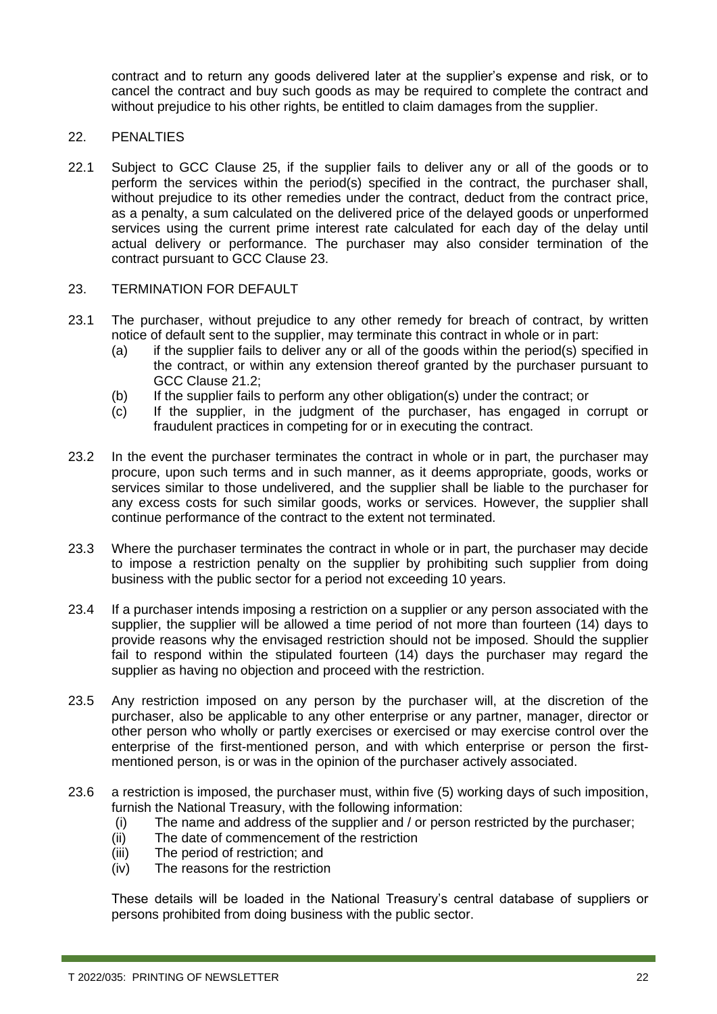contract and to return any goods delivered later at the supplier's expense and risk, or to cancel the contract and buy such goods as may be required to complete the contract and without prejudice to his other rights, be entitled to claim damages from the supplier.

#### 22. PENALTIES

22.1 Subject to GCC Clause 25, if the supplier fails to deliver any or all of the goods or to perform the services within the period(s) specified in the contract, the purchaser shall, without prejudice to its other remedies under the contract, deduct from the contract price, as a penalty, a sum calculated on the delivered price of the delayed goods or unperformed services using the current prime interest rate calculated for each day of the delay until actual delivery or performance. The purchaser may also consider termination of the contract pursuant to GCC Clause 23.

#### 23. TERMINATION FOR DEFAULT

- 23.1 The purchaser, without prejudice to any other remedy for breach of contract, by written notice of default sent to the supplier, may terminate this contract in whole or in part:
	- (a) if the supplier fails to deliver any or all of the goods within the period(s) specified in the contract, or within any extension thereof granted by the purchaser pursuant to GCC Clause 21.2;
	- (b) If the supplier fails to perform any other obligation(s) under the contract; or
	- (c) If the supplier, in the judgment of the purchaser, has engaged in corrupt or fraudulent practices in competing for or in executing the contract.
- 23.2 In the event the purchaser terminates the contract in whole or in part, the purchaser may procure, upon such terms and in such manner, as it deems appropriate, goods, works or services similar to those undelivered, and the supplier shall be liable to the purchaser for any excess costs for such similar goods, works or services. However, the supplier shall continue performance of the contract to the extent not terminated.
- 23.3 Where the purchaser terminates the contract in whole or in part, the purchaser may decide to impose a restriction penalty on the supplier by prohibiting such supplier from doing business with the public sector for a period not exceeding 10 years.
- 23.4 If a purchaser intends imposing a restriction on a supplier or any person associated with the supplier, the supplier will be allowed a time period of not more than fourteen (14) days to provide reasons why the envisaged restriction should not be imposed. Should the supplier fail to respond within the stipulated fourteen (14) days the purchaser may regard the supplier as having no objection and proceed with the restriction.
- 23.5 Any restriction imposed on any person by the purchaser will, at the discretion of the purchaser, also be applicable to any other enterprise or any partner, manager, director or other person who wholly or partly exercises or exercised or may exercise control over the enterprise of the first-mentioned person, and with which enterprise or person the firstmentioned person, is or was in the opinion of the purchaser actively associated.
- 23.6 a restriction is imposed, the purchaser must, within five (5) working days of such imposition, furnish the National Treasury, with the following information:
	- (i) The name and address of the supplier and / or person restricted by the purchaser;
	- (ii) The date of commencement of the restriction
	- (iii) The period of restriction; and
	- (iv) The reasons for the restriction

These details will be loaded in the National Treasury's central database of suppliers or persons prohibited from doing business with the public sector.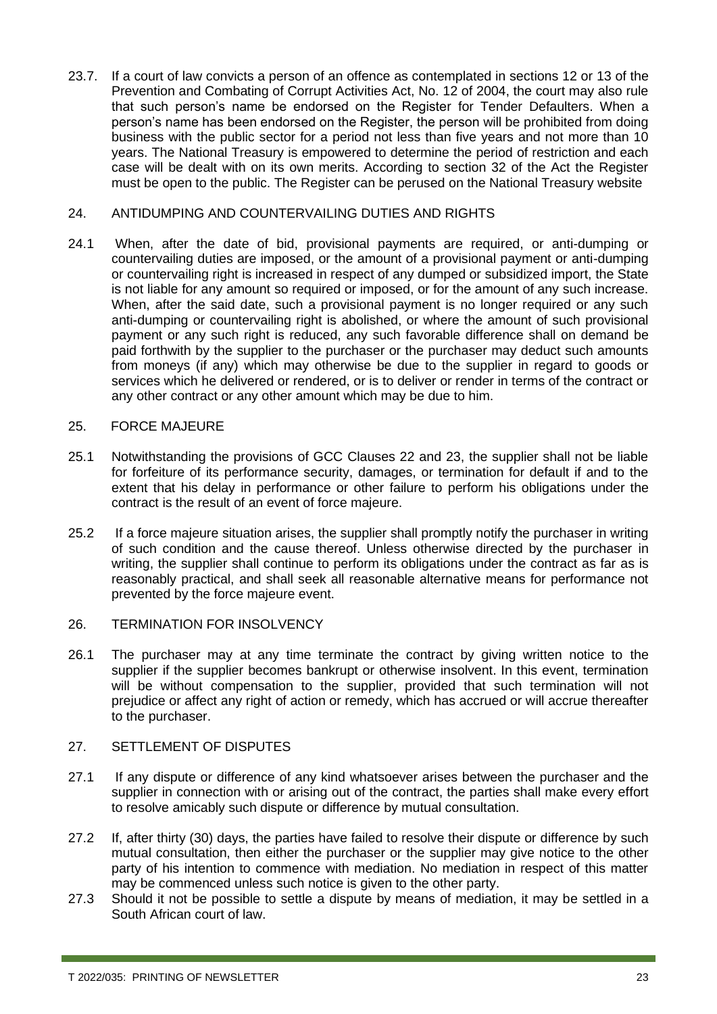23.7. If a court of law convicts a person of an offence as contemplated in sections 12 or 13 of the Prevention and Combating of Corrupt Activities Act, No. 12 of 2004, the court may also rule that such person's name be endorsed on the Register for Tender Defaulters. When a person's name has been endorsed on the Register, the person will be prohibited from doing business with the public sector for a period not less than five years and not more than 10 years. The National Treasury is empowered to determine the period of restriction and each case will be dealt with on its own merits. According to section 32 of the Act the Register must be open to the public. The Register can be perused on the National Treasury website

#### 24. ANTIDUMPING AND COUNTERVAILING DUTIES AND RIGHTS

24.1 When, after the date of bid, provisional payments are required, or anti-dumping or countervailing duties are imposed, or the amount of a provisional payment or anti-dumping or countervailing right is increased in respect of any dumped or subsidized import, the State is not liable for any amount so required or imposed, or for the amount of any such increase. When, after the said date, such a provisional payment is no longer required or any such anti-dumping or countervailing right is abolished, or where the amount of such provisional payment or any such right is reduced, any such favorable difference shall on demand be paid forthwith by the supplier to the purchaser or the purchaser may deduct such amounts from moneys (if any) which may otherwise be due to the supplier in regard to goods or services which he delivered or rendered, or is to deliver or render in terms of the contract or any other contract or any other amount which may be due to him.

#### 25. FORCE MAJEURE

- 25.1 Notwithstanding the provisions of GCC Clauses 22 and 23, the supplier shall not be liable for forfeiture of its performance security, damages, or termination for default if and to the extent that his delay in performance or other failure to perform his obligations under the contract is the result of an event of force majeure.
- 25.2 If a force majeure situation arises, the supplier shall promptly notify the purchaser in writing of such condition and the cause thereof. Unless otherwise directed by the purchaser in writing, the supplier shall continue to perform its obligations under the contract as far as is reasonably practical, and shall seek all reasonable alternative means for performance not prevented by the force majeure event.
- 26. TERMINATION FOR INSOLVENCY
- 26.1 The purchaser may at any time terminate the contract by giving written notice to the supplier if the supplier becomes bankrupt or otherwise insolvent. In this event, termination will be without compensation to the supplier, provided that such termination will not prejudice or affect any right of action or remedy, which has accrued or will accrue thereafter to the purchaser.

#### 27. SETTLEMENT OF DISPUTES

- 27.1 If any dispute or difference of any kind whatsoever arises between the purchaser and the supplier in connection with or arising out of the contract, the parties shall make every effort to resolve amicably such dispute or difference by mutual consultation.
- 27.2 If, after thirty (30) days, the parties have failed to resolve their dispute or difference by such mutual consultation, then either the purchaser or the supplier may give notice to the other party of his intention to commence with mediation. No mediation in respect of this matter may be commenced unless such notice is given to the other party.
- 27.3 Should it not be possible to settle a dispute by means of mediation, it may be settled in a South African court of law.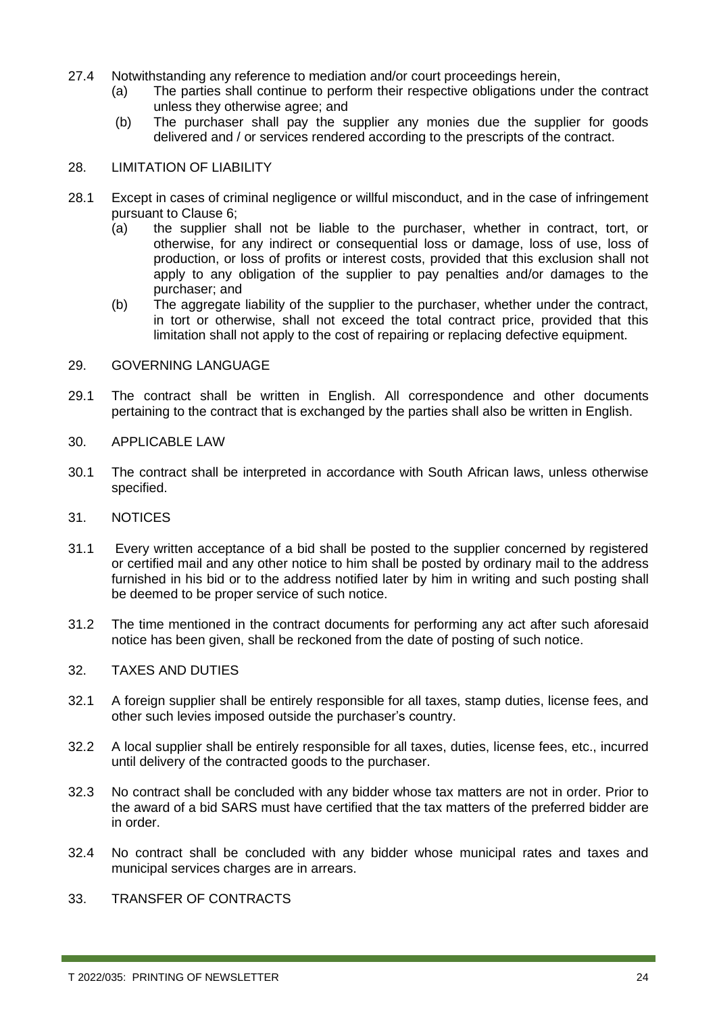- 27.4 Notwithstanding any reference to mediation and/or court proceedings herein,
	- (a) The parties shall continue to perform their respective obligations under the contract unless they otherwise agree; and
	- (b) The purchaser shall pay the supplier any monies due the supplier for goods delivered and / or services rendered according to the prescripts of the contract.

#### 28. LIMITATION OF LIABILITY

- 28.1 Except in cases of criminal negligence or willful misconduct, and in the case of infringement pursuant to Clause 6;
	- (a) the supplier shall not be liable to the purchaser, whether in contract, tort, or otherwise, for any indirect or consequential loss or damage, loss of use, loss of production, or loss of profits or interest costs, provided that this exclusion shall not apply to any obligation of the supplier to pay penalties and/or damages to the purchaser; and
	- (b) The aggregate liability of the supplier to the purchaser, whether under the contract, in tort or otherwise, shall not exceed the total contract price, provided that this limitation shall not apply to the cost of repairing or replacing defective equipment.

#### 29. GOVERNING LANGUAGE

- 29.1 The contract shall be written in English. All correspondence and other documents pertaining to the contract that is exchanged by the parties shall also be written in English.
- 30. APPLICABLE LAW
- 30.1 The contract shall be interpreted in accordance with South African laws, unless otherwise specified.
- 31. NOTICES
- 31.1 Every written acceptance of a bid shall be posted to the supplier concerned by registered or certified mail and any other notice to him shall be posted by ordinary mail to the address furnished in his bid or to the address notified later by him in writing and such posting shall be deemed to be proper service of such notice.
- 31.2 The time mentioned in the contract documents for performing any act after such aforesaid notice has been given, shall be reckoned from the date of posting of such notice.
- 32. TAXES AND DUTIES
- 32.1 A foreign supplier shall be entirely responsible for all taxes, stamp duties, license fees, and other such levies imposed outside the purchaser's country.
- 32.2 A local supplier shall be entirely responsible for all taxes, duties, license fees, etc., incurred until delivery of the contracted goods to the purchaser.
- 32.3 No contract shall be concluded with any bidder whose tax matters are not in order. Prior to the award of a bid SARS must have certified that the tax matters of the preferred bidder are in order.
- 32.4 No contract shall be concluded with any bidder whose municipal rates and taxes and municipal services charges are in arrears.
- 33. TRANSFER OF CONTRACTS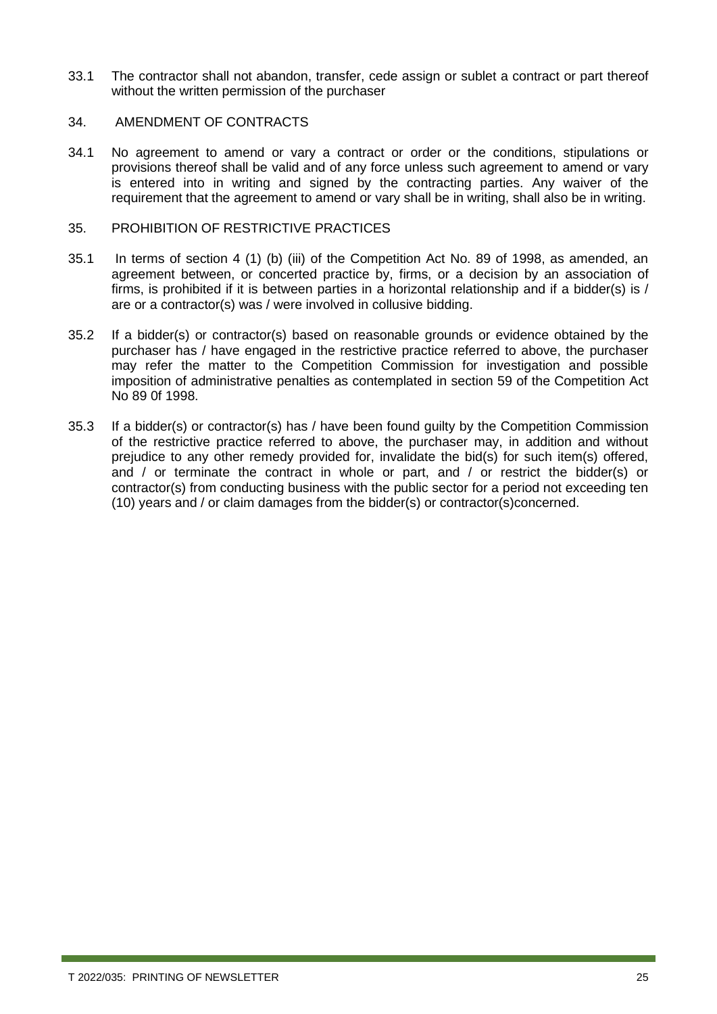33.1 The contractor shall not abandon, transfer, cede assign or sublet a contract or part thereof without the written permission of the purchaser

#### 34. AMENDMENT OF CONTRACTS

34.1 No agreement to amend or vary a contract or order or the conditions, stipulations or provisions thereof shall be valid and of any force unless such agreement to amend or vary is entered into in writing and signed by the contracting parties. Any waiver of the requirement that the agreement to amend or vary shall be in writing, shall also be in writing.

#### 35. PROHIBITION OF RESTRICTIVE PRACTICES

- 35.1 In terms of section 4 (1) (b) (iii) of the Competition Act No. 89 of 1998, as amended, an agreement between, or concerted practice by, firms, or a decision by an association of firms, is prohibited if it is between parties in a horizontal relationship and if a bidder(s) is / are or a contractor(s) was / were involved in collusive bidding.
- 35.2 If a bidder(s) or contractor(s) based on reasonable grounds or evidence obtained by the purchaser has / have engaged in the restrictive practice referred to above, the purchaser may refer the matter to the Competition Commission for investigation and possible imposition of administrative penalties as contemplated in section 59 of the Competition Act No 89 0f 1998.
- 35.3 If a bidder(s) or contractor(s) has / have been found guilty by the Competition Commission of the restrictive practice referred to above, the purchaser may, in addition and without prejudice to any other remedy provided for, invalidate the bid(s) for such item(s) offered, and / or terminate the contract in whole or part, and / or restrict the bidder(s) or contractor(s) from conducting business with the public sector for a period not exceeding ten (10) years and / or claim damages from the bidder(s) or contractor(s)concerned.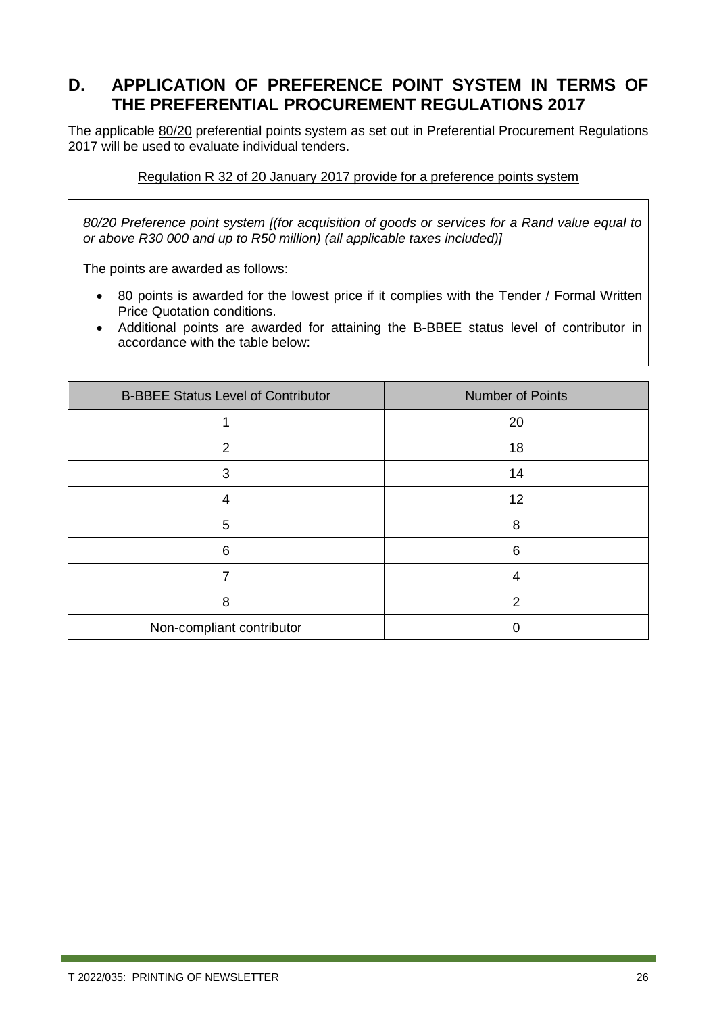### <span id="page-25-0"></span>**D. APPLICATION OF PREFERENCE POINT SYSTEM IN TERMS OF THE PREFERENTIAL PROCUREMENT REGULATIONS 2017**

The applicable 80/20 preferential points system as set out in Preferential Procurement Regulations 2017 will be used to evaluate individual tenders.

#### Regulation R 32 of 20 January 2017 provide for a preference points system

*80/20 Preference point system [(for acquisition of goods or services for a Rand value equal to or above R30 000 and up to R50 million) (all applicable taxes included)]* 

The points are awarded as follows:

- 80 points is awarded for the lowest price if it complies with the Tender / Formal Written Price Quotation conditions.
- Additional points are awarded for attaining the B-BBEE status level of contributor in accordance with the table below:

| <b>B-BBEE Status Level of Contributor</b> | <b>Number of Points</b> |
|-------------------------------------------|-------------------------|
|                                           | 20                      |
| $\overline{2}$                            | 18                      |
| 3                                         | 14                      |
| 4                                         | 12                      |
| 5                                         | 8                       |
| 6                                         | 6                       |
|                                           | 4                       |
| 8                                         | 2                       |
| Non-compliant contributor                 |                         |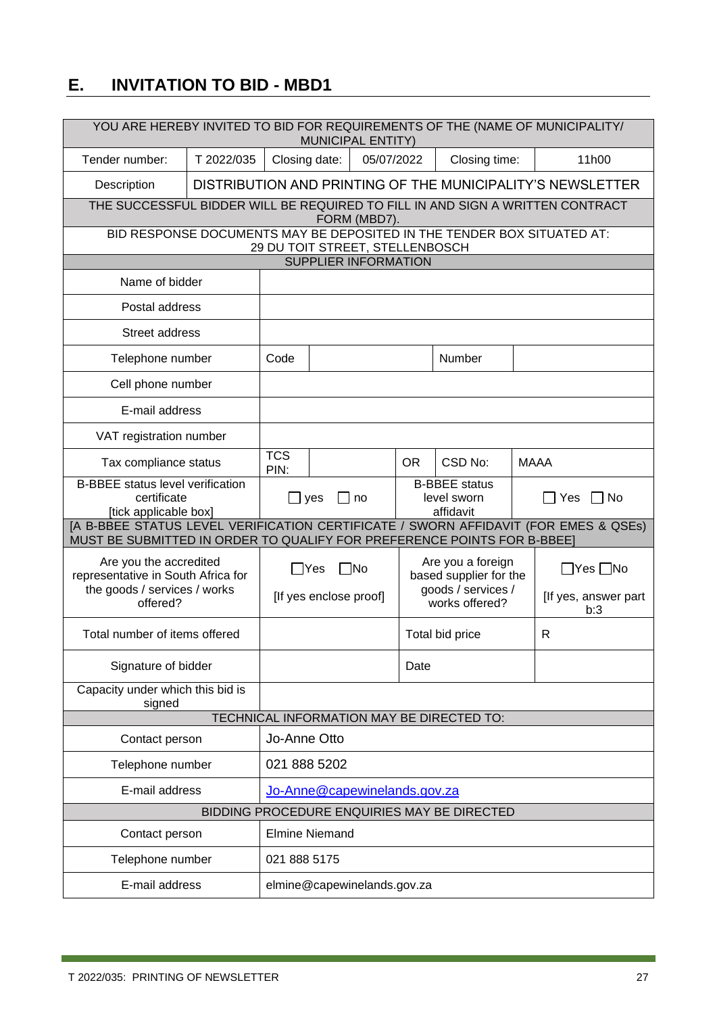### <span id="page-26-0"></span>**E. INVITATION TO BID - MBD1**

| YOU ARE HEREBY INVITED TO BID FOR REQUIREMENTS OF THE (NAME OF MUNICIPALITY/<br><b>MUNICIPAL ENTITY)</b>                                                       |                                                |                                 |                                      |                             |           |                                                                                     |  |                                                            |
|----------------------------------------------------------------------------------------------------------------------------------------------------------------|------------------------------------------------|---------------------------------|--------------------------------------|-----------------------------|-----------|-------------------------------------------------------------------------------------|--|------------------------------------------------------------|
| T 2022/035<br>Tender number:                                                                                                                                   |                                                |                                 | Closing date:                        | 05/07/2022                  |           | Closing time:                                                                       |  | 11h00                                                      |
| Description                                                                                                                                                    |                                                |                                 |                                      |                             |           |                                                                                     |  | DISTRIBUTION AND PRINTING OF THE MUNICIPALITY'S NEWSLETTER |
| THE SUCCESSFUL BIDDER WILL BE REQUIRED TO FILL IN AND SIGN A WRITTEN CONTRACT                                                                                  |                                                |                                 |                                      | FORM (MBD7).                |           |                                                                                     |  |                                                            |
| BID RESPONSE DOCUMENTS MAY BE DEPOSITED IN THE TENDER BOX SITUATED AT:                                                                                         |                                                | 29 DU TOIT STREET, STELLENBOSCH |                                      |                             |           |                                                                                     |  |                                                            |
|                                                                                                                                                                |                                                |                                 |                                      | <b>SUPPLIER INFORMATION</b> |           |                                                                                     |  |                                                            |
| Name of bidder                                                                                                                                                 |                                                |                                 |                                      |                             |           |                                                                                     |  |                                                            |
| Postal address                                                                                                                                                 |                                                |                                 |                                      |                             |           |                                                                                     |  |                                                            |
| Street address                                                                                                                                                 |                                                |                                 |                                      |                             |           |                                                                                     |  |                                                            |
| Telephone number                                                                                                                                               |                                                | Code                            |                                      |                             |           | Number                                                                              |  |                                                            |
| Cell phone number                                                                                                                                              |                                                |                                 |                                      |                             |           |                                                                                     |  |                                                            |
| E-mail address                                                                                                                                                 |                                                |                                 |                                      |                             |           |                                                                                     |  |                                                            |
| VAT registration number                                                                                                                                        |                                                |                                 |                                      |                             |           |                                                                                     |  |                                                            |
| Tax compliance status                                                                                                                                          |                                                | <b>TCS</b><br>PIN:              |                                      |                             | <b>OR</b> | CSD No:                                                                             |  | <b>MAAA</b>                                                |
| <b>B-BBEE</b> status level verification<br>certificate<br>[tick applicable box]                                                                                |                                                |                                 | $\sqcup$ yes                         | no                          |           | <b>B-BBEE</b> status<br>level sworn<br>affidavit                                    |  | No<br>Yes                                                  |
| [A B-BBEE STATUS LEVEL VERIFICATION CERTIFICATE / SWORN AFFIDAVIT (FOR EMES & QSEs)<br>MUST BE SUBMITTED IN ORDER TO QUALIFY FOR PREFERENCE POINTS FOR B-BBEE] |                                                |                                 |                                      |                             |           |                                                                                     |  |                                                            |
| Are you the accredited<br>representative in South Africa for<br>the goods / services / works<br>offered?                                                       |                                                |                                 | $\Box$ Yes<br>[If yes enclose proof] | No                          |           | Are you a foreign<br>based supplier for the<br>goods / services /<br>works offered? |  | $\Box$ Yes $\Box$ No<br>[If yes, answer part<br>b:3        |
| Total number of items offered                                                                                                                                  |                                                |                                 |                                      |                             |           | Total bid price                                                                     |  | R                                                          |
| Signature of bidder                                                                                                                                            |                                                |                                 |                                      |                             | Date      |                                                                                     |  |                                                            |
| Capacity under which this bid is<br>signed                                                                                                                     |                                                |                                 |                                      |                             |           |                                                                                     |  |                                                            |
|                                                                                                                                                                |                                                |                                 |                                      |                             |           | TECHNICAL INFORMATION MAY BE DIRECTED TO:                                           |  |                                                            |
| Contact person                                                                                                                                                 |                                                | Jo-Anne Otto                    |                                      |                             |           |                                                                                     |  |                                                            |
|                                                                                                                                                                | 021 888 5202<br>Telephone number               |                                 |                                      |                             |           |                                                                                     |  |                                                            |
|                                                                                                                                                                | E-mail address<br>Jo-Anne@capewinelands.gov.za |                                 |                                      |                             |           |                                                                                     |  |                                                            |
|                                                                                                                                                                |                                                |                                 |                                      |                             |           | BIDDING PROCEDURE ENQUIRIES MAY BE DIRECTED                                         |  |                                                            |
| Contact person                                                                                                                                                 |                                                | <b>Elmine Niemand</b>           |                                      |                             |           |                                                                                     |  |                                                            |
|                                                                                                                                                                | Telephone number<br>021 888 5175               |                                 |                                      |                             |           |                                                                                     |  |                                                            |
| E-mail address<br>elmine@capewinelands.gov.za                                                                                                                  |                                                |                                 |                                      |                             |           |                                                                                     |  |                                                            |

ī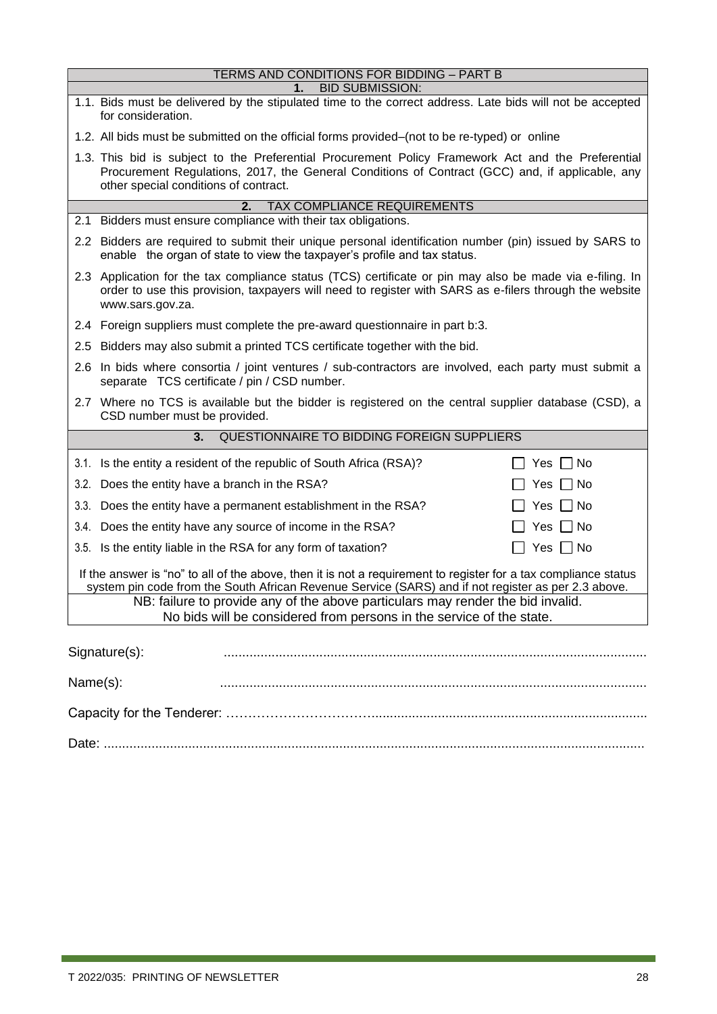|                                                                                                                                                                                                                        | TERMS AND CONDITIONS FOR BIDDING - PART B                                                                                                                                                                                                      |  |  |  |  |  |
|------------------------------------------------------------------------------------------------------------------------------------------------------------------------------------------------------------------------|------------------------------------------------------------------------------------------------------------------------------------------------------------------------------------------------------------------------------------------------|--|--|--|--|--|
|                                                                                                                                                                                                                        | <b>BID SUBMISSION:</b>                                                                                                                                                                                                                         |  |  |  |  |  |
|                                                                                                                                                                                                                        | 1.1. Bids must be delivered by the stipulated time to the correct address. Late bids will not be accepted<br>for consideration.                                                                                                                |  |  |  |  |  |
|                                                                                                                                                                                                                        | 1.2. All bids must be submitted on the official forms provided–(not to be re-typed) or online                                                                                                                                                  |  |  |  |  |  |
|                                                                                                                                                                                                                        | 1.3. This bid is subject to the Preferential Procurement Policy Framework Act and the Preferential<br>Procurement Regulations, 2017, the General Conditions of Contract (GCC) and, if applicable, any<br>other special conditions of contract. |  |  |  |  |  |
|                                                                                                                                                                                                                        | <b>TAX COMPLIANCE REQUIREMENTS</b><br>2.                                                                                                                                                                                                       |  |  |  |  |  |
|                                                                                                                                                                                                                        | 2.1 Bidders must ensure compliance with their tax obligations.                                                                                                                                                                                 |  |  |  |  |  |
|                                                                                                                                                                                                                        | 2.2 Bidders are required to submit their unique personal identification number (pin) issued by SARS to<br>enable the organ of state to view the taxpayer's profile and tax status.                                                             |  |  |  |  |  |
|                                                                                                                                                                                                                        | 2.3 Application for the tax compliance status (TCS) certificate or pin may also be made via e-filing. In<br>order to use this provision, taxpayers will need to register with SARS as e-filers through the website<br>www.sars.gov.za.         |  |  |  |  |  |
|                                                                                                                                                                                                                        | 2.4 Foreign suppliers must complete the pre-award questionnaire in part b:3.                                                                                                                                                                   |  |  |  |  |  |
|                                                                                                                                                                                                                        | 2.5 Bidders may also submit a printed TCS certificate together with the bid.                                                                                                                                                                   |  |  |  |  |  |
|                                                                                                                                                                                                                        | 2.6 In bids where consortia / joint ventures / sub-contractors are involved, each party must submit a<br>separate TCS certificate / pin / CSD number.                                                                                          |  |  |  |  |  |
|                                                                                                                                                                                                                        | 2.7 Where no TCS is available but the bidder is registered on the central supplier database (CSD), a<br>CSD number must be provided.                                                                                                           |  |  |  |  |  |
|                                                                                                                                                                                                                        | QUESTIONNAIRE TO BIDDING FOREIGN SUPPLIERS<br>3.                                                                                                                                                                                               |  |  |  |  |  |
|                                                                                                                                                                                                                        | Yes $\Box$ No<br>3.1. Is the entity a resident of the republic of South Africa (RSA)?                                                                                                                                                          |  |  |  |  |  |
|                                                                                                                                                                                                                        | 3.2. Does the entity have a branch in the RSA?<br>$Yes \mid \mid No$                                                                                                                                                                           |  |  |  |  |  |
|                                                                                                                                                                                                                        | 3.3. Does the entity have a permanent establishment in the RSA?<br>Yes $\Box$ No                                                                                                                                                               |  |  |  |  |  |
|                                                                                                                                                                                                                        | Yes $\Box$ No<br>3.4. Does the entity have any source of income in the RSA?                                                                                                                                                                    |  |  |  |  |  |
|                                                                                                                                                                                                                        | Yes $\Box$ No<br>3.5. Is the entity liable in the RSA for any form of taxation?                                                                                                                                                                |  |  |  |  |  |
| If the answer is "no" to all of the above, then it is not a requirement to register for a tax compliance status<br>system pin code from the South African Revenue Service (SARS) and if not register as per 2.3 above. |                                                                                                                                                                                                                                                |  |  |  |  |  |
|                                                                                                                                                                                                                        |                                                                                                                                                                                                                                                |  |  |  |  |  |
|                                                                                                                                                                                                                        | NB: failure to provide any of the above particulars may render the bid invalid.<br>No bids will be considered from persons in the service of the state.                                                                                        |  |  |  |  |  |
|                                                                                                                                                                                                                        |                                                                                                                                                                                                                                                |  |  |  |  |  |
|                                                                                                                                                                                                                        | Signature(s):                                                                                                                                                                                                                                  |  |  |  |  |  |
| Name(s):                                                                                                                                                                                                               |                                                                                                                                                                                                                                                |  |  |  |  |  |
|                                                                                                                                                                                                                        |                                                                                                                                                                                                                                                |  |  |  |  |  |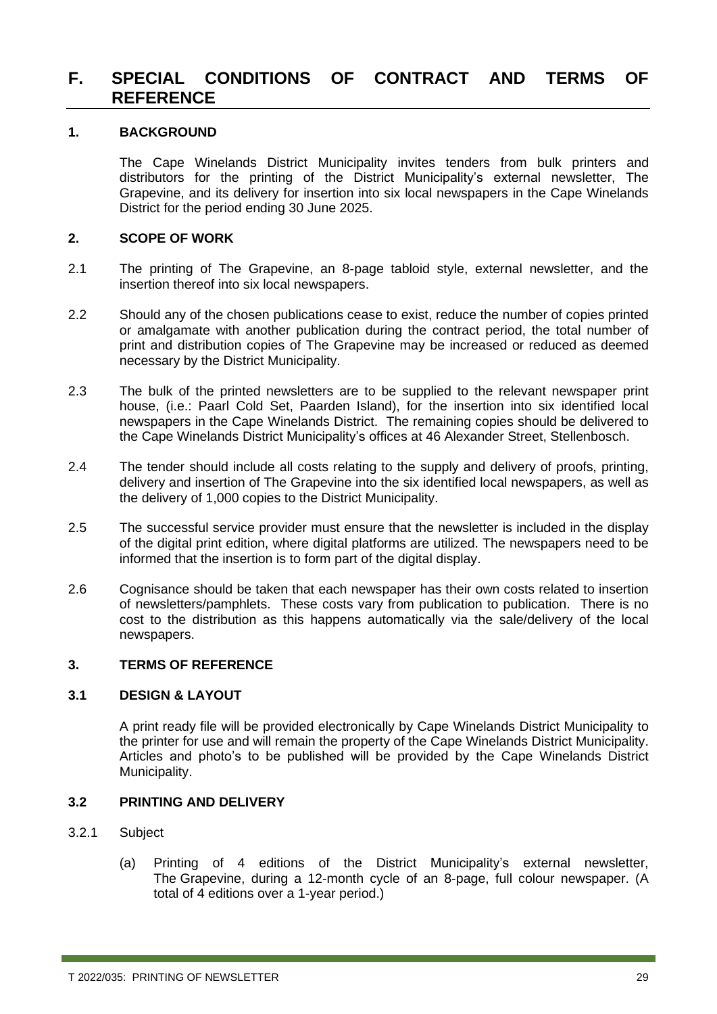### <span id="page-28-0"></span>**F. SPECIAL CONDITIONS OF CONTRACT AND TERMS OF REFERENCE**

#### **1. BACKGROUND**

The Cape Winelands District Municipality invites tenders from bulk printers and distributors for the printing of the District Municipality's external newsletter, The Grapevine, and its delivery for insertion into six local newspapers in the Cape Winelands District for the period ending 30 June 2025.

#### **2. SCOPE OF WORK**

- 2.1 The printing of The Grapevine, an 8-page tabloid style, external newsletter, and the insertion thereof into six local newspapers.
- 2.2 Should any of the chosen publications cease to exist, reduce the number of copies printed or amalgamate with another publication during the contract period, the total number of print and distribution copies of The Grapevine may be increased or reduced as deemed necessary by the District Municipality.
- 2.3 The bulk of the printed newsletters are to be supplied to the relevant newspaper print house, (i.e.: Paarl Cold Set, Paarden Island), for the insertion into six identified local newspapers in the Cape Winelands District. The remaining copies should be delivered to the Cape Winelands District Municipality's offices at 46 Alexander Street, Stellenbosch.
- 2.4 The tender should include all costs relating to the supply and delivery of proofs, printing, delivery and insertion of The Grapevine into the six identified local newspapers, as well as the delivery of 1,000 copies to the District Municipality.
- 2.5 The successful service provider must ensure that the newsletter is included in the display of the digital print edition, where digital platforms are utilized. The newspapers need to be informed that the insertion is to form part of the digital display.
- 2.6 Cognisance should be taken that each newspaper has their own costs related to insertion of newsletters/pamphlets. These costs vary from publication to publication. There is no cost to the distribution as this happens automatically via the sale/delivery of the local newspapers.

#### **3. TERMS OF REFERENCE**

#### **3.1 DESIGN & LAYOUT**

A print ready file will be provided electronically by Cape Winelands District Municipality to the printer for use and will remain the property of the Cape Winelands District Municipality. Articles and photo's to be published will be provided by the Cape Winelands District Municipality.

#### **3.2 PRINTING AND DELIVERY**

#### 3.2.1 Subject

(a) Printing of 4 editions of the District Municipality's external newsletter, The Grapevine, during a 12-month cycle of an 8-page, full colour newspaper. (A total of 4 editions over a 1-year period.)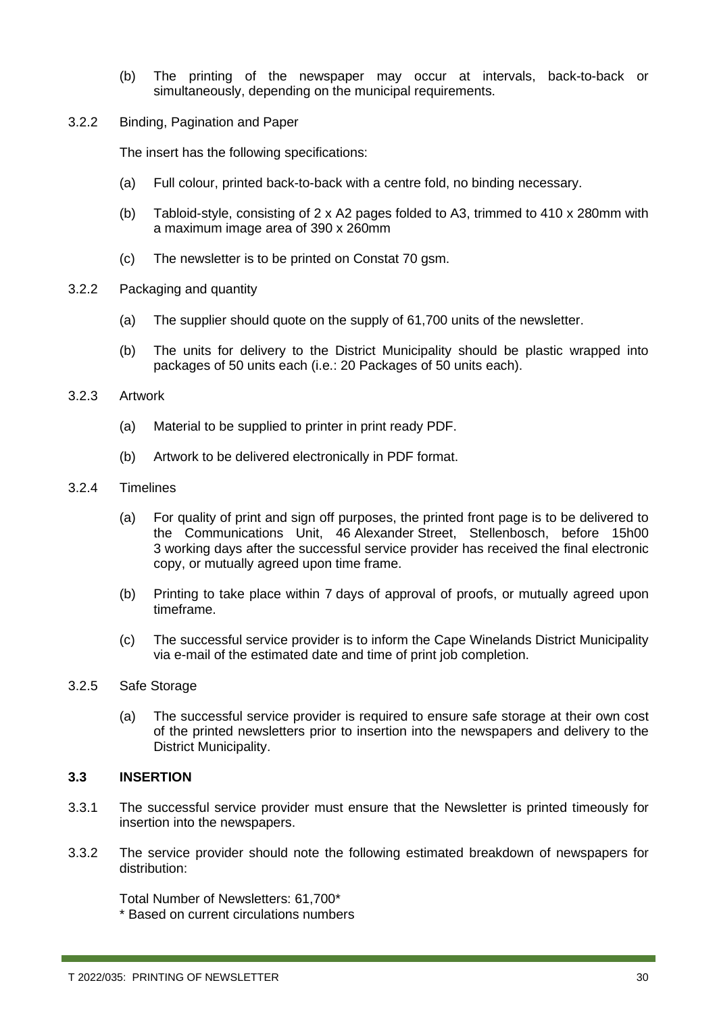- (b) The printing of the newspaper may occur at intervals, back-to-back or simultaneously, depending on the municipal requirements.
- 3.2.2 Binding, Pagination and Paper

The insert has the following specifications:

- (a) Full colour, printed back-to-back with a centre fold, no binding necessary.
- (b) Tabloid-style, consisting of 2 x A2 pages folded to A3, trimmed to 410 x 280mm with a maximum image area of 390 x 260mm
- (c) The newsletter is to be printed on Constat 70 gsm.
- 3.2.2 Packaging and quantity
	- (a) The supplier should quote on the supply of 61,700 units of the newsletter.
	- (b) The units for delivery to the District Municipality should be plastic wrapped into packages of 50 units each (i.e.: 20 Packages of 50 units each).

#### 3.2.3 Artwork

- (a) Material to be supplied to printer in print ready PDF.
- (b) Artwork to be delivered electronically in PDF format.

#### 3.2.4 Timelines

- (a) For quality of print and sign off purposes, the printed front page is to be delivered to the Communications Unit, 46 Alexander Street, Stellenbosch, before 15h00 3 working days after the successful service provider has received the final electronic copy, or mutually agreed upon time frame.
- (b) Printing to take place within 7 days of approval of proofs, or mutually agreed upon timeframe.
- (c) The successful service provider is to inform the Cape Winelands District Municipality via e-mail of the estimated date and time of print job completion.

#### 3.2.5 Safe Storage

(a) The successful service provider is required to ensure safe storage at their own cost of the printed newsletters prior to insertion into the newspapers and delivery to the District Municipality.

#### **3.3 INSERTION**

- 3.3.1 The successful service provider must ensure that the Newsletter is printed timeously for insertion into the newspapers.
- 3.3.2 The service provider should note the following estimated breakdown of newspapers for distribution:

Total Number of Newsletters: 61,700\* \* Based on current circulations numbers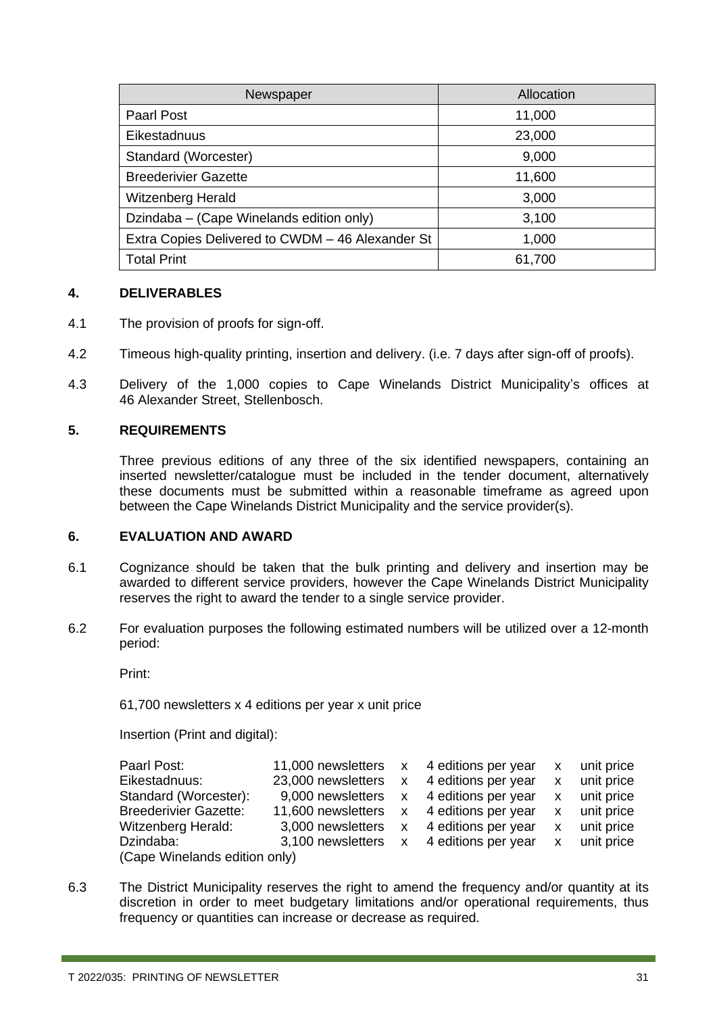| Newspaper                                        | Allocation |
|--------------------------------------------------|------------|
| Paarl Post                                       | 11,000     |
| Eikestadnuus                                     | 23,000     |
| Standard (Worcester)                             | 9,000      |
| <b>Breederivier Gazette</b>                      | 11,600     |
| <b>Witzenberg Herald</b>                         | 3,000      |
| Dzindaba – (Cape Winelands edition only)         | 3,100      |
| Extra Copies Delivered to CWDM - 46 Alexander St | 1,000      |
| <b>Total Print</b>                               | 61,700     |

#### **4. DELIVERABLES**

- 4.1 The provision of proofs for sign-off.
- 4.2 Timeous high-quality printing, insertion and delivery. (i.e. 7 days after sign-off of proofs).
- 4.3 Delivery of the 1,000 copies to Cape Winelands District Municipality's offices at 46 Alexander Street, Stellenbosch.

#### **5. REQUIREMENTS**

Three previous editions of any three of the six identified newspapers, containing an inserted newsletter/catalogue must be included in the tender document, alternatively these documents must be submitted within a reasonable timeframe as agreed upon between the Cape Winelands District Municipality and the service provider(s).

#### **6. EVALUATION AND AWARD**

- 6.1 Cognizance should be taken that the bulk printing and delivery and insertion may be awarded to different service providers, however the Cape Winelands District Municipality reserves the right to award the tender to a single service provider.
- 6.2 For evaluation purposes the following estimated numbers will be utilized over a 12-month period:

Print:

61,700 newsletters x 4 editions per year x unit price

Insertion (Print and digital):

| Paarl Post:                   | 11,000 newsletters x 4 editions per year |  |                                         | X        | unit price |  |
|-------------------------------|------------------------------------------|--|-----------------------------------------|----------|------------|--|
| Eikestadnuus:                 | 23,000 newsletters                       |  | x 4 editions per year                   | X        | unit price |  |
| Standard (Worcester):         |                                          |  | 9,000 newsletters x 4 editions per year | X.       | unit price |  |
| <b>Breederivier Gazette:</b>  | 11,600 newsletters x 4 editions per year |  |                                         | X.       | unit price |  |
| <b>Witzenberg Herald:</b>     | 3,000 newsletters                        |  | x 4 editions per year                   | <b>X</b> | unit price |  |
| Dzindaba:                     |                                          |  | 3,100 newsletters x 4 editions per year | X        | unit price |  |
| (Cape Winelands edition only) |                                          |  |                                         |          |            |  |

6.3 The District Municipality reserves the right to amend the frequency and/or quantity at its discretion in order to meet budgetary limitations and/or operational requirements, thus frequency or quantities can increase or decrease as required.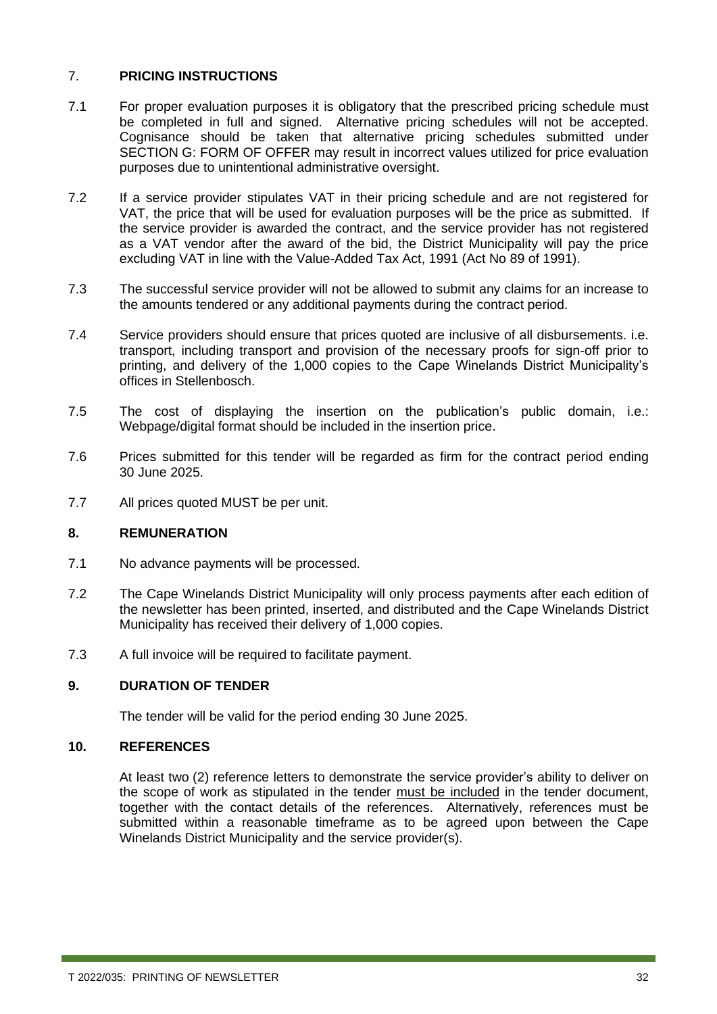#### 7. **PRICING INSTRUCTIONS**

- 7.1 For proper evaluation purposes it is obligatory that the prescribed pricing schedule must be completed in full and signed. Alternative pricing schedules will not be accepted. Cognisance should be taken that alternative pricing schedules submitted under SECTION G: FORM OF OFFER may result in incorrect values utilized for price evaluation purposes due to unintentional administrative oversight.
- 7.2 If a service provider stipulates VAT in their pricing schedule and are not registered for VAT, the price that will be used for evaluation purposes will be the price as submitted. If the service provider is awarded the contract, and the service provider has not registered as a VAT vendor after the award of the bid, the District Municipality will pay the price excluding VAT in line with the Value-Added Tax Act, 1991 (Act No 89 of 1991).
- 7.3 The successful service provider will not be allowed to submit any claims for an increase to the amounts tendered or any additional payments during the contract period.
- 7.4 Service providers should ensure that prices quoted are inclusive of all disbursements. i.e. transport, including transport and provision of the necessary proofs for sign-off prior to printing, and delivery of the 1,000 copies to the Cape Winelands District Municipality's offices in Stellenbosch.
- 7.5 The cost of displaying the insertion on the publication's public domain, i.e.: Webpage/digital format should be included in the insertion price.
- 7.6 Prices submitted for this tender will be regarded as firm for the contract period ending 30 June 2025.
- 7.7 All prices quoted MUST be per unit.

#### **8. REMUNERATION**

- 7.1 No advance payments will be processed.
- 7.2 The Cape Winelands District Municipality will only process payments after each edition of the newsletter has been printed, inserted, and distributed and the Cape Winelands District Municipality has received their delivery of 1,000 copies.
- 7.3 A full invoice will be required to facilitate payment.

#### **9. DURATION OF TENDER**

The tender will be valid for the period ending 30 June 2025.

#### **10. REFERENCES**

At least two (2) reference letters to demonstrate the service provider's ability to deliver on the scope of work as stipulated in the tender must be included in the tender document, together with the contact details of the references. Alternatively, references must be submitted within a reasonable timeframe as to be agreed upon between the Cape Winelands District Municipality and the service provider(s).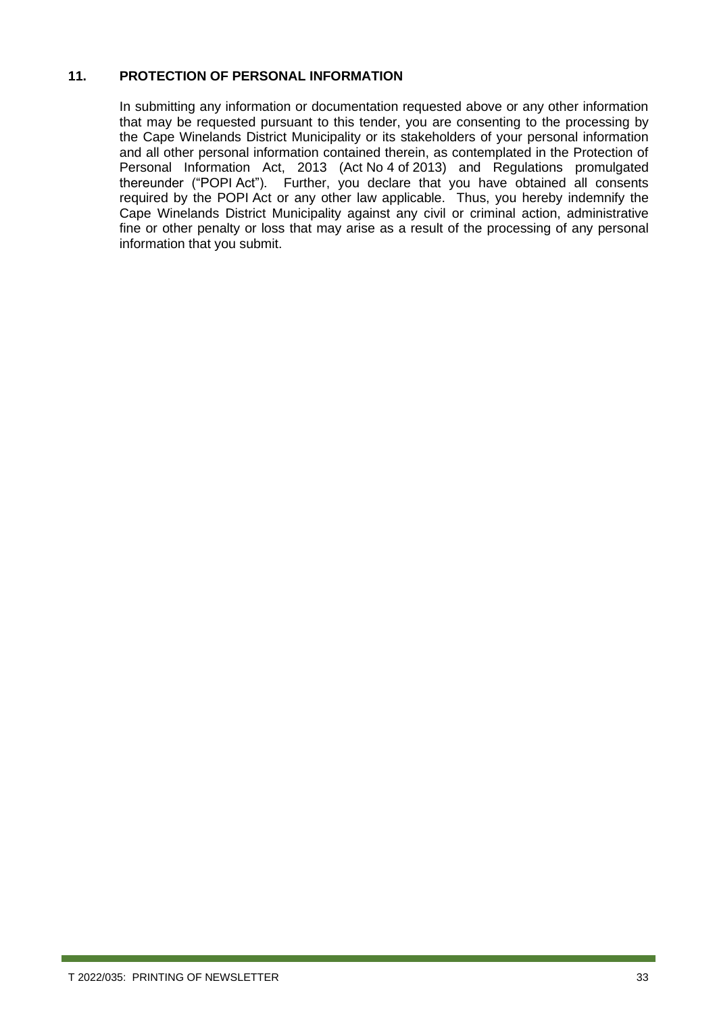#### **11. PROTECTION OF PERSONAL INFORMATION**

In submitting any information or documentation requested above or any other information that may be requested pursuant to this tender, you are consenting to the processing by the Cape Winelands District Municipality or its stakeholders of your personal information and all other personal information contained therein, as contemplated in the Protection of Personal Information Act, 2013 (Act No 4 of 2013) and Regulations promulgated thereunder ("POPI Act"). Further, you declare that you have obtained all consents required by the POPI Act or any other law applicable. Thus, you hereby indemnify the Cape Winelands District Municipality against any civil or criminal action, administrative fine or other penalty or loss that may arise as a result of the processing of any personal information that you submit.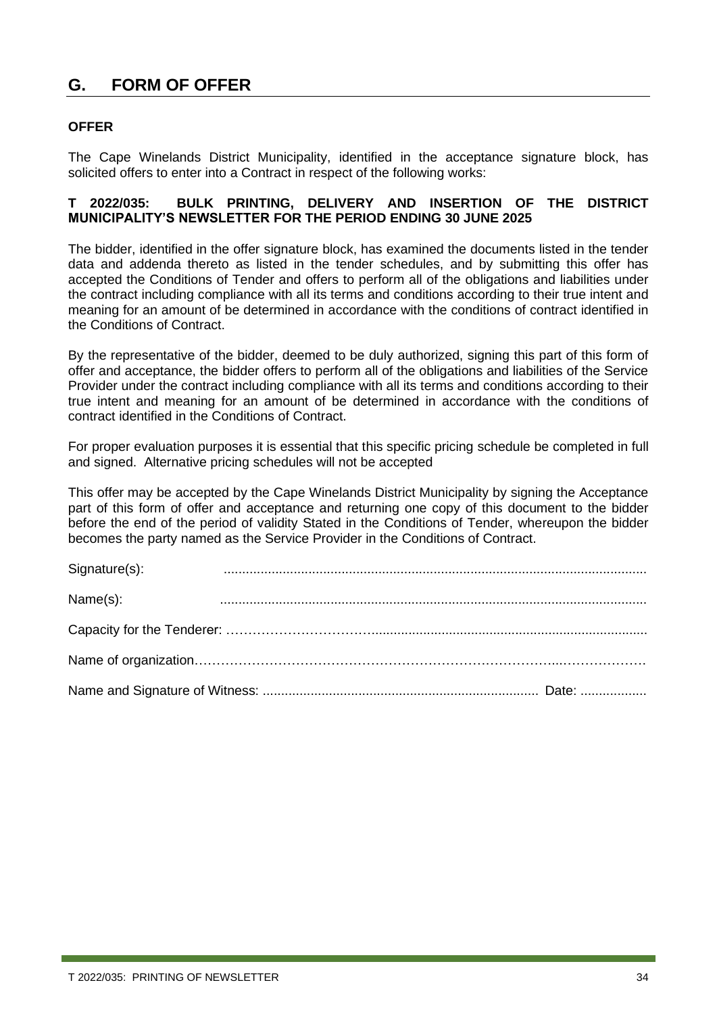### <span id="page-33-0"></span>**G. FORM OF OFFER**

#### **OFFER**

The Cape Winelands District Municipality, identified in the acceptance signature block, has solicited offers to enter into a Contract in respect of the following works:

#### **T 2022/035: BULK PRINTING, DELIVERY AND INSERTION OF THE DISTRICT MUNICIPALITY'S NEWSLETTER FOR THE PERIOD ENDING 30 JUNE 2025**

The bidder, identified in the offer signature block, has examined the documents listed in the tender data and addenda thereto as listed in the tender schedules, and by submitting this offer has accepted the Conditions of Tender and offers to perform all of the obligations and liabilities under the contract including compliance with all its terms and conditions according to their true intent and meaning for an amount of be determined in accordance with the conditions of contract identified in the Conditions of Contract.

By the representative of the bidder, deemed to be duly authorized, signing this part of this form of offer and acceptance, the bidder offers to perform all of the obligations and liabilities of the Service Provider under the contract including compliance with all its terms and conditions according to their true intent and meaning for an amount of be determined in accordance with the conditions of contract identified in the Conditions of Contract.

For proper evaluation purposes it is essential that this specific pricing schedule be completed in full and signed. Alternative pricing schedules will not be accepted

This offer may be accepted by the Cape Winelands District Municipality by signing the Acceptance part of this form of offer and acceptance and returning one copy of this document to the bidder before the end of the period of validity Stated in the Conditions of Tender, whereupon the bidder becomes the party named as the Service Provider in the Conditions of Contract.

| Signature(s): |  |
|---------------|--|
| Name(s):      |  |
|               |  |
|               |  |
|               |  |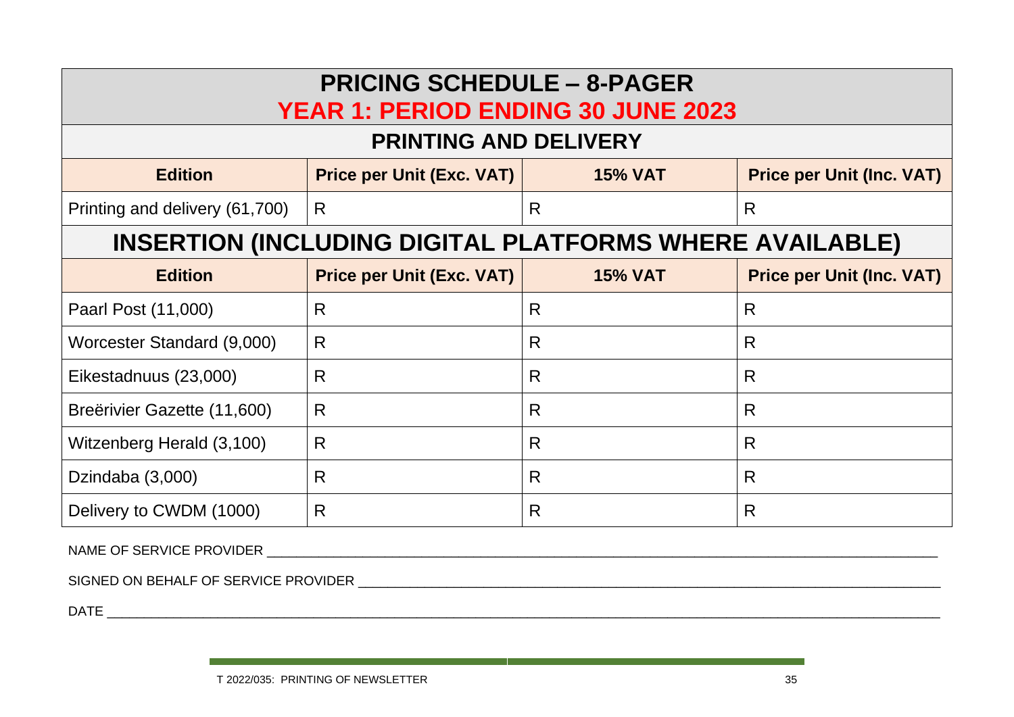| <b>PRICING SCHEDULE - 8-PAGER</b><br><b>YEAR 1: PERIOD ENDING 30 JUNE 2023</b> |                                  |                |                                  |  |  |  |  |
|--------------------------------------------------------------------------------|----------------------------------|----------------|----------------------------------|--|--|--|--|
| <b>PRINTING AND DELIVERY</b>                                                   |                                  |                |                                  |  |  |  |  |
| <b>Edition</b>                                                                 | <b>Price per Unit (Exc. VAT)</b> | <b>15% VAT</b> | <b>Price per Unit (Inc. VAT)</b> |  |  |  |  |
| Printing and delivery (61,700)                                                 | R.                               | R              | R                                |  |  |  |  |
| <b>INSERTION (INCLUDING DIGITAL PLATFORMS WHERE AVAILABLE)</b>                 |                                  |                |                                  |  |  |  |  |
| <b>Edition</b>                                                                 | <b>Price per Unit (Exc. VAT)</b> | <b>15% VAT</b> | <b>Price per Unit (Inc. VAT)</b> |  |  |  |  |
| Paarl Post (11,000)                                                            | R                                | R              | R                                |  |  |  |  |
| Worcester Standard (9,000)                                                     | R                                | R              | R                                |  |  |  |  |
| Eikestadnuus (23,000)                                                          | R                                | R              | R                                |  |  |  |  |
| Breërivier Gazette (11,600)                                                    | R.                               | R              | R                                |  |  |  |  |
| Witzenberg Herald (3,100)                                                      | R                                | R              | R                                |  |  |  |  |
| Dzindaba (3,000)                                                               | R                                | R              | R                                |  |  |  |  |
| Delivery to CWDM (1000)                                                        | R                                | R              | R                                |  |  |  |  |

NAME OF SERVICE PROVIDER \_\_\_\_\_\_\_\_\_\_\_\_\_\_\_\_\_\_\_\_\_\_\_\_\_\_\_\_\_\_\_\_\_\_\_\_\_\_\_\_\_\_\_\_\_\_\_\_\_\_\_\_\_\_\_\_\_\_\_\_\_\_\_\_\_\_\_\_\_\_\_\_\_\_\_\_\_\_\_\_\_\_\_\_\_\_\_\_\_\_\_

SIGNED ON BEHALF OF SERVICE PROVIDER \_\_\_\_\_\_\_\_\_\_\_\_\_\_\_\_\_\_\_\_\_\_\_\_\_\_\_\_\_\_\_\_\_\_\_\_\_\_\_\_\_\_\_\_\_\_\_\_\_\_\_\_\_\_\_\_\_\_\_\_\_\_\_\_\_\_\_\_\_\_\_\_\_\_\_\_\_\_\_

 $\Box$  and  $\Box$  and  $\Box$  and  $\Box$  and  $\Box$  and  $\Box$  and  $\Box$  and  $\Box$  and  $\Box$  and  $\Box$  and  $\Box$  and  $\Box$  and  $\Box$  and  $\Box$  and  $\Box$  and  $\Box$  and  $\Box$  and  $\Box$  and  $\Box$  and  $\Box$  and  $\Box$  and  $\Box$  and  $\Box$  and  $\Box$  and  $\Box$ 

and the control of the control of the control of the control of the control of the control of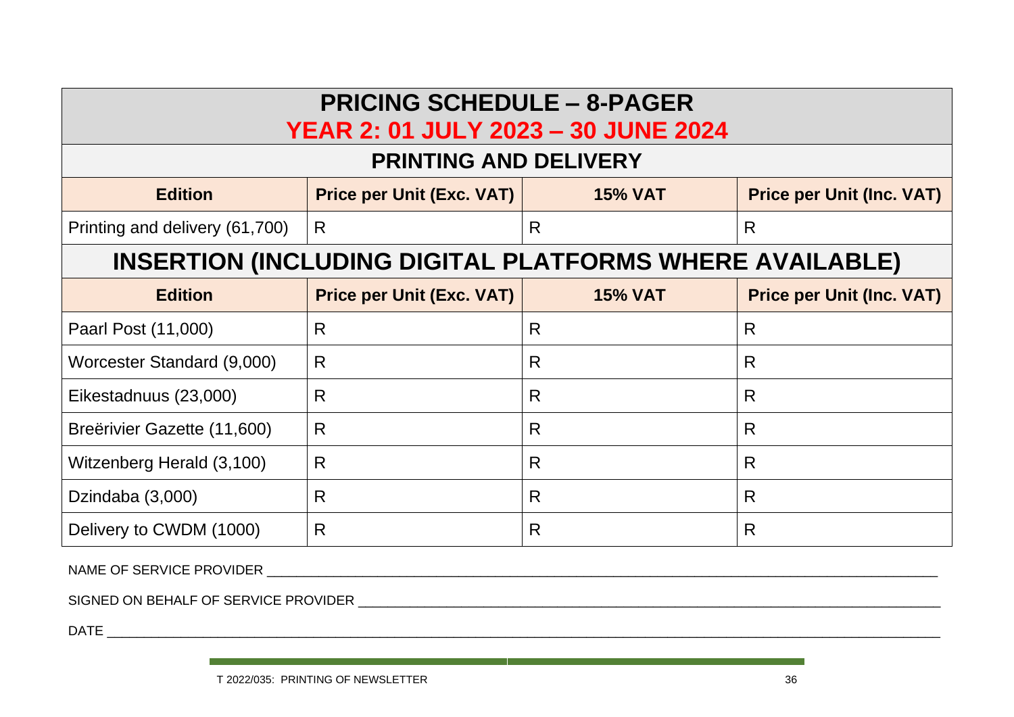| <b>PRICING SCHEDULE - 8-PAGER</b><br><b>YEAR 2: 01 JULY 2023 - 30 JUNE 2024</b>                          |                                  |                |                                  |  |  |  |  |
|----------------------------------------------------------------------------------------------------------|----------------------------------|----------------|----------------------------------|--|--|--|--|
| <b>PRINTING AND DELIVERY</b>                                                                             |                                  |                |                                  |  |  |  |  |
| <b>Edition</b>                                                                                           | <b>Price per Unit (Exc. VAT)</b> | <b>15% VAT</b> | <b>Price per Unit (Inc. VAT)</b> |  |  |  |  |
| Printing and delivery (61,700)                                                                           | R                                | R              | R                                |  |  |  |  |
| <b>INSERTION (INCLUDING DIGITAL PLATFORMS WHERE AVAILABLE)</b>                                           |                                  |                |                                  |  |  |  |  |
| <b>Price per Unit (Exc. VAT)</b><br><b>Edition</b><br><b>15% VAT</b><br><b>Price per Unit (Inc. VAT)</b> |                                  |                |                                  |  |  |  |  |
| Paarl Post (11,000)                                                                                      | R                                | R              | R                                |  |  |  |  |
| Worcester Standard (9,000)                                                                               | R                                | R              | R                                |  |  |  |  |
| Eikestadnuus (23,000)                                                                                    | R                                | R              | R                                |  |  |  |  |
| Breërivier Gazette (11,600)                                                                              | R                                | R              | R                                |  |  |  |  |
| Witzenberg Herald (3,100)                                                                                | R                                | R              | R                                |  |  |  |  |
| Dzindaba (3,000)                                                                                         | R                                | R              | R                                |  |  |  |  |
| Delivery to CWDM (1000)                                                                                  | R                                | R              | R                                |  |  |  |  |

NAME OF SERVICE PROVIDER **Exercise 2008** 

SIGNED ON BEHALF OF SERVICE PROVIDER \_\_\_\_\_\_\_\_\_\_\_\_\_\_\_\_\_\_\_\_\_\_\_\_\_\_\_\_\_\_\_\_\_\_\_\_\_\_\_\_\_\_\_\_\_\_\_\_\_\_\_\_\_\_\_\_\_\_\_\_\_\_\_\_\_\_\_\_\_\_\_\_\_\_\_\_\_\_\_

DATE \_\_\_\_\_\_\_\_\_\_\_\_\_\_\_\_\_\_\_\_\_\_\_\_\_\_\_\_\_\_\_\_\_\_\_\_\_\_\_\_\_\_\_\_\_\_\_\_\_\_\_\_\_\_\_\_\_\_\_\_\_\_\_\_\_\_\_\_\_\_\_\_\_\_\_\_\_\_\_\_\_\_\_\_\_\_\_\_\_\_\_\_\_\_\_\_\_\_\_\_\_\_\_\_\_\_\_\_\_\_\_\_\_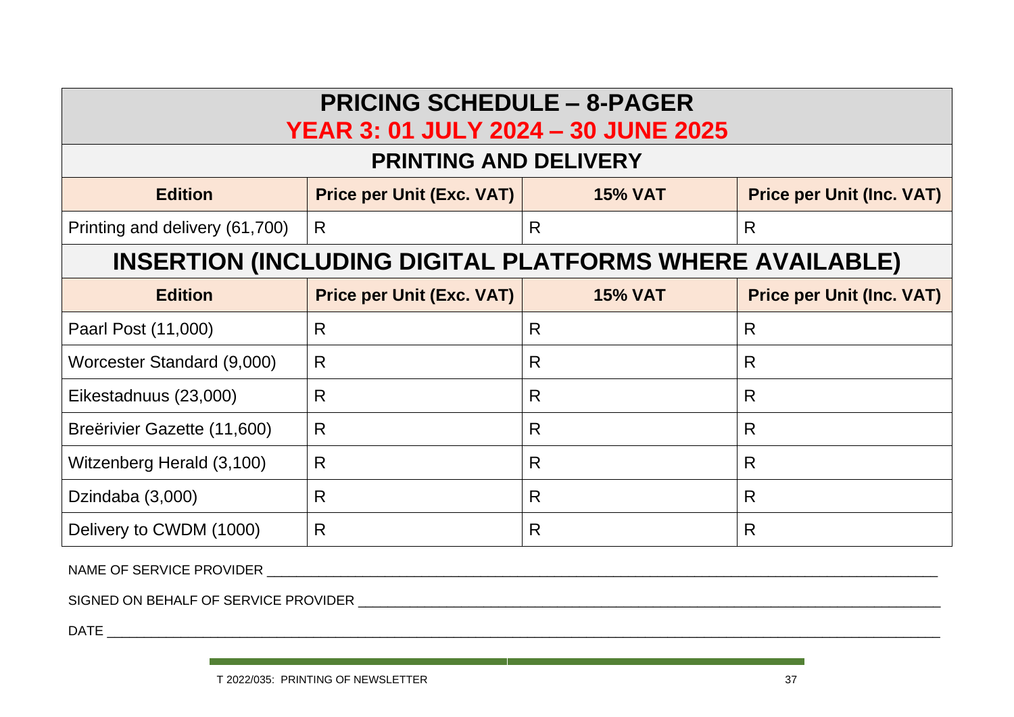| <b>PRICING SCHEDULE - 8-PAGER</b><br><b>YEAR 3: 01 JULY 2024 - 30 JUNE 2025</b> |                                  |                |                                  |  |  |  |  |
|---------------------------------------------------------------------------------|----------------------------------|----------------|----------------------------------|--|--|--|--|
| <b>PRINTING AND DELIVERY</b>                                                    |                                  |                |                                  |  |  |  |  |
| <b>Edition</b>                                                                  | <b>Price per Unit (Exc. VAT)</b> | <b>15% VAT</b> | <b>Price per Unit (Inc. VAT)</b> |  |  |  |  |
| Printing and delivery (61,700)                                                  | R                                | R              | R                                |  |  |  |  |
| <b>INSERTION (INCLUDING DIGITAL PLATFORMS WHERE AVAILABLE)</b>                  |                                  |                |                                  |  |  |  |  |
| <b>Edition</b>                                                                  | <b>Price per Unit (Exc. VAT)</b> | <b>15% VAT</b> | <b>Price per Unit (Inc. VAT)</b> |  |  |  |  |
| Paarl Post (11,000)                                                             | R                                | R              | R                                |  |  |  |  |
| Worcester Standard (9,000)                                                      | R                                | R              | R                                |  |  |  |  |
| Eikestadnuus (23,000)                                                           | R                                | R              | R                                |  |  |  |  |
| Breërivier Gazette (11,600)                                                     | R                                | R              | R                                |  |  |  |  |
| Witzenberg Herald (3,100)                                                       | R                                | R              | R                                |  |  |  |  |
| Dzindaba (3,000)                                                                | R                                | R              | R                                |  |  |  |  |
| Delivery to CWDM (1000)                                                         | R                                | R              | R                                |  |  |  |  |

NAME OF SERVICE PROVIDER **Exercise of the set of the set of the set of the set of the set of the set of the set of the set of the set of the set of the set of the set of the set of the set of the set of the set of the set** 

SIGNED ON BEHALF OF SERVICE PROVIDER \_\_\_\_\_\_\_\_\_\_\_\_\_\_\_\_\_\_\_\_\_\_\_\_\_\_\_\_\_\_\_\_\_\_\_\_\_\_\_\_\_\_\_\_\_\_\_\_\_\_\_\_\_\_\_\_\_\_\_\_\_\_\_\_\_\_\_\_\_\_\_\_\_\_\_\_\_\_\_

DATE \_\_\_\_\_\_\_\_\_\_\_\_\_\_\_\_\_\_\_\_\_\_\_\_\_\_\_\_\_\_\_\_\_\_\_\_\_\_\_\_\_\_\_\_\_\_\_\_\_\_\_\_\_\_\_\_\_\_\_\_\_\_\_\_\_\_\_\_\_\_\_\_\_\_\_\_\_\_\_\_\_\_\_\_\_\_\_\_\_\_\_\_\_\_\_\_\_\_\_\_\_\_\_\_\_\_\_\_\_\_\_\_\_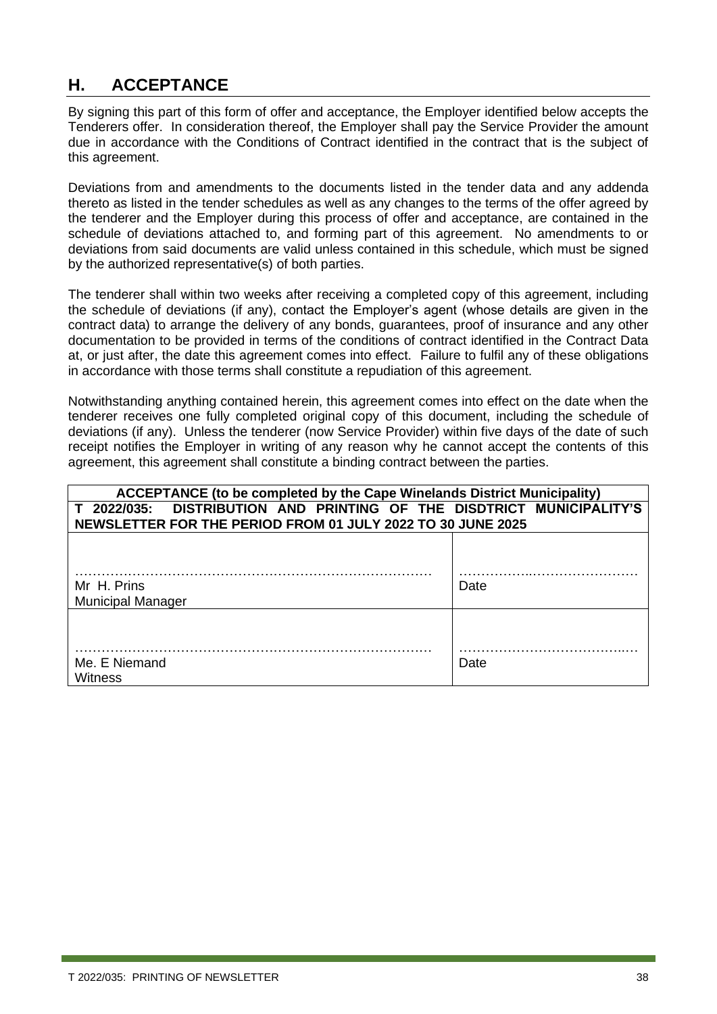### <span id="page-37-0"></span>**H. ACCEPTANCE**

By signing this part of this form of offer and acceptance, the Employer identified below accepts the Tenderers offer. In consideration thereof, the Employer shall pay the Service Provider the amount due in accordance with the Conditions of Contract identified in the contract that is the subject of this agreement.

Deviations from and amendments to the documents listed in the tender data and any addenda thereto as listed in the tender schedules as well as any changes to the terms of the offer agreed by the tenderer and the Employer during this process of offer and acceptance, are contained in the schedule of deviations attached to, and forming part of this agreement. No amendments to or deviations from said documents are valid unless contained in this schedule, which must be signed by the authorized representative(s) of both parties.

The tenderer shall within two weeks after receiving a completed copy of this agreement, including the schedule of deviations (if any), contact the Employer's agent (whose details are given in the contract data) to arrange the delivery of any bonds, guarantees, proof of insurance and any other documentation to be provided in terms of the conditions of contract identified in the Contract Data at, or just after, the date this agreement comes into effect. Failure to fulfil any of these obligations in accordance with those terms shall constitute a repudiation of this agreement.

Notwithstanding anything contained herein, this agreement comes into effect on the date when the tenderer receives one fully completed original copy of this document, including the schedule of deviations (if any). Unless the tenderer (now Service Provider) within five days of the date of such receipt notifies the Employer in writing of any reason why he cannot accept the contents of this agreement, this agreement shall constitute a binding contract between the parties.

| <b>ACCEPTANCE (to be completed by the Cape Winelands District Municipality)</b> |      |  |  |  |
|---------------------------------------------------------------------------------|------|--|--|--|
| DISTRIBUTION AND PRINTING OF THE DISDTRICT MUNICIPALITY'S<br>T 2022/035:        |      |  |  |  |
| NEWSLETTER FOR THE PERIOD FROM 01 JULY 2022 TO 30 JUNE 2025                     |      |  |  |  |
|                                                                                 |      |  |  |  |
|                                                                                 |      |  |  |  |
|                                                                                 |      |  |  |  |
| Mr H. Prins                                                                     | Date |  |  |  |
| <b>Municipal Manager</b>                                                        |      |  |  |  |
|                                                                                 |      |  |  |  |
|                                                                                 |      |  |  |  |
|                                                                                 |      |  |  |  |
| Me. E Niemand                                                                   | Date |  |  |  |
| Witness                                                                         |      |  |  |  |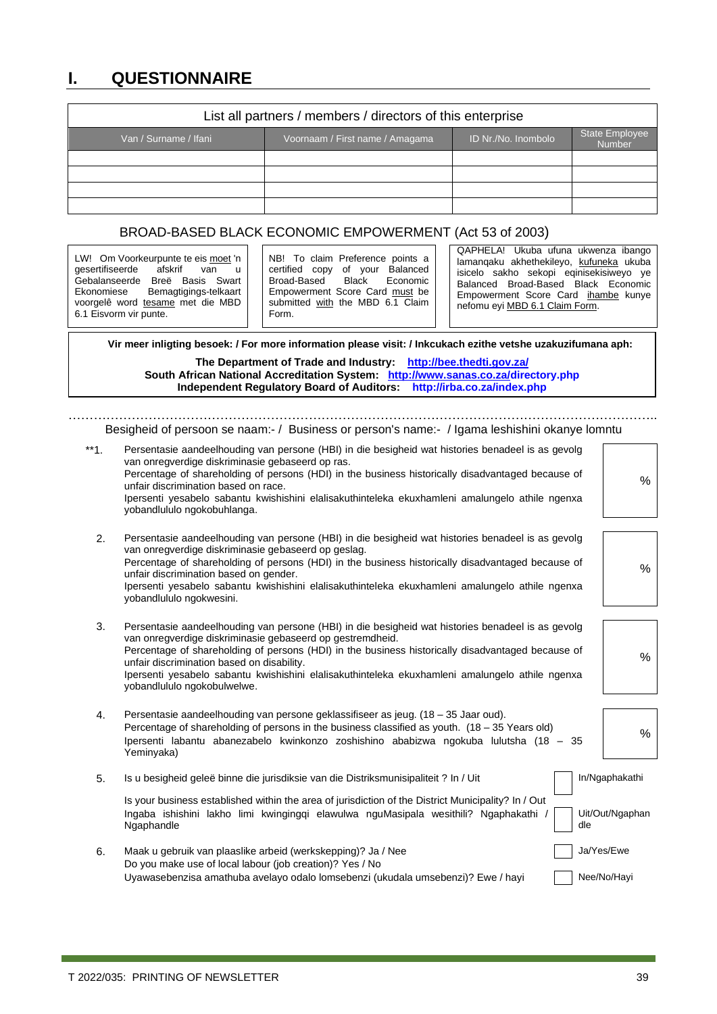### <span id="page-38-0"></span>**I. QUESTIONNAIRE**

| List all partners / members / directors of this enterprise                                                         |  |  |  |  |  |  |  |
|--------------------------------------------------------------------------------------------------------------------|--|--|--|--|--|--|--|
| <b>State Employee</b><br>ID Nr./No. Inombolo<br>Van / Surname / Ifani<br>Voornaam / First name / Amagama<br>Number |  |  |  |  |  |  |  |
|                                                                                                                    |  |  |  |  |  |  |  |
|                                                                                                                    |  |  |  |  |  |  |  |
|                                                                                                                    |  |  |  |  |  |  |  |
|                                                                                                                    |  |  |  |  |  |  |  |

#### BROAD-BASED BLACK ECONOMIC EMPOWERMENT (Act 53 of 2003)

 **Vir meer inligting besoek: / For more information please visit: / Inkcukach ezithe vetshe uzakuzifumana aph:**

#### **The Department of Trade and Industry: <http://bee.thedti.gov.za/> South African National Accreditation System: [http://www.sanas.co.za/d](http://www.sanas.co.za/)irectory.php Independent Regulatory Board of Auditors: http://irba.co.za/index.php**

Besigheid of persoon se naam:- / Business or person's name:- / Igama leshishini okanye lomntu

…………………………………………………………………………………………………………………………..

| $**1.$ | Persentasie aandeelhouding van persone (HBI) in die besigheid wat histories benadeel is as gevolg<br>van onregverdige diskriminasie gebaseerd op ras.<br>Percentage of shareholding of persons (HDI) in the business historically disadvantaged because of<br>unfair discrimination based on race.<br>Ipersenti yesabelo sabantu kwishishini elalisakuthinteleka ekuxhamleni amalungelo athile ngenxa<br>yobandlululo ngokobuhlanga.                | %                                 |
|--------|-----------------------------------------------------------------------------------------------------------------------------------------------------------------------------------------------------------------------------------------------------------------------------------------------------------------------------------------------------------------------------------------------------------------------------------------------------|-----------------------------------|
| 2.     | Persentasie aandeelhouding van persone (HBI) in die besigheid wat histories benadeel is as gevolg<br>van onregverdige diskriminasie gebaseerd op geslag.<br>Percentage of shareholding of persons (HDI) in the business historically disadvantaged because of<br>unfair discrimination based on gender.<br>Ipersenti yesabelo sabantu kwishishini elalisakuthinteleka ekuxhamleni amalungelo athile ngenxa<br>yobandlululo ngokwesini.              | %                                 |
| 3.     | Persentasie aandeelhouding van persone (HBI) in die besigheid wat histories benadeel is as gevolg<br>van onregverdige diskriminasie gebaseerd op gestremdheid.<br>Percentage of shareholding of persons (HDI) in the business historically disadvantaged because of<br>unfair discrimination based on disability.<br>Ipersenti yesabelo sabantu kwishishini elalisakuthinteleka ekuxhamleni amalungelo athile ngenxa<br>yobandlululo ngokobulwelwe. | %                                 |
| 4.     | Persentasie aandeelhouding van persone geklassifiseer as jeug. (18 – 35 Jaar oud).<br>Percentage of shareholding of persons in the business classified as youth. $(18 - 35$ Years old)<br>Ipersenti labantu abanezabelo kwinkonzo zoshishino ababizwa ngokuba lulutsha (18 - 35<br>Yeminyaka)                                                                                                                                                       | $\%$                              |
| 5.     | Is u besigheid geleë binne die jurisdiksie van die Distriksmunisipaliteit ? In / Uit<br>Is your business established within the area of jurisdiction of the District Municipality? In / Out<br>Ingaba ishishini lakho limi kwinginggi elawulwa nguMasipala wesithili? Ngaphakathi /<br>dle<br>Ngaphandle                                                                                                                                            | In/Ngaphakathi<br>Uit/Out/Ngaphan |
| 6.     | Maak u gebruik van plaaslike arbeid (werkskepping)? Ja / Nee<br>Do you make use of local labour (job creation)? Yes / No<br>Uyawasebenzisa amathuba avelayo odalo lomsebenzi (ukudala umsebenzi)? Ewe / hayi                                                                                                                                                                                                                                        | Ja/Yes/Ewe<br>Nee/No/Hayi         |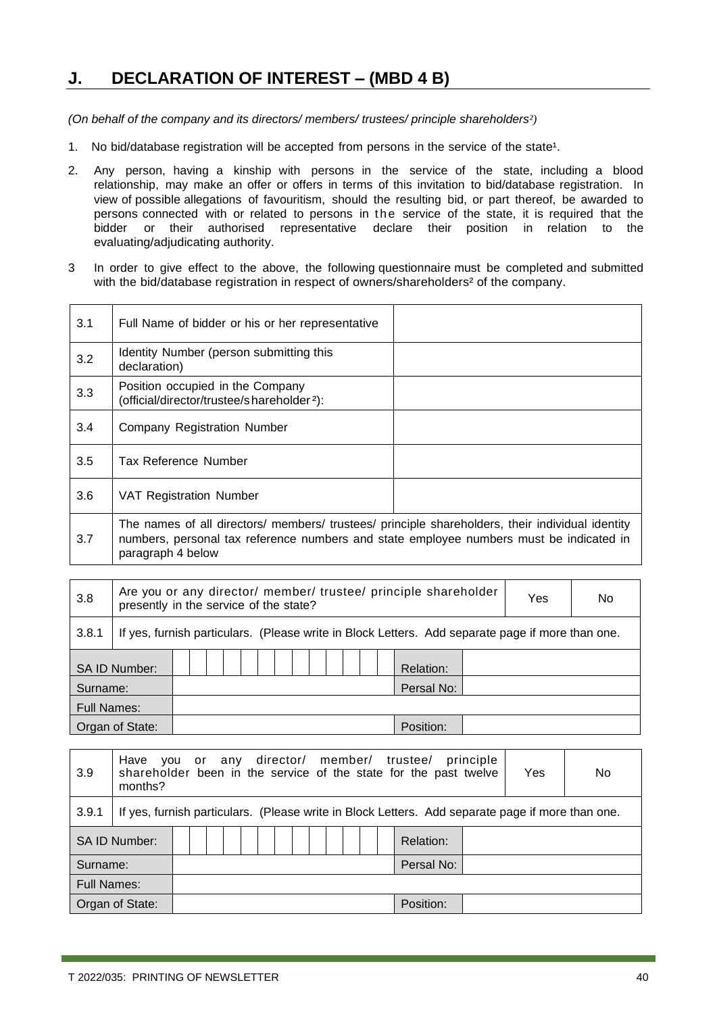### <span id="page-39-0"></span>**J. DECLARATION OF INTEREST – (MBD 4 B)**

*(On behalf of the company and its directors/ members/ trustees/ principle shareholders²)*

- 1. No bid/database registration will be accepted from persons in the service of the state<sup>1</sup>.
- 2. Any person, having a kinship with persons in the service of the state, including a blood relationship, may make an offer or offers in terms of this invitation to bid/database registration. In view of possible allegations of favouritism, should the resulting bid, or part thereof, be awarded to persons connected with or related to persons in the service of the state, it is required that the bidder or their authorised representative declare their position in relation to the evaluating/adjudicating authority.
- 3 In order to give effect to the above, the following questionnaire must be completed and submitted with the bid/database registration in respect of owners/shareholders<sup>2</sup> of the company.

| 3.1 | Full Name of bidder or his or her representative                                                                                                                                                                 |  |
|-----|------------------------------------------------------------------------------------------------------------------------------------------------------------------------------------------------------------------|--|
| 3.2 | Identity Number (person submitting this<br>declaration)                                                                                                                                                          |  |
| 3.3 | Position occupied in the Company<br>(official/director/trustee/shareholder <sup>2</sup> ):                                                                                                                       |  |
| 3.4 | Company Registration Number                                                                                                                                                                                      |  |
| 3.5 | Tax Reference Number                                                                                                                                                                                             |  |
| 3.6 | <b>VAT Registration Number</b>                                                                                                                                                                                   |  |
| 3.7 | The names of all directors/ members/ trustees/ principle shareholders, their individual identity<br>numbers, personal tax reference numbers and state employee numbers must be indicated in<br>paragraph 4 below |  |

| 3.8      | Are you or any director/ member/ trustee/ principle shareholder<br>No.<br>Yes<br>presently in the service of the state? |  |  |  |  |  |  |  |  |  |  |  |  |            |  |  |
|----------|-------------------------------------------------------------------------------------------------------------------------|--|--|--|--|--|--|--|--|--|--|--|--|------------|--|--|
| 3.8.1    | If yes, furnish particulars. (Please write in Block Letters. Add separate page if more than one.                        |  |  |  |  |  |  |  |  |  |  |  |  |            |  |  |
|          | SA ID Number:                                                                                                           |  |  |  |  |  |  |  |  |  |  |  |  | Relation:  |  |  |
| Surname: |                                                                                                                         |  |  |  |  |  |  |  |  |  |  |  |  | Persal No: |  |  |
|          | <b>Full Names:</b>                                                                                                      |  |  |  |  |  |  |  |  |  |  |  |  |            |  |  |
|          | Organ of State:<br>Position:                                                                                            |  |  |  |  |  |  |  |  |  |  |  |  |            |  |  |

| 3.9      | Have<br>months?     | you or any director/ member/ trustee/<br>principle<br>shareholder been in the service of the state for the past twelve<br>Yes<br>No |  |  |  |  |  |  |  |  |  |  |                                                                                                  |  |  |
|----------|---------------------|-------------------------------------------------------------------------------------------------------------------------------------|--|--|--|--|--|--|--|--|--|--|--------------------------------------------------------------------------------------------------|--|--|
| 3.9.1    |                     |                                                                                                                                     |  |  |  |  |  |  |  |  |  |  | If yes, furnish particulars. (Please write in Block Letters. Add separate page if more than one. |  |  |
|          | <b>SAID Number:</b> |                                                                                                                                     |  |  |  |  |  |  |  |  |  |  | Relation:                                                                                        |  |  |
| Surname: |                     |                                                                                                                                     |  |  |  |  |  |  |  |  |  |  | Persal No:                                                                                       |  |  |
|          | Full Names:         |                                                                                                                                     |  |  |  |  |  |  |  |  |  |  |                                                                                                  |  |  |
|          | Organ of State:     |                                                                                                                                     |  |  |  |  |  |  |  |  |  |  | Position:                                                                                        |  |  |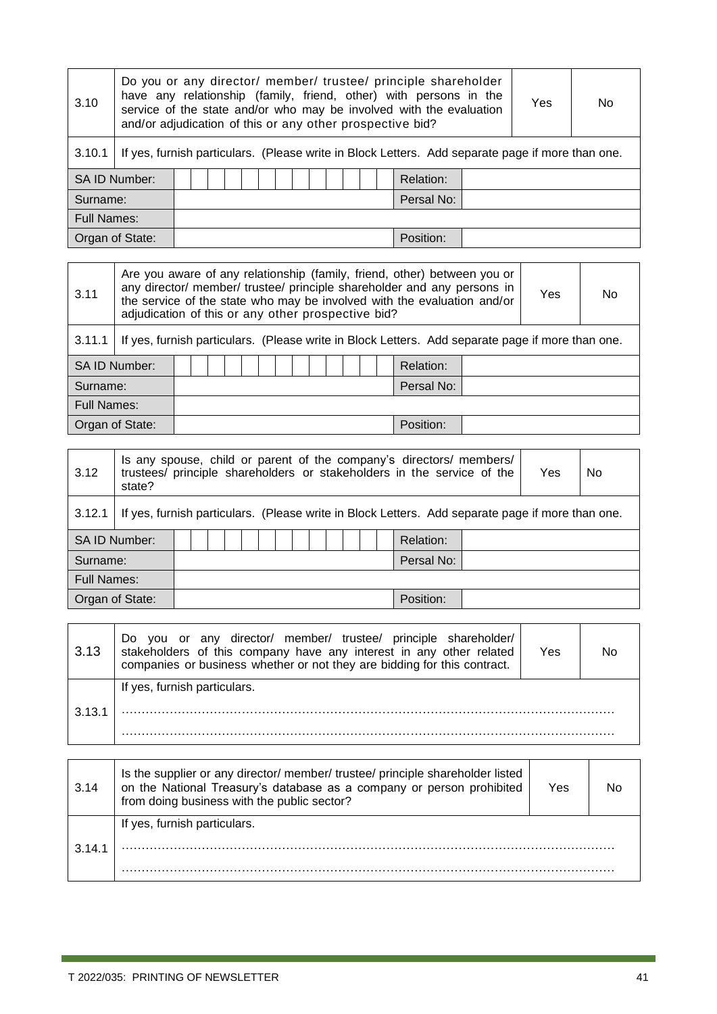| 3.10                         | Do you or any director/ member/ trustee/ principle shareholder<br>have any relationship (family, friend, other) with persons in the<br>service of the state and/or who may be involved with the evaluation<br>and/or adjudication of this or any other prospective bid? |  |  |  |  |  |  |  |  |  |  |  | Yes | No.        |  |  |
|------------------------------|-------------------------------------------------------------------------------------------------------------------------------------------------------------------------------------------------------------------------------------------------------------------------|--|--|--|--|--|--|--|--|--|--|--|-----|------------|--|--|
| 3.10.1                       | If yes, furnish particulars. (Please write in Block Letters. Add separate page if more than one.                                                                                                                                                                        |  |  |  |  |  |  |  |  |  |  |  |     |            |  |  |
|                              | <b>SAID Number:</b>                                                                                                                                                                                                                                                     |  |  |  |  |  |  |  |  |  |  |  |     | Relation:  |  |  |
| Surname:                     |                                                                                                                                                                                                                                                                         |  |  |  |  |  |  |  |  |  |  |  |     | Persal No: |  |  |
|                              | <b>Full Names:</b>                                                                                                                                                                                                                                                      |  |  |  |  |  |  |  |  |  |  |  |     |            |  |  |
| Organ of State:<br>Position: |                                                                                                                                                                                                                                                                         |  |  |  |  |  |  |  |  |  |  |  |     |            |  |  |

| 3.11                         |                    | Are you aware of any relationship (family, friend, other) between you or<br>any director/ member/ trustee/ principle shareholder and any persons in<br>Yes<br>No<br>the service of the state who may be involved with the evaluation and/or<br>adjudication of this or any other prospective bid? |  |  |  |  |  |  |  |  |  |  |  |            |  |  |
|------------------------------|--------------------|---------------------------------------------------------------------------------------------------------------------------------------------------------------------------------------------------------------------------------------------------------------------------------------------------|--|--|--|--|--|--|--|--|--|--|--|------------|--|--|
| 3.11.1                       |                    | If yes, furnish particulars. (Please write in Block Letters. Add separate page if more than one.                                                                                                                                                                                                  |  |  |  |  |  |  |  |  |  |  |  |            |  |  |
|                              | SA ID Number:      |                                                                                                                                                                                                                                                                                                   |  |  |  |  |  |  |  |  |  |  |  | Relation:  |  |  |
| Surname:                     |                    |                                                                                                                                                                                                                                                                                                   |  |  |  |  |  |  |  |  |  |  |  | Persal No: |  |  |
|                              | <b>Full Names:</b> |                                                                                                                                                                                                                                                                                                   |  |  |  |  |  |  |  |  |  |  |  |            |  |  |
| Organ of State:<br>Position: |                    |                                                                                                                                                                                                                                                                                                   |  |  |  |  |  |  |  |  |  |  |  |            |  |  |

| 3.12                         | Is any spouse, child or parent of the company's directors/ members/<br>trustees/ principle shareholders or stakeholders in the service of the<br>Yes<br>N <sub>0</sub><br>state? |  |  |  |  |  |  |  |  |  |  |  |  |            |  |  |  |
|------------------------------|----------------------------------------------------------------------------------------------------------------------------------------------------------------------------------|--|--|--|--|--|--|--|--|--|--|--|--|------------|--|--|--|
| 3.12.1                       | If yes, furnish particulars. (Please write in Block Letters. Add separate page if more than one.                                                                                 |  |  |  |  |  |  |  |  |  |  |  |  |            |  |  |  |
|                              | SA ID Number:                                                                                                                                                                    |  |  |  |  |  |  |  |  |  |  |  |  | Relation:  |  |  |  |
| Surname:                     |                                                                                                                                                                                  |  |  |  |  |  |  |  |  |  |  |  |  | Persal No: |  |  |  |
|                              | <b>Full Names:</b>                                                                                                                                                               |  |  |  |  |  |  |  |  |  |  |  |  |            |  |  |  |
| Position:<br>Organ of State: |                                                                                                                                                                                  |  |  |  |  |  |  |  |  |  |  |  |  |            |  |  |  |

| 3.13   | you or any director/ member/ trustee/ principle shareholder/<br>Do.<br>stakeholders of this company have any interest in any other related<br>companies or business whether or not they are bidding for this contract. | Yes |  |
|--------|------------------------------------------------------------------------------------------------------------------------------------------------------------------------------------------------------------------------|-----|--|
|        | If yes, furnish particulars.                                                                                                                                                                                           |     |  |
| 3.13.1 |                                                                                                                                                                                                                        |     |  |
|        |                                                                                                                                                                                                                        |     |  |

| 3.14   | Is the supplier or any director/member/trustee/principle shareholder listed<br>on the National Treasury's database as a company or person prohibited<br>from doing business with the public sector? | Yes |  |
|--------|-----------------------------------------------------------------------------------------------------------------------------------------------------------------------------------------------------|-----|--|
| 3.14.1 | If yes, furnish particulars.                                                                                                                                                                        |     |  |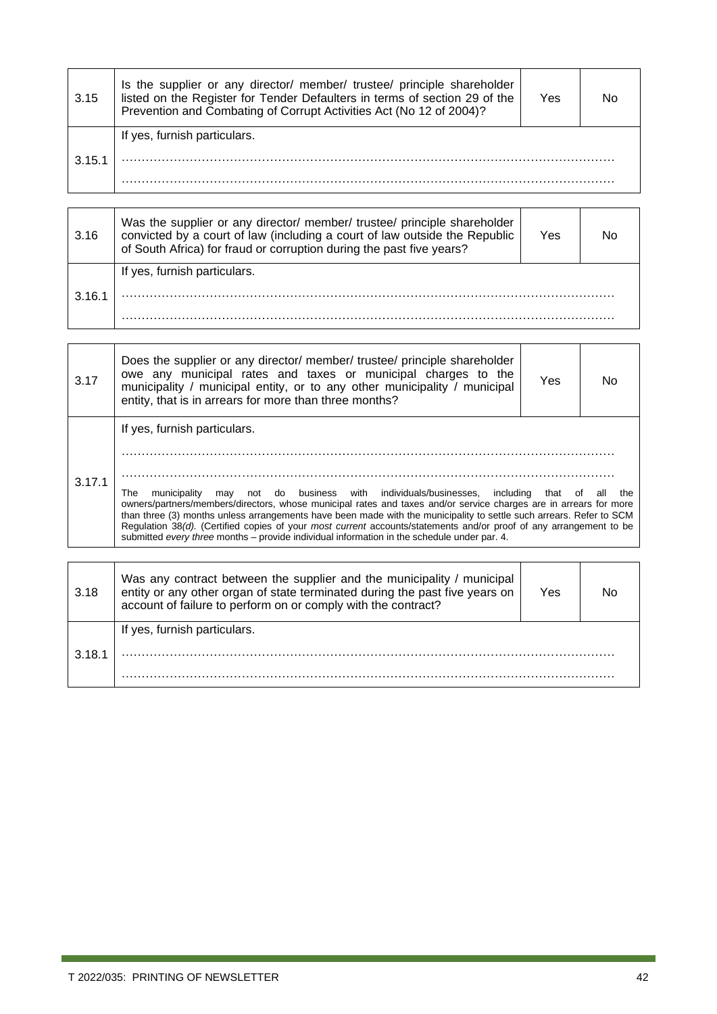| 3.15   | Is the supplier or any director/ member/ trustee/ principle shareholder<br>listed on the Register for Tender Defaulters in terms of section 29 of the<br>Prevention and Combating of Corrupt Activities Act (No 12 of 2004)? | Yes |  |
|--------|------------------------------------------------------------------------------------------------------------------------------------------------------------------------------------------------------------------------------|-----|--|
| 3.15.1 | If yes, furnish particulars.                                                                                                                                                                                                 |     |  |

| 3.16   | Was the supplier or any director/ member/ trustee/ principle shareholder<br>convicted by a court of law (including a court of law outside the Republic<br>of South Africa) for fraud or corruption during the past five years? | Yes | N٥ |
|--------|--------------------------------------------------------------------------------------------------------------------------------------------------------------------------------------------------------------------------------|-----|----|
|        | If yes, furnish particulars.                                                                                                                                                                                                   |     |    |
| 3.16.1 |                                                                                                                                                                                                                                |     |    |
|        |                                                                                                                                                                                                                                |     |    |

| 3.17   | Does the supplier or any director/ member/ trustee/ principle shareholder<br>owe any municipal rates and taxes or municipal charges to the<br>municipality / municipal entity, or to any other municipality / municipal<br>entity, that is in arrears for more than three months?                                                                                                                                                                                                                                                                                                              | Yes | No  |
|--------|------------------------------------------------------------------------------------------------------------------------------------------------------------------------------------------------------------------------------------------------------------------------------------------------------------------------------------------------------------------------------------------------------------------------------------------------------------------------------------------------------------------------------------------------------------------------------------------------|-----|-----|
| 3.17.1 | If yes, furnish particulars.<br>may not do business with individuals/businesses, including that of all<br>municipality<br>The<br>owners/partners/members/directors, whose municipal rates and taxes and/or service charges are in arrears for more<br>than three (3) months unless arrangements have been made with the municipality to settle such arrears. Refer to SCM<br>Regulation 38(d). (Certified copies of your most current accounts/statements and/or proof of any arrangement to be<br>submitted every three months – provide individual information in the schedule under par. 4. |     | the |

| 3.18   | Was any contract between the supplier and the municipality / municipal<br>entity or any other organ of state terminated during the past five years on<br>account of failure to perform on or comply with the contract? | Yes |  |
|--------|------------------------------------------------------------------------------------------------------------------------------------------------------------------------------------------------------------------------|-----|--|
| 3.18.1 | If yes, furnish particulars.                                                                                                                                                                                           |     |  |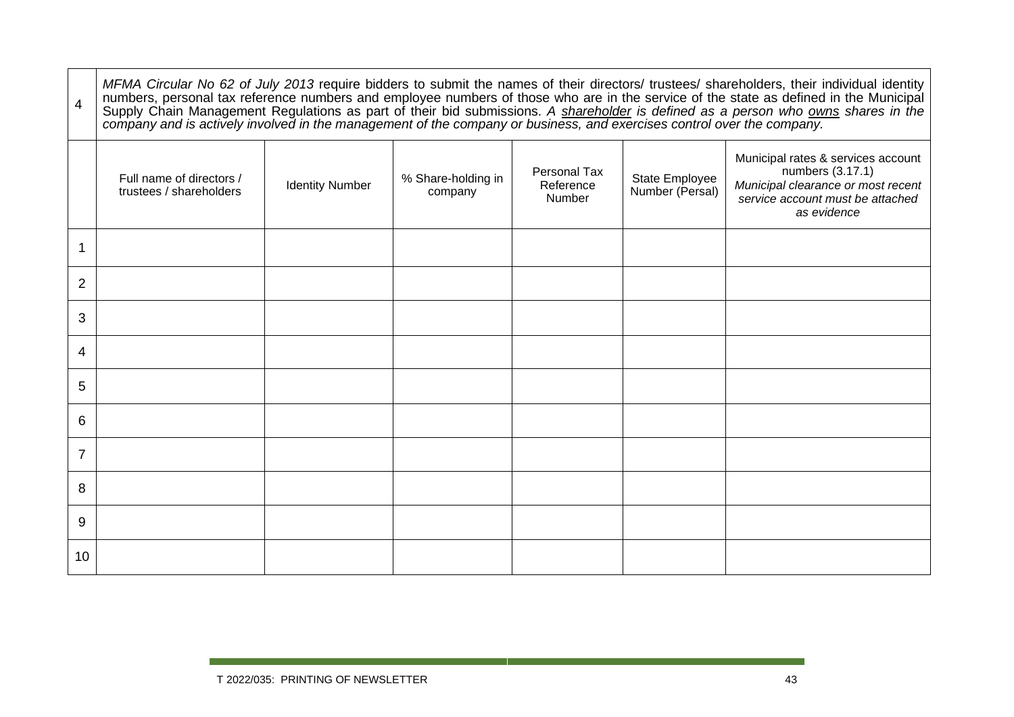| 4              | MFMA Circular No 62 of July 2013 require bidders to submit the names of their directors/ trustees/ shareholders, their individual identity<br>numbers, personal tax reference numbers and employee numbers of those who are in th |                        |                               |                                     |                                   |                                                                                                                                                 |
|----------------|-----------------------------------------------------------------------------------------------------------------------------------------------------------------------------------------------------------------------------------|------------------------|-------------------------------|-------------------------------------|-----------------------------------|-------------------------------------------------------------------------------------------------------------------------------------------------|
|                | Full name of directors /<br>trustees / shareholders                                                                                                                                                                               | <b>Identity Number</b> | % Share-holding in<br>company | Personal Tax<br>Reference<br>Number | State Employee<br>Number (Persal) | Municipal rates & services account<br>numbers (3.17.1)<br>Municipal clearance or most recent<br>service account must be attached<br>as evidence |
|                |                                                                                                                                                                                                                                   |                        |                               |                                     |                                   |                                                                                                                                                 |
| $\overline{2}$ |                                                                                                                                                                                                                                   |                        |                               |                                     |                                   |                                                                                                                                                 |
| 3              |                                                                                                                                                                                                                                   |                        |                               |                                     |                                   |                                                                                                                                                 |
| 4              |                                                                                                                                                                                                                                   |                        |                               |                                     |                                   |                                                                                                                                                 |
| 5              |                                                                                                                                                                                                                                   |                        |                               |                                     |                                   |                                                                                                                                                 |
| 6              |                                                                                                                                                                                                                                   |                        |                               |                                     |                                   |                                                                                                                                                 |
| $\overline{7}$ |                                                                                                                                                                                                                                   |                        |                               |                                     |                                   |                                                                                                                                                 |
| 8              |                                                                                                                                                                                                                                   |                        |                               |                                     |                                   |                                                                                                                                                 |
| 9              |                                                                                                                                                                                                                                   |                        |                               |                                     |                                   |                                                                                                                                                 |
| 10             |                                                                                                                                                                                                                                   |                        |                               |                                     |                                   |                                                                                                                                                 |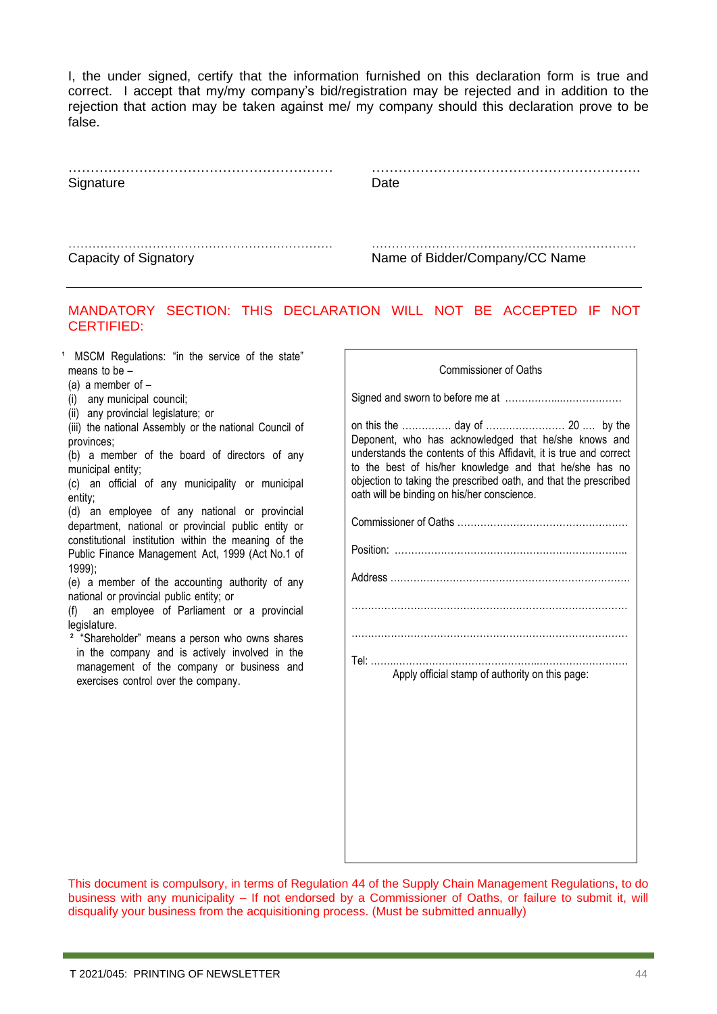I, the under signed, certify that the information furnished on this declaration form is true and correct. I accept that my/my company's bid/registration may be rejected and in addition to the rejection that action may be taken against me/ my company should this declaration prove to be false.

…………………………………………………… …………………………………………………….

#### Signature Date

………………………………………………………… ………………………………………………………… Capacity of Signatory **Name of Bidder/Company/CC Name** 

#### MANDATORY SECTION: THIS DECLARATION WILL NOT BE ACCEPTED IF NOT CERTIFIED:

<sup>1</sup> MSCM Regulations: "in the service of the state" means to be –

(a) a member of  $-$ 

(i) any municipal council;

(ii) any provincial legislature; or

(iii) the national Assembly or the national Council of provinces;

(b) a member of the board of directors of any municipal entity;

(c) an official of any municipality or municipal entity;

(d) an employee of any national or provincial department, national or provincial public entity or constitutional institution within the meaning of the Public Finance Management Act, 1999 (Act No.1 of 1999);

(e) a member of the accounting authority of any national or provincial public entity; or

(f) an employee of Parliament or a provincial legislature.

<sup>2</sup> "Shareholder" means a person who owns shares in the company and is actively involved in the management of the company or business and exercises control over the company.

| <b>Commissioner of Oaths</b>                                                                                                                                                                                                                                                                             |
|----------------------------------------------------------------------------------------------------------------------------------------------------------------------------------------------------------------------------------------------------------------------------------------------------------|
|                                                                                                                                                                                                                                                                                                          |
| Deponent, who has acknowledged that he/she knows and<br>understands the contents of this Affidavit, it is true and correct<br>to the best of his/her knowledge and that he/she has no<br>objection to taking the prescribed oath, and that the prescribed<br>oath will be binding on his/her conscience. |
|                                                                                                                                                                                                                                                                                                          |
|                                                                                                                                                                                                                                                                                                          |
|                                                                                                                                                                                                                                                                                                          |
|                                                                                                                                                                                                                                                                                                          |
| $\cdots$                                                                                                                                                                                                                                                                                                 |
| Tel:<br>Apply official stamp of authority on this page:                                                                                                                                                                                                                                                  |
|                                                                                                                                                                                                                                                                                                          |
|                                                                                                                                                                                                                                                                                                          |
|                                                                                                                                                                                                                                                                                                          |
|                                                                                                                                                                                                                                                                                                          |
|                                                                                                                                                                                                                                                                                                          |

This document is compulsory, in terms of Regulation 44 of the Supply Chain Management Regulations, to do business with any municipality – If not endorsed by a Commissioner of Oaths, or failure to submit it, will disqualify your business from the acquisitioning process. (Must be submitted annually)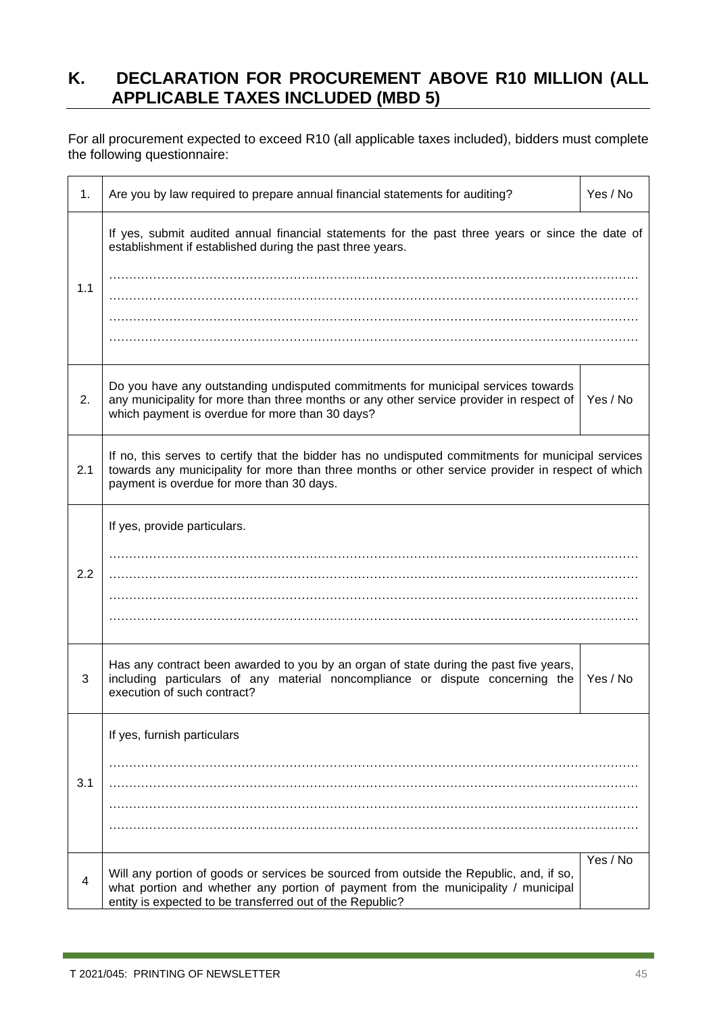### <span id="page-44-0"></span>**K. DECLARATION FOR PROCUREMENT ABOVE R10 MILLION (ALL APPLICABLE TAXES INCLUDED (MBD 5)**

For all procurement expected to exceed R10 (all applicable taxes included), bidders must complete the following questionnaire:

| 1.  | Are you by law required to prepare annual financial statements for auditing?                                                                                                                                                                         | Yes / No |
|-----|------------------------------------------------------------------------------------------------------------------------------------------------------------------------------------------------------------------------------------------------------|----------|
| 1.1 | If yes, submit audited annual financial statements for the past three years or since the date of<br>establishment if established during the past three years.                                                                                        |          |
| 2.  | Do you have any outstanding undisputed commitments for municipal services towards<br>any municipality for more than three months or any other service provider in respect of<br>which payment is overdue for more than 30 days?                      | Yes / No |
| 2.1 | If no, this serves to certify that the bidder has no undisputed commitments for municipal services<br>towards any municipality for more than three months or other service provider in respect of which<br>payment is overdue for more than 30 days. |          |
| 2.2 | If yes, provide particulars.                                                                                                                                                                                                                         |          |
| 3   | Has any contract been awarded to you by an organ of state during the past five years,<br>including particulars of any material noncompliance or dispute concerning the<br>execution of such contract?                                                | Yes / No |
| 3.1 | If yes, furnish particulars                                                                                                                                                                                                                          |          |
| 4   | Will any portion of goods or services be sourced from outside the Republic, and, if so,<br>what portion and whether any portion of payment from the municipality / municipal<br>entity is expected to be transferred out of the Republic?            | Yes / No |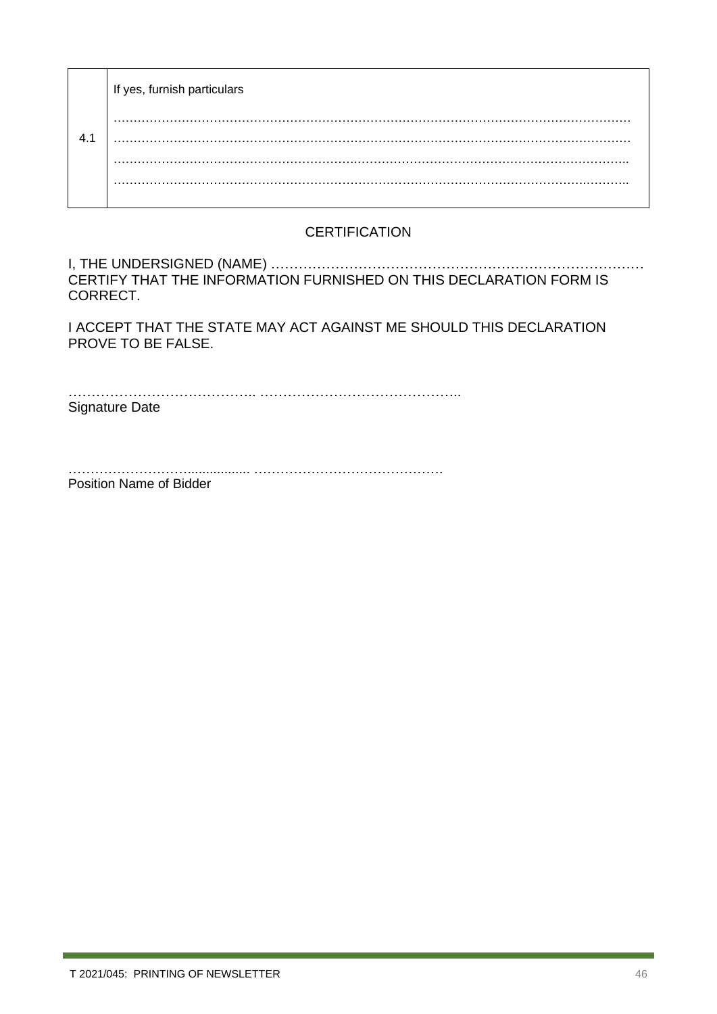|     | If yes, furnish particulars |
|-----|-----------------------------|
| 4.1 | .<br>.                      |
|     |                             |

### **CERTIFICATION**

I, THE UNDERSIGNED (NAME) ……………………………………………………………………… CERTIFY THAT THE INFORMATION FURNISHED ON THIS DECLARATION FORM IS CORRECT.

I ACCEPT THAT THE STATE MAY ACT AGAINST ME SHOULD THIS DECLARATION PROVE TO BE FALSE.

………………………………….. …………………………………….. Signature Date

………………………................. ……………………………………. Position Name of Bidder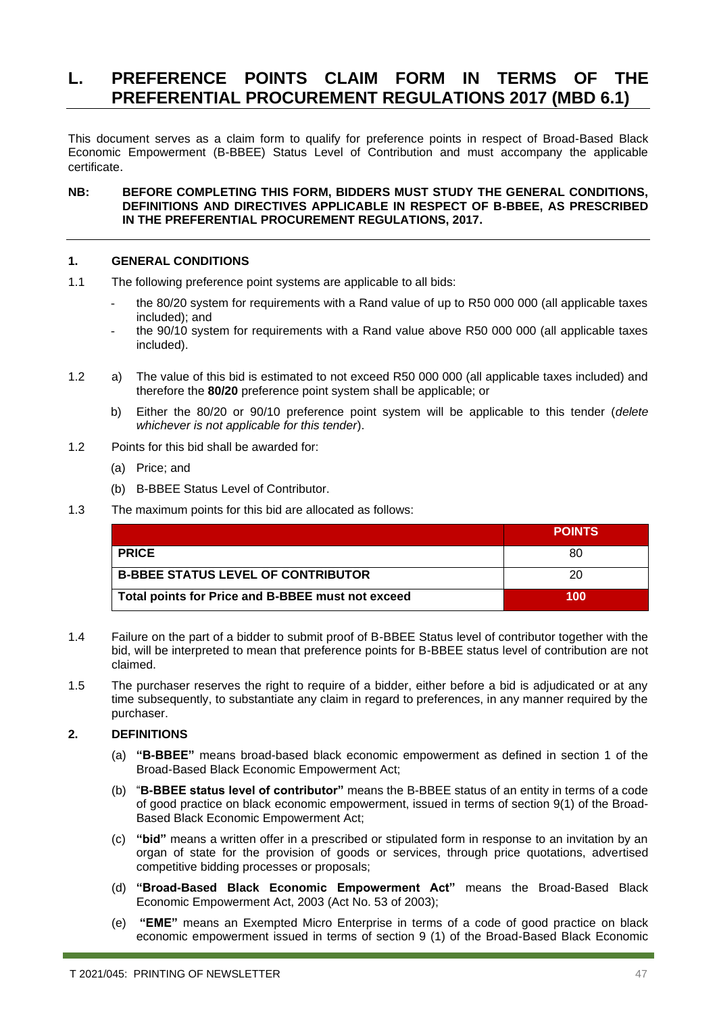### <span id="page-46-0"></span>**L. PREFERENCE POINTS CLAIM FORM IN TERMS OF THE PREFERENTIAL PROCUREMENT REGULATIONS 2017 (MBD 6.1)**

This document serves as a claim form to qualify for preference points in respect of Broad-Based Black Economic Empowerment (B-BBEE) Status Level of Contribution and must accompany the applicable certificate.

#### **NB: BEFORE COMPLETING THIS FORM, BIDDERS MUST STUDY THE GENERAL CONDITIONS, DEFINITIONS AND DIRECTIVES APPLICABLE IN RESPECT OF B-BBEE, AS PRESCRIBED IN THE PREFERENTIAL PROCUREMENT REGULATIONS, 2017.**

#### **1. GENERAL CONDITIONS**

- 1.1 The following preference point systems are applicable to all bids:
	- the 80/20 system for requirements with a Rand value of up to R50 000 000 (all applicable taxes included); and
	- the 90/10 system for requirements with a Rand value above R50 000 000 (all applicable taxes included).
- 1.2 a) The value of this bid is estimated to not exceed R50 000 000 (all applicable taxes included) and therefore the **80/20** preference point system shall be applicable; or
	- b) Either the 80/20 or 90/10 preference point system will be applicable to this tender (*delete whichever is not applicable for this tender*).
- 1.2 Points for this bid shall be awarded for:
	- (a) Price; and
	- (b) B-BBEE Status Level of Contributor.
- 1.3 The maximum points for this bid are allocated as follows:

|                                                   | <b>POINTS</b> |
|---------------------------------------------------|---------------|
| <b>PRICE</b>                                      | 80            |
| <b>B-BBEE STATUS LEVEL OF CONTRIBUTOR</b>         | 20            |
| Total points for Price and B-BBEE must not exceed | 100           |

- 1.4 Failure on the part of a bidder to submit proof of B-BBEE Status level of contributor together with the bid, will be interpreted to mean that preference points for B-BBEE status level of contribution are not claimed.
- 1.5 The purchaser reserves the right to require of a bidder, either before a bid is adjudicated or at any time subsequently, to substantiate any claim in regard to preferences, in any manner required by the purchaser.

#### **2. DEFINITIONS**

- (a) **"B-BBEE"** means broad-based black economic empowerment as defined in section 1 of the Broad-Based Black Economic Empowerment Act;
- (b) "**B-BBEE status level of contributor"** means the B-BBEE status of an entity in terms of a code of good practice on black economic empowerment, issued in terms of section 9(1) of the Broad-Based Black Economic Empowerment Act;
- (c) **"bid"** means a written offer in a prescribed or stipulated form in response to an invitation by an organ of state for the provision of goods or services, through price quotations, advertised competitive bidding processes or proposals;
- (d) **"Broad-Based Black Economic Empowerment Act"** means the Broad-Based Black Economic Empowerment Act, 2003 (Act No. 53 of 2003);
- (e) **"EME"** means an Exempted Micro Enterprise in terms of a code of good practice on black economic empowerment issued in terms of section 9 (1) of the Broad-Based Black Economic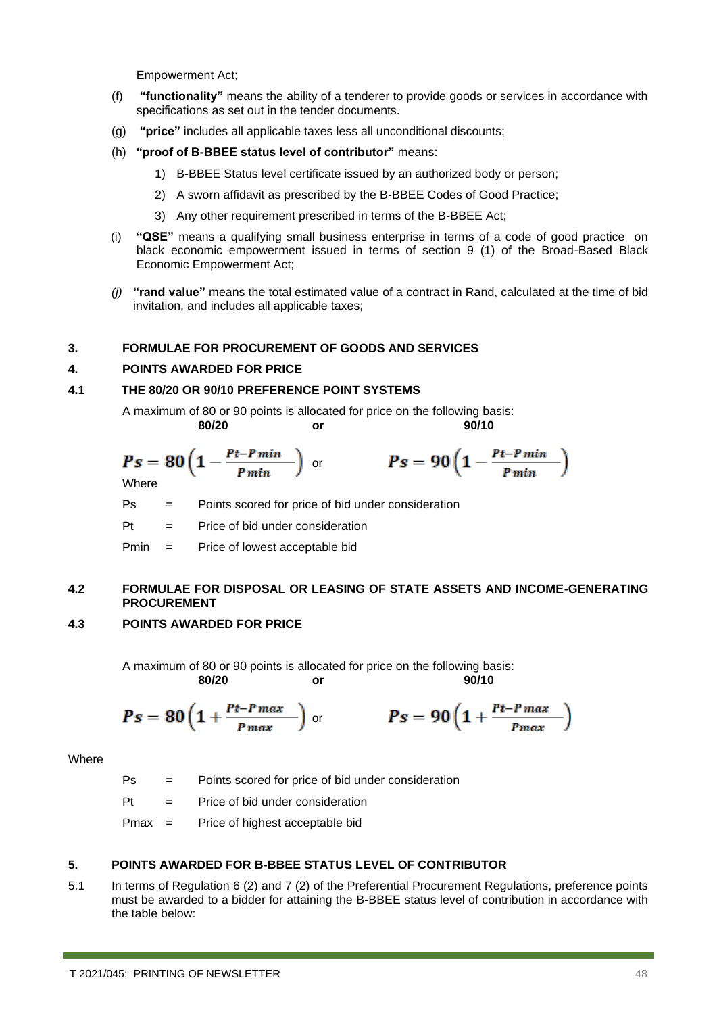Empowerment Act;

- (f) **"functionality"** means the ability of a tenderer to provide goods or services in accordance with specifications as set out in the tender documents.
- (g) **"price"** includes all applicable taxes less all unconditional discounts;
- (h) **"proof of B-BBEE status level of contributor"** means:
	- 1) B-BBEE Status level certificate issued by an authorized body or person;
	- 2) A sworn affidavit as prescribed by the B-BBEE Codes of Good Practice;
	- 3) Any other requirement prescribed in terms of the B-BBEE Act;
- (i) **"QSE"** means a qualifying small business enterprise in terms of a code of good practice on black economic empowerment issued in terms of section 9 (1) of the Broad-Based Black Economic Empowerment Act;
- *(j)* **"rand value"** means the total estimated value of a contract in Rand, calculated at the time of bid invitation, and includes all applicable taxes;

#### **3. FORMULAE FOR PROCUREMENT OF GOODS AND SERVICES**

#### **4. POINTS AWARDED FOR PRICE**

#### **4.1 THE 80/20 OR 90/10 PREFERENCE POINT SYSTEMS**

A maximum of 80 or 90 points is allocated for price on the following basis: **80/20 or 90/10**

$$
Ps = 80 \left(1 - \frac{Pt - P\min}{P\min}\right) \quad \text{or} \quad \qquad Ps = 90 \left(1 - \frac{Pt - P\min}{P\min}\right)
$$

Ps = Points scored for price of bid under consideration

Pt = Price of bid under consideration

Pmin = Price of lowest acceptable bid

#### **4.2 FORMULAE FOR DISPOSAL OR LEASING OF STATE ASSETS AND INCOME-GENERATING PROCUREMENT**

#### **4.3 POINTS AWARDED FOR PRICE**

A maximum of 80 or 90 points is allocated for price on the following basis:<br>80/20 or 90/10 **80/20 or 90/10**

$$
Ps = 80 \left(1 + \frac{Pt-Pmax}{Pmax}\right)
$$
 or 
$$
Ps = 90 \left(1 + \frac{Pt-Pmax}{Pmax}\right)
$$

**Where** 

Ps = Points scored for price of bid under consideration

 $Pt =$  Price of bid under consideration

Pmax = Price of highest acceptable bid

#### **5. POINTS AWARDED FOR B-BBEE STATUS LEVEL OF CONTRIBUTOR**

5.1 In terms of Regulation 6 (2) and 7 (2) of the Preferential Procurement Regulations, preference points must be awarded to a bidder for attaining the B-BBEE status level of contribution in accordance with the table below: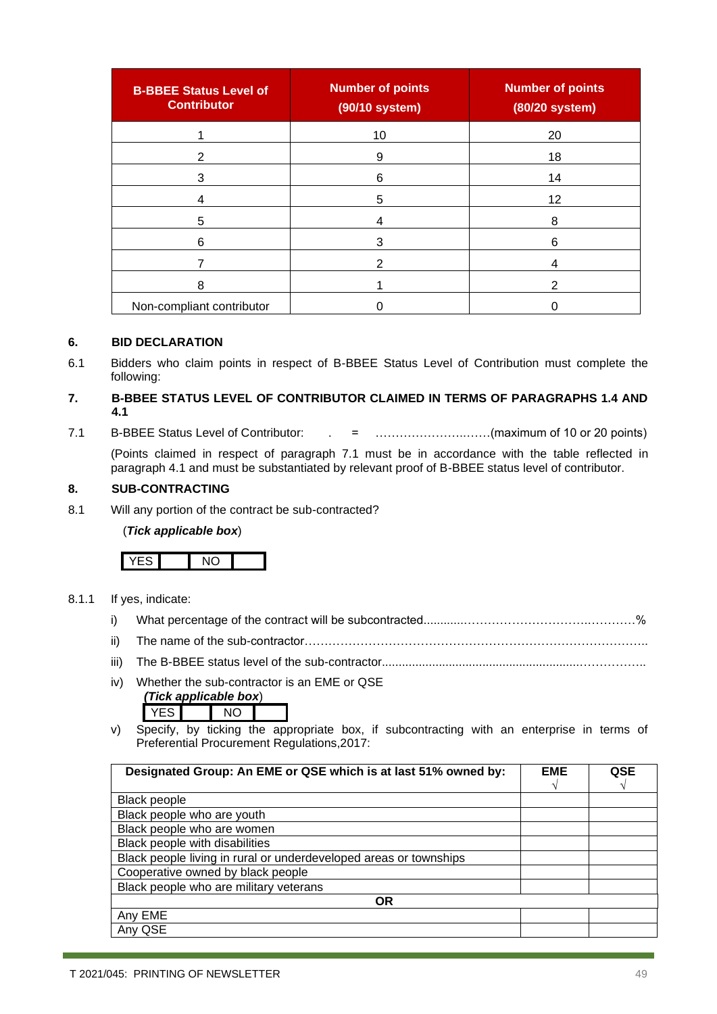| <b>B-BBEE Status Level of</b><br><b>Contributor</b> | <b>Number of points</b><br>(90/10 system) | <b>Number of points</b><br>(80/20 system) |
|-----------------------------------------------------|-------------------------------------------|-------------------------------------------|
|                                                     | 10                                        | 20                                        |
| 2                                                   | 9                                         | 18                                        |
| 3                                                   | 6                                         | 14                                        |
| 4                                                   | 5                                         | 12                                        |
| 5                                                   |                                           | 8                                         |
| 6                                                   | 3                                         | 6                                         |
|                                                     | 2                                         | 4                                         |
| 8                                                   |                                           | 2                                         |
| Non-compliant contributor                           |                                           |                                           |

#### **6. BID DECLARATION**

6.1 Bidders who claim points in respect of B-BBEE Status Level of Contribution must complete the following:

#### **7. B-BBEE STATUS LEVEL OF CONTRIBUTOR CLAIMED IN TERMS OF PARAGRAPHS 1.4 AND 4.1**

7.1 B-BBEE Status Level of Contributor: . = …………………..……(maximum of 10 or 20 points)

(Points claimed in respect of paragraph 7.1 must be in accordance with the table reflected in paragraph 4.1 and must be substantiated by relevant proof of B-BBEE status level of contributor.

#### **8. SUB-CONTRACTING**

8.1 Will any portion of the contract be sub-contracted?

#### (*Tick applicable box*)

#### 8.1.1 If yes, indicate:

- i) What percentage of the contract will be subcontracted............………………………….…………%
- ii) The name of the sub-contractor…………………………………………………………………………..
- iii) The B-BBEE status level of the sub-contractor...........................................................……………..
- iv) Whether the sub-contractor is an EME or QSE

| (Tick applicable box) |  |     |  |
|-----------------------|--|-----|--|
|                       |  | NO. |  |

v) Specify, by ticking the appropriate box, if subcontracting with an enterprise in terms of Preferential Procurement Regulations,2017:

| Designated Group: An EME or QSE which is at last 51% owned by:    |  | <b>QSE</b> |
|-------------------------------------------------------------------|--|------------|
|                                                                   |  |            |
| Black people                                                      |  |            |
| Black people who are youth                                        |  |            |
| Black people who are women                                        |  |            |
| Black people with disabilities                                    |  |            |
| Black people living in rural or underdeveloped areas or townships |  |            |
| Cooperative owned by black people                                 |  |            |
| Black people who are military veterans                            |  |            |
| <b>OR</b>                                                         |  |            |
| Any EME                                                           |  |            |
| Any QSE                                                           |  |            |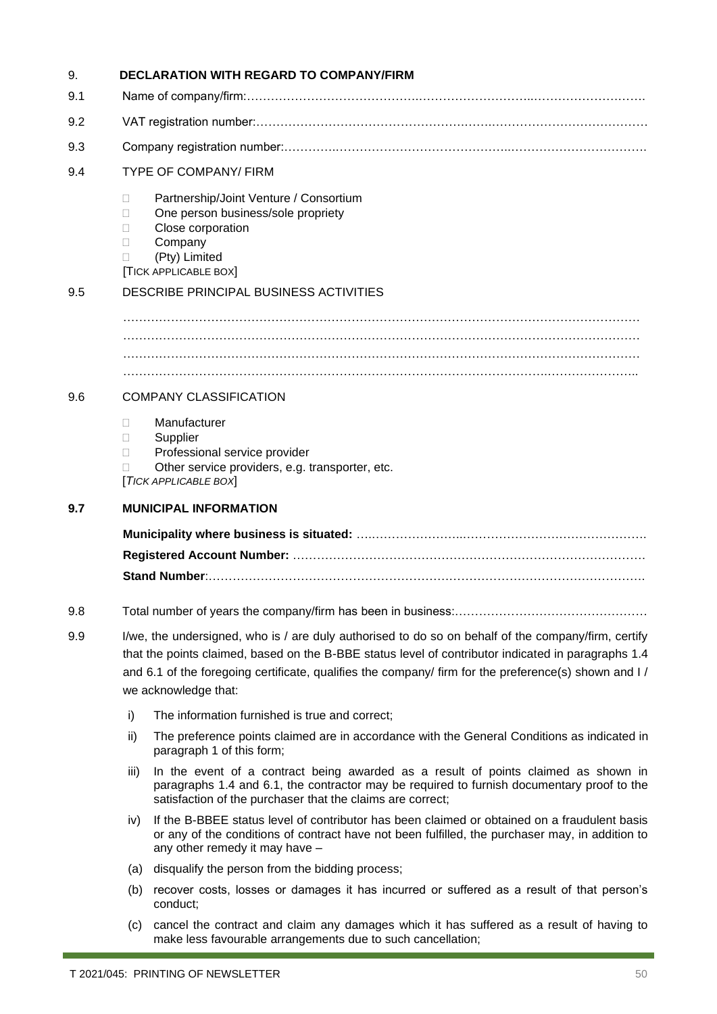| 9.  |                                   | <b>DECLARATION WITH REGARD TO COMPANY/FIRM</b>                                                                                                                                                                                                                                                                                             |  |  |  |
|-----|-----------------------------------|--------------------------------------------------------------------------------------------------------------------------------------------------------------------------------------------------------------------------------------------------------------------------------------------------------------------------------------------|--|--|--|
| 9.1 |                                   |                                                                                                                                                                                                                                                                                                                                            |  |  |  |
| 9.2 |                                   |                                                                                                                                                                                                                                                                                                                                            |  |  |  |
| 9.3 |                                   |                                                                                                                                                                                                                                                                                                                                            |  |  |  |
| 9.4 |                                   | <b>TYPE OF COMPANY/ FIRM</b>                                                                                                                                                                                                                                                                                                               |  |  |  |
|     | Н<br>Н<br>Н<br>Н<br>$\Box$        | Partnership/Joint Venture / Consortium<br>One person business/sole propriety<br>Close corporation<br>Company<br>(Pty) Limited<br><b>TICK APPLICABLE BOX</b>                                                                                                                                                                                |  |  |  |
| 9.5 |                                   | DESCRIBE PRINCIPAL BUSINESS ACTIVITIES                                                                                                                                                                                                                                                                                                     |  |  |  |
|     |                                   |                                                                                                                                                                                                                                                                                                                                            |  |  |  |
| 9.6 |                                   | <b>COMPANY CLASSIFICATION</b>                                                                                                                                                                                                                                                                                                              |  |  |  |
|     | $\mathbf{L}$<br>$\mathbf{L}$<br>П | Manufacturer<br>Supplier<br>Professional service provider<br>Other service providers, e.g. transporter, etc.<br>[TICK APPLICABLE BOX]                                                                                                                                                                                                      |  |  |  |
| 9.7 |                                   | <b>MUNICIPAL INFORMATION</b>                                                                                                                                                                                                                                                                                                               |  |  |  |
|     |                                   |                                                                                                                                                                                                                                                                                                                                            |  |  |  |
|     |                                   |                                                                                                                                                                                                                                                                                                                                            |  |  |  |
|     |                                   |                                                                                                                                                                                                                                                                                                                                            |  |  |  |
| 9.8 |                                   |                                                                                                                                                                                                                                                                                                                                            |  |  |  |
| 9.9 |                                   | I/we, the undersigned, who is / are duly authorised to do so on behalf of the company/firm, certify<br>that the points claimed, based on the B-BBE status level of contributor indicated in paragraphs 1.4<br>and 6.1 of the foregoing certificate, qualifies the company/ firm for the preference(s) shown and I/<br>we acknowledge that: |  |  |  |
|     | i)                                | The information furnished is true and correct;                                                                                                                                                                                                                                                                                             |  |  |  |
|     | ii)                               | The preference points claimed are in accordance with the General Conditions as indicated in<br>paragraph 1 of this form;                                                                                                                                                                                                                   |  |  |  |
|     | iii)                              | In the event of a contract being awarded as a result of points claimed as shown in<br>paragraphs 1.4 and 6.1, the contractor may be required to furnish documentary proof to the<br>satisfaction of the purchaser that the claims are correct;                                                                                             |  |  |  |
|     | iv)                               | If the B-BBEE status level of contributor has been claimed or obtained on a fraudulent basis<br>or any of the conditions of contract have not been fulfilled, the purchaser may, in addition to<br>any other remedy it may have -                                                                                                          |  |  |  |
|     | (a)                               | disqualify the person from the bidding process;                                                                                                                                                                                                                                                                                            |  |  |  |
|     | (b)                               | recover costs, losses or damages it has incurred or suffered as a result of that person's<br>conduct;                                                                                                                                                                                                                                      |  |  |  |
|     | (c)                               | cancel the contract and claim any damages which it has suffered as a result of having to<br>make less favourable arrangements due to such cancellation;                                                                                                                                                                                    |  |  |  |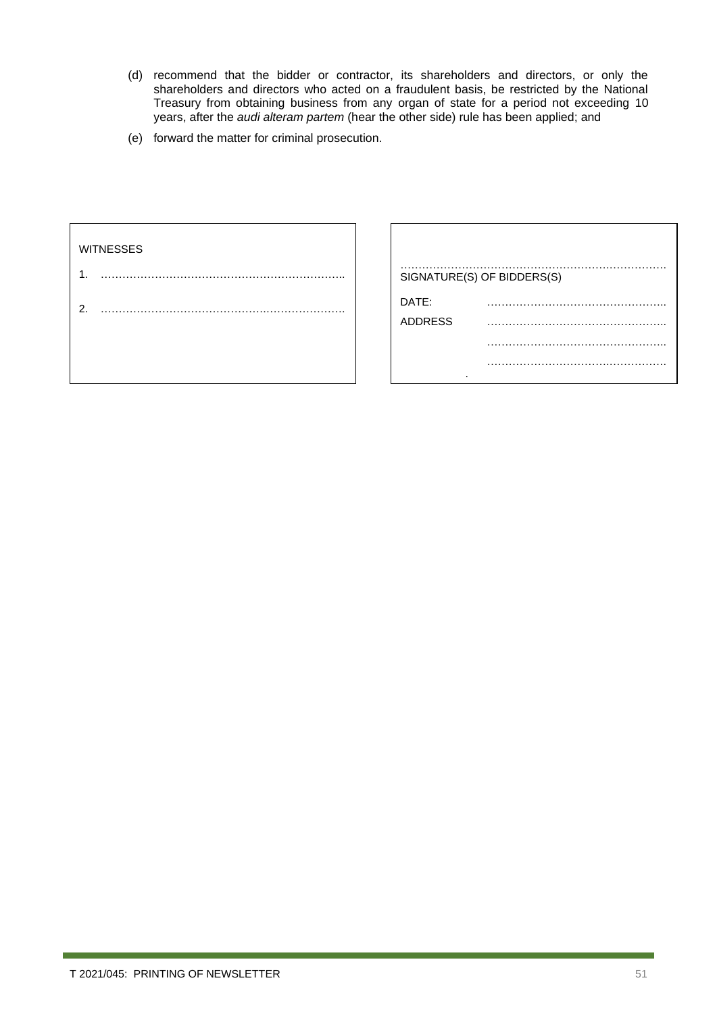- (d) recommend that the bidder or contractor, its shareholders and directors, or only the shareholders and directors who acted on a fraudulent basis, be restricted by the National Treasury from obtaining business from any organ of state for a period not exceeding 10 years, after the *audi alteram partem* (hear the other side) rule has been applied; and
- (e) forward the matter for criminal prosecution.

| SIGNATURE(S) OF BIDDERS(S) |
|----------------------------|
| DATE:                      |
| <b>ADDRESS</b>             |
|                            |
| $\cdot$                    |
|                            |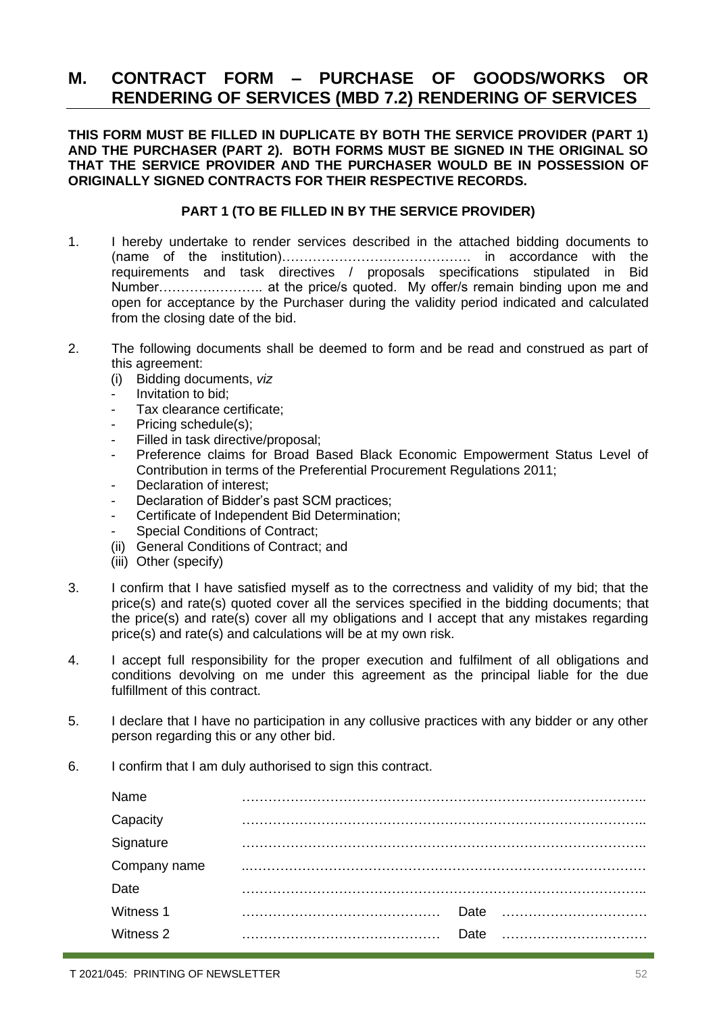### <span id="page-51-0"></span>**M. CONTRACT FORM – PURCHASE OF GOODS/WORKS OR RENDERING OF SERVICES (MBD 7.2) RENDERING OF SERVICES**

**THIS FORM MUST BE FILLED IN DUPLICATE BY BOTH THE SERVICE PROVIDER (PART 1) AND THE PURCHASER (PART 2). BOTH FORMS MUST BE SIGNED IN THE ORIGINAL SO THAT THE SERVICE PROVIDER AND THE PURCHASER WOULD BE IN POSSESSION OF ORIGINALLY SIGNED CONTRACTS FOR THEIR RESPECTIVE RECORDS.**

#### **PART 1 (TO BE FILLED IN BY THE SERVICE PROVIDER)**

- 1. I hereby undertake to render services described in the attached bidding documents to (name of the institution)……………………………………. in accordance with the requirements and task directives / proposals specifications stipulated in Bid Number………….……….. at the price/s quoted. My offer/s remain binding upon me and open for acceptance by the Purchaser during the validity period indicated and calculated from the closing date of the bid.
- 2. The following documents shall be deemed to form and be read and construed as part of this agreement:
	- (i) Bidding documents, *viz*
	- *-* Invitation to bid;
	- *-* Tax clearance certificate;
	- Pricing schedule(s):
	- *-* Filled in task directive/proposal;
	- *-* Preference claims for Broad Based Black Economic Empowerment Status Level of Contribution in terms of the Preferential Procurement Regulations 2011;
	- *-* Declaration of interest;
	- *-* Declaration of Bidder's past SCM practices;
	- *-* Certificate of Independent Bid Determination;
	- **Special Conditions of Contract:**
	- (ii) General Conditions of Contract; and
	- (iii) Other (specify)
- 3. I confirm that I have satisfied myself as to the correctness and validity of my bid; that the price(s) and rate(s) quoted cover all the services specified in the bidding documents; that the price(s) and rate(s) cover all my obligations and I accept that any mistakes regarding price(s) and rate(s) and calculations will be at my own risk.
- 4. I accept full responsibility for the proper execution and fulfilment of all obligations and conditions devolving on me under this agreement as the principal liable for the due fulfillment of this contract.
- 5. I declare that I have no participation in any collusive practices with any bidder or any other person regarding this or any other bid.
- 6. I confirm that I am duly authorised to sign this contract.

| Name           |      |  |
|----------------|------|--|
| Capacity       |      |  |
| .<br>Signature |      |  |
| Company name   |      |  |
| Date           |      |  |
| Witness 1      |      |  |
| Witness 2      | Date |  |
|                |      |  |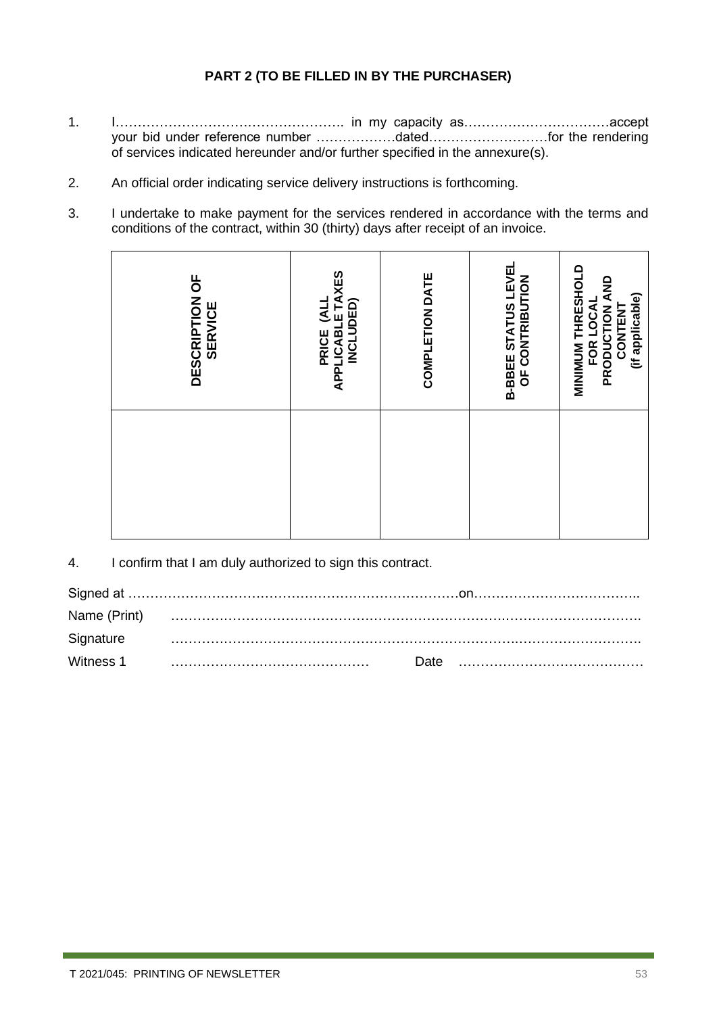### **PART 2 (TO BE FILLED IN BY THE PURCHASER)**

- 1. I……………………………………………. in my capacity as……………………………accept your bid under reference number ………………dated………………………for the rendering of services indicated hereunder and/or further specified in the annexure(s).
- 2. An official order indicating service delivery instructions is forthcoming.
- 3. I undertake to make payment for the services rendered in accordance with the terms and conditions of the contract, within 30 (thirty) days after receipt of an invoice.

| <b>PRICE (ALL<br/>APPLICABLE TAXES<br/>INCLUDED)</b><br>DESCRIPTION OF<br><b>SERVICE</b>      |
|-----------------------------------------------------------------------------------------------|
| COMPLETION DATE                                                                               |
| <b>B-BBEE STATUS LEVEL</b><br>OF CONTRIBUTION                                                 |
| <b>MINIMON THRESHOLD</b><br><b>PRODUCTION AND<br/>CONTENT</b><br>(if applicable)<br>FOR LOCAL |

4. I confirm that I am duly authorized to sign this contract.

| Signature |  |  |
|-----------|--|--|
|           |  |  |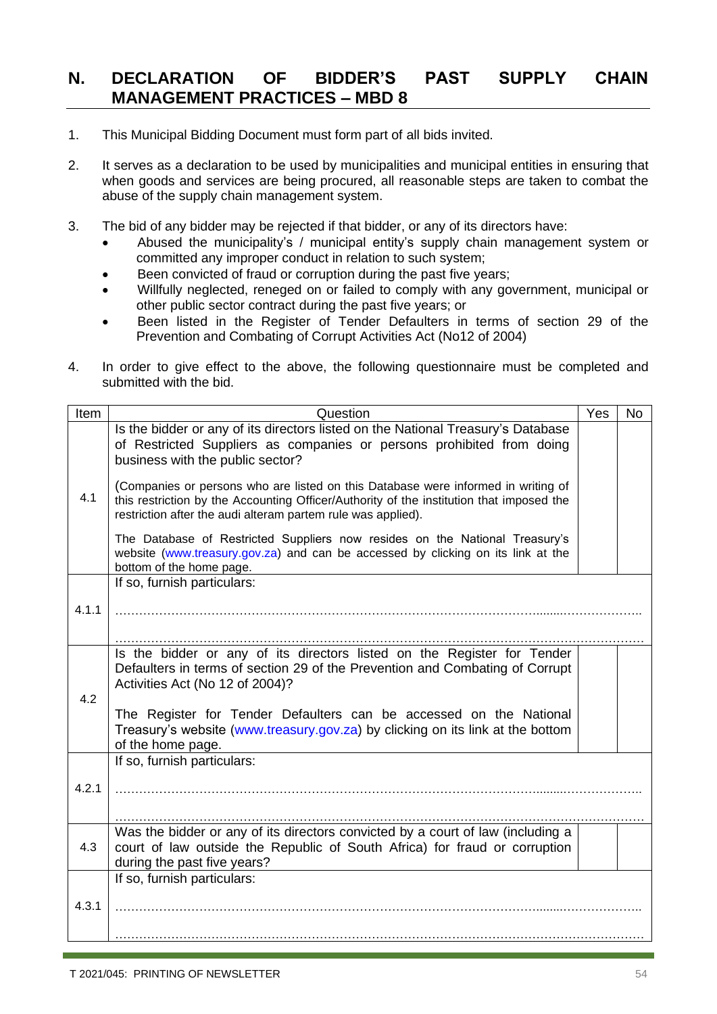### <span id="page-53-0"></span>**N. DECLARATION OF BIDDER'S PAST SUPPLY CHAIN MANAGEMENT PRACTICES – MBD 8**

- 1. This Municipal Bidding Document must form part of all bids invited.
- 2. It serves as a declaration to be used by municipalities and municipal entities in ensuring that when goods and services are being procured, all reasonable steps are taken to combat the abuse of the supply chain management system.
- 3. The bid of any bidder may be rejected if that bidder, or any of its directors have:
	- Abused the municipality's / municipal entity's supply chain management system or committed any improper conduct in relation to such system;
	- Been convicted of fraud or corruption during the past five years;
	- Willfully neglected, reneged on or failed to comply with any government, municipal or other public sector contract during the past five years; or
	- Been listed in the Register of Tender Defaulters in terms of section 29 of the Prevention and Combating of Corrupt Activities Act (No12 of 2004)
- 4. In order to give effect to the above, the following questionnaire must be completed and submitted with the bid.

| Item  | Question                                                                                                                                                                                                                                      | Yes | <b>No</b> |
|-------|-----------------------------------------------------------------------------------------------------------------------------------------------------------------------------------------------------------------------------------------------|-----|-----------|
|       | Is the bidder or any of its directors listed on the National Treasury's Database<br>of Restricted Suppliers as companies or persons prohibited from doing<br>business with the public sector?                                                 |     |           |
| 4.1   | (Companies or persons who are listed on this Database were informed in writing of<br>this restriction by the Accounting Officer/Authority of the institution that imposed the<br>restriction after the audi alteram partem rule was applied). |     |           |
|       | The Database of Restricted Suppliers now resides on the National Treasury's<br>website (www.treasury.gov.za) and can be accessed by clicking on its link at the<br>bottom of the home page.                                                   |     |           |
|       | If so, furnish particulars:                                                                                                                                                                                                                   |     |           |
| 4.1.1 |                                                                                                                                                                                                                                               |     |           |
|       |                                                                                                                                                                                                                                               |     |           |
|       | Is the bidder or any of its directors listed on the Register for Tender<br>Defaulters in terms of section 29 of the Prevention and Combating of Corrupt                                                                                       |     |           |
|       | Activities Act (No 12 of 2004)?                                                                                                                                                                                                               |     |           |
| 4.2   | The Register for Tender Defaulters can be accessed on the National                                                                                                                                                                            |     |           |
|       | Treasury's website (www.treasury.gov.za) by clicking on its link at the bottom                                                                                                                                                                |     |           |
|       | of the home page.                                                                                                                                                                                                                             |     |           |
|       | If so, furnish particulars:                                                                                                                                                                                                                   |     |           |
|       |                                                                                                                                                                                                                                               |     |           |
| 4.2.1 |                                                                                                                                                                                                                                               |     |           |
|       |                                                                                                                                                                                                                                               |     |           |
|       | Was the bidder or any of its directors convicted by a court of law (including a                                                                                                                                                               |     |           |
| 4.3   | court of law outside the Republic of South Africa) for fraud or corruption                                                                                                                                                                    |     |           |
|       | during the past five years?<br>If so, furnish particulars:                                                                                                                                                                                    |     |           |
|       |                                                                                                                                                                                                                                               |     |           |
| 4.3.1 |                                                                                                                                                                                                                                               |     |           |
|       |                                                                                                                                                                                                                                               |     |           |
|       |                                                                                                                                                                                                                                               |     |           |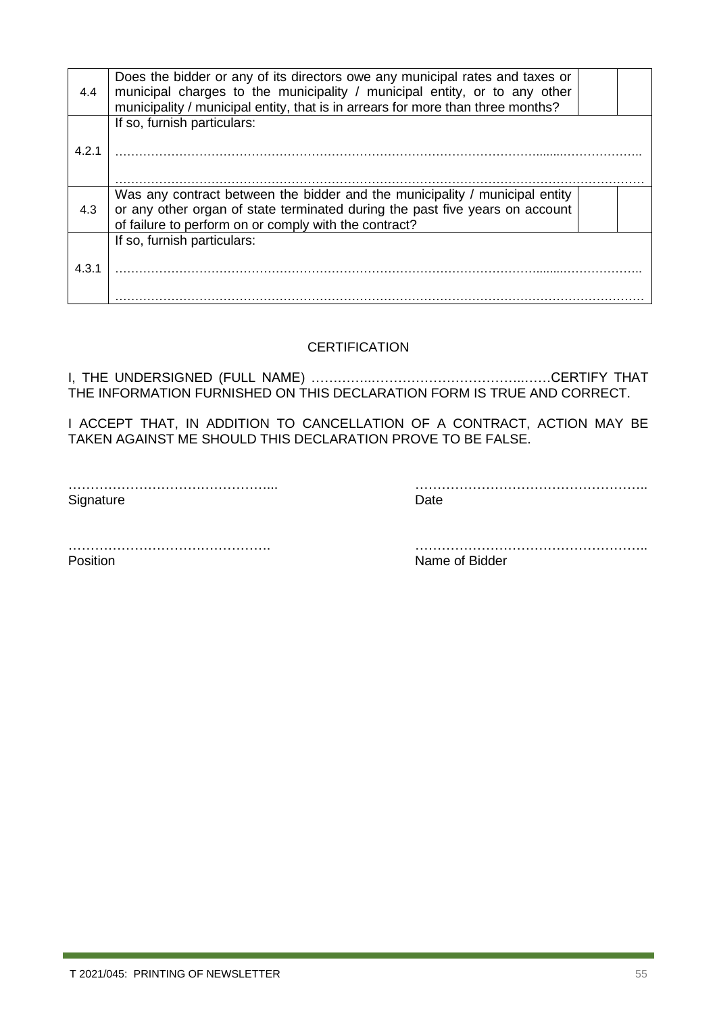| 4.4   | Does the bidder or any of its directors owe any municipal rates and taxes or<br>municipal charges to the municipality / municipal entity, or to any other<br>municipality / municipal entity, that is in arrears for more than three months? |  |
|-------|----------------------------------------------------------------------------------------------------------------------------------------------------------------------------------------------------------------------------------------------|--|
| 4.2.1 | If so, furnish particulars:                                                                                                                                                                                                                  |  |
| 4.3   | Was any contract between the bidder and the municipality / municipal entity<br>or any other organ of state terminated during the past five years on account<br>of failure to perform on or comply with the contract?                         |  |
| 4.3.1 | If so, furnish particulars:                                                                                                                                                                                                                  |  |

#### **CERTIFICATION**

I, THE UNDERSIGNED (FULL NAME) …………..……………………………..……CERTIFY THAT THE INFORMATION FURNISHED ON THIS DECLARATION FORM IS TRUE AND CORRECT.

I ACCEPT THAT, IN ADDITION TO CANCELLATION OF A CONTRACT, ACTION MAY BE TAKEN AGAINST ME SHOULD THIS DECLARATION PROVE TO BE FALSE.

Signature Date

………………………………………... ……………………………………………..

………………………………………. …………………………………………….. Position **Name of Bidder**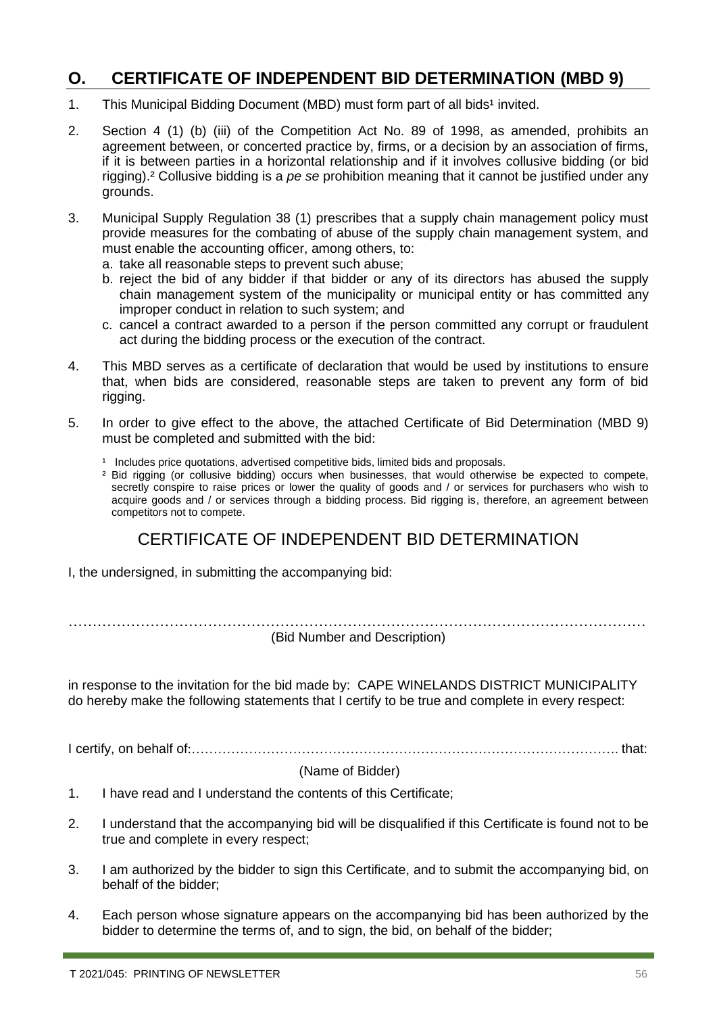### <span id="page-55-0"></span>**O. CERTIFICATE OF INDEPENDENT BID DETERMINATION (MBD 9)**

- 1. This Municipal Bidding Document (MBD) must form part of all bids<sup>1</sup> invited.
- 2. Section 4 (1) (b) (iii) of the Competition Act No. 89 of 1998, as amended, prohibits an agreement between, or concerted practice by, firms, or a decision by an association of firms, if it is between parties in a horizontal relationship and if it involves collusive bidding (or bid rigging).² Collusive bidding is a *pe se* prohibition meaning that it cannot be justified under any grounds.
- 3. Municipal Supply Regulation 38 (1) prescribes that a supply chain management policy must provide measures for the combating of abuse of the supply chain management system, and must enable the accounting officer, among others, to:
	- a. take all reasonable steps to prevent such abuse;
	- b. reject the bid of any bidder if that bidder or any of its directors has abused the supply chain management system of the municipality or municipal entity or has committed any improper conduct in relation to such system; and
	- c. cancel a contract awarded to a person if the person committed any corrupt or fraudulent act during the bidding process or the execution of the contract.
- 4. This MBD serves as a certificate of declaration that would be used by institutions to ensure that, when bids are considered, reasonable steps are taken to prevent any form of bid rigging.
- 5. In order to give effect to the above, the attached Certificate of Bid Determination (MBD 9) must be completed and submitted with the bid:
	- <sup>1</sup> Includes price quotations, advertised competitive bids, limited bids and proposals.
	- ² Bid rigging (or collusive bidding) occurs when businesses, that would otherwise be expected to compete, secretly conspire to raise prices or lower the quality of goods and / or services for purchasers who wish to acquire goods and / or services through a bidding process. Bid rigging is, therefore, an agreement between competitors not to compete.

### CERTIFICATE OF INDEPENDENT BID DETERMINATION

I, the undersigned, in submitting the accompanying bid:

………………………………………………………………………………………………………… (Bid Number and Description)

in response to the invitation for the bid made by: CAPE WINELANDS DISTRICT MUNICIPALITY do hereby make the following statements that I certify to be true and complete in every respect:

I certify, on behalf of:……………………………………………………………………………………. that:

#### (Name of Bidder)

- 1. I have read and I understand the contents of this Certificate;
- 2. I understand that the accompanying bid will be disqualified if this Certificate is found not to be true and complete in every respect;
- 3. I am authorized by the bidder to sign this Certificate, and to submit the accompanying bid, on behalf of the bidder;
- 4. Each person whose signature appears on the accompanying bid has been authorized by the bidder to determine the terms of, and to sign, the bid, on behalf of the bidder;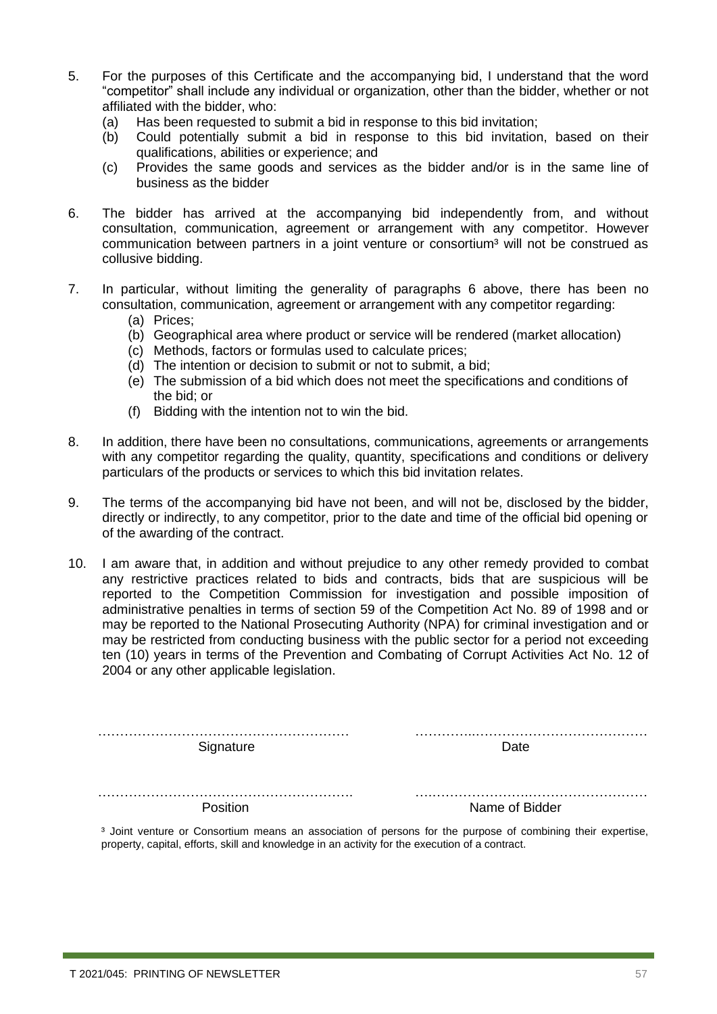- 5. For the purposes of this Certificate and the accompanying bid, I understand that the word "competitor" shall include any individual or organization, other than the bidder, whether or not affiliated with the bidder, who:
	- (a) Has been requested to submit a bid in response to this bid invitation;
	- (b) Could potentially submit a bid in response to this bid invitation, based on their qualifications, abilities or experience; and
	- (c) Provides the same goods and services as the bidder and/or is in the same line of business as the bidder
- 6. The bidder has arrived at the accompanying bid independently from, and without consultation, communication, agreement or arrangement with any competitor. However communication between partners in a joint venture or consortium<sup>3</sup> will not be construed as collusive bidding.
- 7. In particular, without limiting the generality of paragraphs 6 above, there has been no consultation, communication, agreement or arrangement with any competitor regarding:
	- (a) Prices;
	- (b) Geographical area where product or service will be rendered (market allocation)
	- (c) Methods, factors or formulas used to calculate prices;
	- (d) The intention or decision to submit or not to submit, a bid;
	- (e) The submission of a bid which does not meet the specifications and conditions of the bid; or
	- (f) Bidding with the intention not to win the bid.
- 8. In addition, there have been no consultations, communications, agreements or arrangements with any competitor regarding the quality, quantity, specifications and conditions or delivery particulars of the products or services to which this bid invitation relates.
- 9. The terms of the accompanying bid have not been, and will not be, disclosed by the bidder, directly or indirectly, to any competitor, prior to the date and time of the official bid opening or of the awarding of the contract.
- 10. I am aware that, in addition and without prejudice to any other remedy provided to combat any restrictive practices related to bids and contracts, bids that are suspicious will be reported to the Competition Commission for investigation and possible imposition of administrative penalties in terms of section 59 of the Competition Act No. 89 of 1998 and or may be reported to the National Prosecuting Authority (NPA) for criminal investigation and or may be restricted from conducting business with the public sector for a period not exceeding ten (10) years in terms of the Prevention and Combating of Corrupt Activities Act No. 12 of 2004 or any other applicable legislation.

| Signature | Date.          |
|-----------|----------------|
|           |                |
| Position  | Name of Bidder |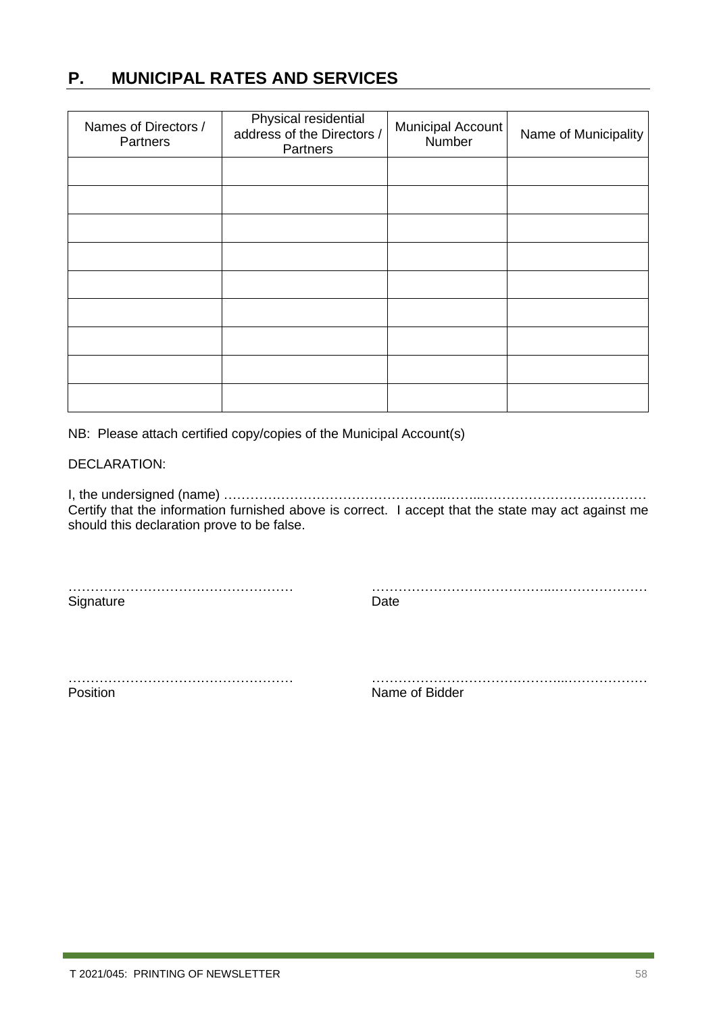### <span id="page-57-0"></span>**P. MUNICIPAL RATES AND SERVICES**

| Names of Directors /<br>Partners | Physical residential<br>address of the Directors /<br>Partners | Municipal Account<br>Number | Name of Municipality |
|----------------------------------|----------------------------------------------------------------|-----------------------------|----------------------|
|                                  |                                                                |                             |                      |
|                                  |                                                                |                             |                      |
|                                  |                                                                |                             |                      |
|                                  |                                                                |                             |                      |
|                                  |                                                                |                             |                      |
|                                  |                                                                |                             |                      |
|                                  |                                                                |                             |                      |
|                                  |                                                                |                             |                      |
|                                  |                                                                |                             |                      |

NB: Please attach certified copy/copies of the Municipal Account(s)

#### DECLARATION:

I, the undersigned (name) …………………………………………...……...…………………….………… Certify that the information furnished above is correct. I accept that the state may act against me should this declaration prove to be false.

…………………………………………… …………………………………...…………………

Signature Date

Position **Name of Bidder** 

…………………………………………… ……………………………………...………………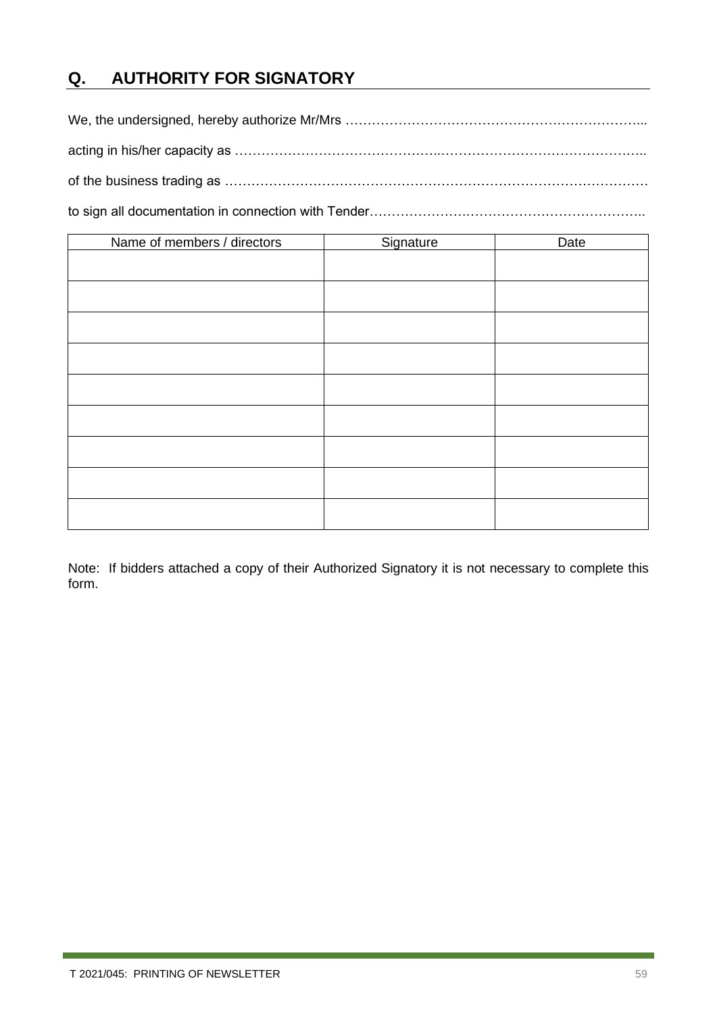### <span id="page-58-0"></span>**Q. AUTHORITY FOR SIGNATORY**

We, the undersigned, hereby authorize Mr/Mrs …………………………………………………………... acting in his/her capacity as ………………………………………..……………………………………….. of the business trading as ……………………………………………………………………………………

to sign all documentation in connection with Tender……………………………………………………………………………

| Name of members / directors | Signature | Date |
|-----------------------------|-----------|------|
|                             |           |      |
|                             |           |      |
|                             |           |      |
|                             |           |      |
|                             |           |      |
|                             |           |      |
|                             |           |      |
|                             |           |      |
|                             |           |      |

Note: If bidders attached a copy of their Authorized Signatory it is not necessary to complete this form.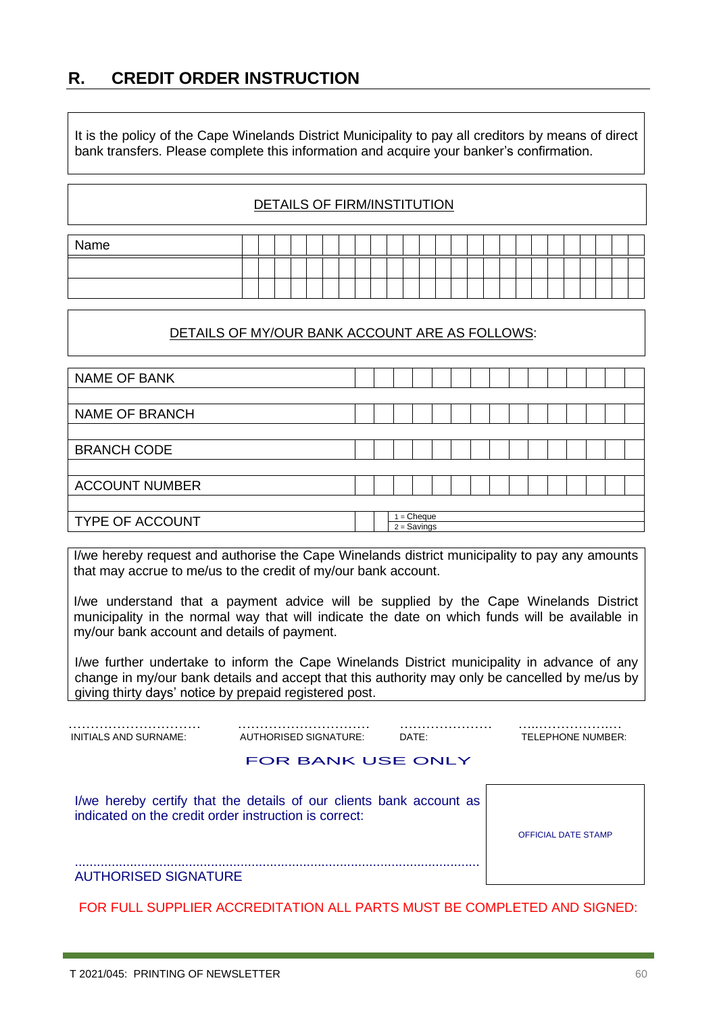<span id="page-59-0"></span>**R. CREDIT ORDER INSTRUCTION**

It is the policy of the Cape Winelands District Municipality to pay all creditors by means of direct bank transfers. Please complete this information and acquire your banker's confirmation.

#### DETAILS OF FIRM/INSTITUTION

| Name |  |  |  |  |  |  |  |  |  |  |  |  |  |
|------|--|--|--|--|--|--|--|--|--|--|--|--|--|
|      |  |  |  |  |  |  |  |  |  |  |  |  |  |
|      |  |  |  |  |  |  |  |  |  |  |  |  |  |

#### DETAILS OF MY/OUR BANK ACCOUNT ARE AS FOLLOWS:

| <b>NAME OF BANK</b>    |  |               |  |  |  |  |  |  |
|------------------------|--|---------------|--|--|--|--|--|--|
|                        |  |               |  |  |  |  |  |  |
| <b>NAME OF BRANCH</b>  |  |               |  |  |  |  |  |  |
|                        |  |               |  |  |  |  |  |  |
| <b>BRANCH CODE</b>     |  |               |  |  |  |  |  |  |
|                        |  |               |  |  |  |  |  |  |
| <b>ACCOUNT NUMBER</b>  |  |               |  |  |  |  |  |  |
|                        |  |               |  |  |  |  |  |  |
| <b>TYPE OF ACCOUNT</b> |  | $=$ Cheque    |  |  |  |  |  |  |
|                        |  | $2 =$ Savings |  |  |  |  |  |  |

I/we hereby request and authorise the Cape Winelands district municipality to pay any amounts that may accrue to me/us to the credit of my/our bank account.

I/we understand that a payment advice will be supplied by the Cape Winelands District municipality in the normal way that will indicate the date on which funds will be available in my/our bank account and details of payment.

I/we further undertake to inform the Cape Winelands District municipality in advance of any change in my/our bank details and accept that this authority may only be cancelled by me/us by giving thirty days' notice by prepaid registered post.

| MITIAIC AND CIDNIAIN. | ALITLIODICED CIONATLIDE. | ⌒∧⊤⊏ | <b>TELEDUONE NU IMPER</b> |
|-----------------------|--------------------------|------|---------------------------|

INITIALS AND SURNAME: AUTHORISED SIGNATURE: DATE: TELEPHONE NUMBER:

OFFICIAL DATE STAMP

#### FOR BANK USE ONLY

I/we hereby certify that the details of our clients bank account as indicated on the credit order instruction is correct:

..............................................................................................................

#### AUTHORISED SIGNATURE

FOR FULL SUPPLIER ACCREDITATION ALL PARTS MUST BE COMPLETED AND SIGNED: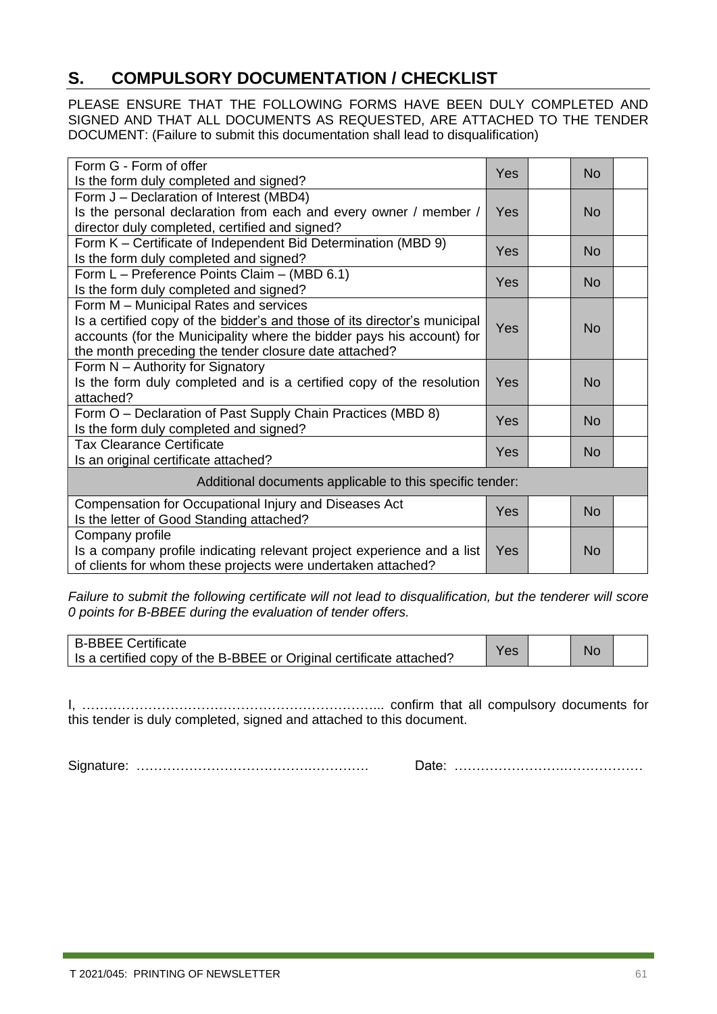### <span id="page-60-0"></span>**S. COMPULSORY DOCUMENTATION / CHECKLIST**

PLEASE ENSURE THAT THE FOLLOWING FORMS HAVE BEEN DULY COMPLETED AND SIGNED AND THAT ALL DOCUMENTS AS REQUESTED, ARE ATTACHED TO THE TENDER DOCUMENT: (Failure to submit this documentation shall lead to disqualification)

| Form G - Form of offer<br>Yes                                             |                  |  |           |  |  |
|---------------------------------------------------------------------------|------------------|--|-----------|--|--|
| Is the form duly completed and signed?                                    |                  |  | <b>No</b> |  |  |
| Form J - Declaration of Interest (MBD4)                                   |                  |  |           |  |  |
| Is the personal declaration from each and every owner / member /          | Yes              |  | <b>No</b> |  |  |
| director duly completed, certified and signed?                            |                  |  |           |  |  |
| Form K - Certificate of Independent Bid Determination (MBD 9)             | Yes              |  | <b>No</b> |  |  |
| Is the form duly completed and signed?                                    |                  |  |           |  |  |
| Form L - Preference Points Claim - (MBD 6.1)                              | Yes<br><b>No</b> |  |           |  |  |
| Is the form duly completed and signed?                                    |                  |  |           |  |  |
| Form M - Municipal Rates and services                                     |                  |  |           |  |  |
| Is a certified copy of the bidder's and those of its director's municipal | Yes              |  | <b>No</b> |  |  |
| accounts (for the Municipality where the bidder pays his account) for     |                  |  |           |  |  |
| the month preceding the tender closure date attached?                     |                  |  |           |  |  |
| Form N - Authority for Signatory                                          |                  |  |           |  |  |
| Is the form duly completed and is a certified copy of the resolution      | Yes              |  | <b>No</b> |  |  |
| attached?                                                                 |                  |  |           |  |  |
| Form O - Declaration of Past Supply Chain Practices (MBD 8)               |                  |  | <b>No</b> |  |  |
| Is the form duly completed and signed?                                    |                  |  |           |  |  |
| <b>Tax Clearance Certificate</b>                                          | Yes              |  | <b>No</b> |  |  |
| Is an original certificate attached?                                      |                  |  |           |  |  |
| Additional documents applicable to this specific tender:                  |                  |  |           |  |  |
| Compensation for Occupational Injury and Diseases Act                     | Yes              |  |           |  |  |
| Is the letter of Good Standing attached?                                  |                  |  | <b>No</b> |  |  |
| Company profile                                                           |                  |  |           |  |  |
| Is a company profile indicating relevant project experience and a list    |                  |  | <b>No</b> |  |  |
| of clients for whom these projects were undertaken attached?              |                  |  |           |  |  |

*Failure to submit the following certificate will not lead to disqualification, but the tenderer will score 0 points for B-BBEE during the evaluation of tender offers.*

| B-BBEE Certificate                                                  |     |  |    |  |
|---------------------------------------------------------------------|-----|--|----|--|
| Is a certified copy of the B-BBEE or Original certificate attached? | Yes |  | No |  |

I, …………………………………………………………... confirm that all compulsory documents for this tender is duly completed, signed and attached to this document.

Signature: ………………………………….…………. Date: …………………….………………